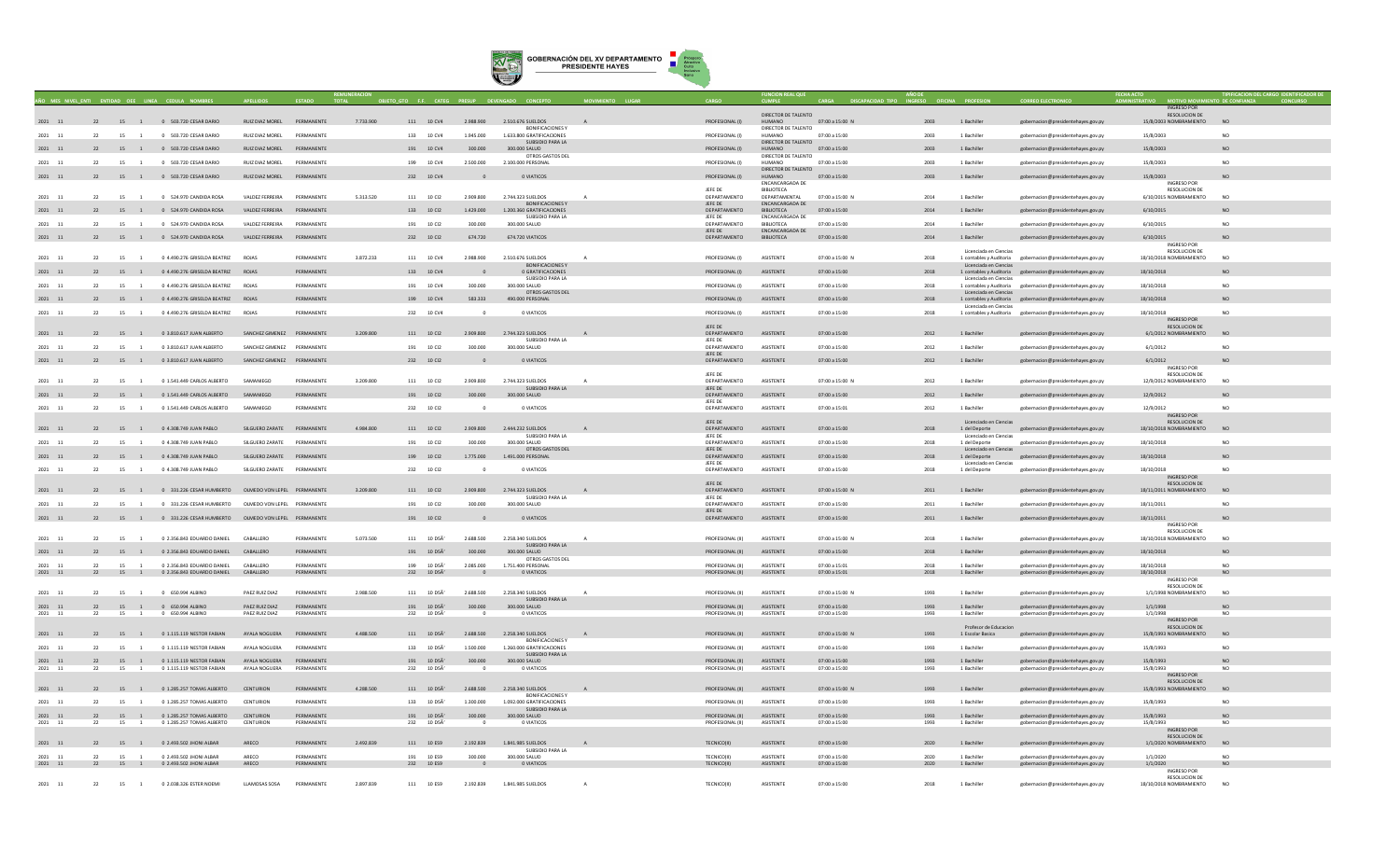

|                    |    |                      |                                                                            |                             |                          |           |                           |                                       |                                                                   |              |                                                |                                      |                                |                  |                                                   |                                                                          | <b>INGRESO POR</b>                                |                 |
|--------------------|----|----------------------|----------------------------------------------------------------------------|-----------------------------|--------------------------|-----------|---------------------------|---------------------------------------|-------------------------------------------------------------------|--------------|------------------------------------------------|--------------------------------------|--------------------------------|------------------|---------------------------------------------------|--------------------------------------------------------------------------|---------------------------------------------------|-----------------|
| 2021 11            |    |                      | 22 15 1 0 503.720 CESAR DARIO                                              | RUIZ DIAZ MOREL PERMANENTE  |                          | 7.733.900 |                           |                                       |                                                                   |              | PROFESIONAL (I)                                | DIRECTOR DE TALENTO<br><b>HUMANO</b> | 07:00 a 15:00 N                | 2003 1 Bachiller |                                                   |                                                                          | <b>RESOLUCION DE</b><br>15/8/2003 NOMBRAMIENTO NO |                 |
|                    |    |                      |                                                                            |                             |                          |           |                           |                                       | 111 10 CV4 2.988.900 2.510.676 SUELDOS<br><b>BONIFICACIONES Y</b> | $\mathsf{A}$ |                                                | DIRECTOR DE TALENTO                  |                                |                  |                                                   | gobernacion@presidentehayes.gov.py                                       |                                                   |                 |
| 2021 11            | 22 |                      | 15 1 0 503.720 CESAR DARIO                                                 | RUIZ DIAZ MOREL             | PERMANENTE               |           | 133 10 CV4                | 1.945.000                             | 1.633.800 GRATIFICACIONES<br>SUBSIDIO PARA LA                     |              | PROFESIONAL (I)                                | <b>HUMANO</b><br>DIRECTOR DE TALENTO | 07:00 a 15:00                  | 2003             | 1 Bachiller                                       | gobernacion@presidentehaves.gov.pv                                       | 15/8/2003                                         | NO.             |
| 2021 11            |    |                      | 22 15 1 0 503.720 CESAR DARIO                                              | RUIZ DIAZ MOREL PERMANENTE  |                          |           | $191 \qquad 10~{\rm CV4}$ | 300,000                               | 300,000 SALUD                                                     |              | PROFESIONAL (I)                                | <b>HUMANO</b>                        | 07:00 a 15:00                  | 2003             | 1 Bachiller                                       | gobernacion@presidentehayes.gov.py                                       | 15/8/2003                                         |                 |
| 2021 11            | 22 | 15<br>$\overline{1}$ | 0 503.720 CESAR DARIO                                                      | RUIZ DIAZ MOREL             | PERMANENTE               |           | 199 10 CV4                | 2.500.000                             | OTROS GASTOS DEL<br>2.100.000 PERSONAL                            |              | PROFESIONAL (I)                                | DIRECTOR DE TALENTO<br><b>HUMANO</b> | 07:00 a 15:00                  | 2003             | 1 Bachiller                                       | gobernacion@presidentehayes.gov.py                                       | 15/8/2003                                         | NO.             |
| 2021 11            |    | 22                   | 15 1 0 503.720 CESAR DARIO                                                 | RUIZ DIAZ MOREL PERMANENTE  |                          |           | 232 10 CV4                |                                       | O VIATICOS                                                        |              |                                                | DIRECTOR DE TALENTO<br><b>HUMANO</b> | 07:00 a 15:00                  | 2003             | 1 Bachiller                                       |                                                                          | 15/8/2003                                         | NO              |
|                    |    |                      |                                                                            |                             |                          |           |                           |                                       |                                                                   |              | PROFESIONAL (I)                                | <b>ENCANCARGADA DE</b>               |                                |                  |                                                   | gobernacion@presidentehayes.gov.py                                       | <b>INGRESO POR</b>                                |                 |
| 2021 11            | 22 |                      | 15 1 0 524.970 CANDIDA ROSA                                                | VALDEZ FERREIRA             | PERMANENTE               | 5.313.520 | 111 10 CI2                | 2.909.800                             | 2.744.323 SUELDOS                                                 |              | <b>IFFF DE</b><br>DEPARTAMENTO                 | <b>BIBLIOTECA</b><br>DEPARTAMENTAL   | 07:00 a 15:00 N                | 2014             | 1 Bachiller                                       | gobernacion@presidentehayes.gov.py                                       | RESOLUCION DE<br>6/10/2015 NOMBRAMIENTO           | <b>NO</b>       |
|                    |    |                      |                                                                            |                             |                          |           |                           |                                       | <b>BONIFICACIONES Y</b>                                           |              | JEFE DE                                        | ENCANCARGADA DE                      |                                |                  |                                                   |                                                                          |                                                   |                 |
| 2021 11            |    | 22                   | 15 1 0 524.970 CANDIDA ROSA                                                | VALDEZ FERREIRA             | PERMANENTE               |           | 133 10 CI2                | 1.429.000                             | 1.200.360 GRATIFICACIONES<br>SUBSIDIO PARA LA                     |              | DEPARTAMENTO<br>JEFE DE                        | <b>BIBLIOTECA</b><br>ENCANCARGADA DE | 07:00 a 15:00                  | 2014             | 1 Bachiller                                       | gobernacion@presidentehayes.gov.py                                       | 6/10/2015                                         | N <sub>O</sub>  |
| 2021 11            | 22 | 15<br>$\overline{1}$ | 0 524.970 CANDIDA ROSA                                                     | VALDEZ FERREIRA             | PERMANENTE               |           | 191<br>10 Cl2             | 300.000                               | 300.000 SALUD                                                     |              | DEPARTAMENTO<br>JEFE DE                        | <b>BIBLIOTECA</b><br>ENCANCARGADA DE | 07:00 a 15:00                  | 2014             | 1 Bachiller                                       | gobernacion@presidentehayes.gov.py                                       | 6/10/2015                                         | NO              |
| 2021 11            |    | 22                   | 15 1 0 524.970 CANDIDA ROSA                                                | VALDEZ FERREIRA             | PERMANENTE               |           | 232 10 CI2                | 674.720                               | 674.720 VIATICOS                                                  |              | DEPARTAMENTO                                   | BIBLIOTECA                           | 07:00 a 15:00                  | 2014             | 1 Bachiller                                       | gobernacion@presidentehayes.gov.py                                       | 6/10/2015                                         | N <sub>O</sub>  |
|                    |    |                      |                                                                            |                             |                          |           |                           |                                       |                                                                   |              |                                                |                                      |                                |                  | Licenciada en Ciencia                             |                                                                          | <b>INGRESO POR</b><br><b>RESOLUCION DE</b>        |                 |
| 2021 11            | 22 | 15 1                 | 0.4.490.276 GRISFIDA REATRIZ ROIAS                                         |                             | PERMANENTE               | 3.872.233 | 111 10 CV4                | 2.988.900                             | 2.510.676. SUELDOS<br><b>BONIFICACIONES Y</b>                     | $\mathbf{A}$ | PROFESIONAL (I)                                | <b>ASISTENTE</b>                     | $07:00 \times 15:00 N$         | 2018             | 1 contables y Auditoria<br>Licenciada en Ciencias | gobernacion@presidentehayes.gov.py                                       | 18/10/2018 NOMBRAMIENTO                           | NO              |
| 2021 11            |    | 22                   | 15 1 0 4.490.276 GRISELDA BEATRIZ ROJAS                                    |                             | PERMANENTE               |           | 133 10 CV4                |                                       | 0 GRATIFICACIONES                                                 |              | PROFESIONAL (I)                                | ASISTENTE                            | 07:00 a 15:00                  | 2018             |                                                   | 1 contables y Auditoria gobernacion@presidentehayes.gov.py               | 18/10/2018                                        | NO              |
| $2021\qquad 11$    | 22 | 15<br>$\overline{1}$ | 0 4.490.276 GRISELDA BEATRIZ                                               | ROJAS                       | PERMANENTE               |           | 191 10 CV4                | 300.000                               | SUBSIDIO PARA LA<br>300.000 SALUD                                 |              | PROFESIONAL (I)                                | ASISTENTE                            | 07:00 a 15:00                  | 2018             | Licenciada en Ciencias                            | 1 contables y Auditoria gobernacion@presidentehayes.gov.py               | 18/10/2018                                        | N <sub>O</sub>  |
|                    |    |                      |                                                                            |                             |                          |           |                           |                                       | OTROS GASTOS DEL                                                  |              |                                                |                                      |                                |                  | Licenciada en Ciencias                            |                                                                          |                                                   |                 |
| 2021 11            |    |                      | 22 15 1 0 4.490.276 GRISELDA BEATRIZ ROJAS                                 |                             | PERMANENTE               |           | 199 10 CV4                | 583.333                               | 490.000 PERSONAL                                                  |              | PROFESIONAL (I) ASISTENTE                      |                                      | 07:00 a 15:00                  | 2018             | Licenciada en Ciencias                            | 1 contables y Auditoria gobernacion@presidentehayes.gov.py               | 18/10/2018                                        |                 |
| 2021 11            | 22 | 15                   | 0 4.490.276 GRISELDA BEATRIZ                                               | <b>ROJAS</b>                | PERMANENTE               |           | 232 10 CV4                | $\Omega$                              | 0 VIATICOS                                                        |              | PROFESIONAL (I)                                | ASISTENTE                            | 07:00 a 15:00                  | 2018             |                                                   | 1 contables y Auditoria gobernacion@presidentehayes.gov.py               | 18/10/2018<br>INGRESO POR                         | NO              |
|                    |    |                      |                                                                            |                             |                          |           |                           |                                       |                                                                   |              | JEFE DE                                        |                                      |                                |                  |                                                   |                                                                          | RESOLUCION DE                                     |                 |
| 2021 11            |    | 22                   | 15 1 0 3.810.617 JUAN ALBERTO                                              | SANCHEZ GIMENEZ PERMANENTE  |                          | 3.209.800 | 111 10 CI2                | 2,909,800                             | 2.744.323 SUELDOS<br>SUBSIDIO PARA LA                             |              | DEPARTAMENTO<br>JEFE DE                        | ASISTENTE                            | 07:00 a 15:00                  | 2012             | 1 Bachiller                                       | gobernacion@presidentehayes.gov.py                                       | 6/1/2012 NOMBRAMIENTO                             | NO              |
| 2021 11            | 22 | 15 1                 | 0 3.810.617 JUAN ALBERTO                                                   | SANCHEZ GIMENEZ PERMANENTE  |                          |           | 191 10 CI2                | 300,000                               | 300,000 SALUD                                                     |              | DEPARTAMENTO                                   | ASISTENTE                            | 07:00 a 15:00                  | 2012             | 1 Bachiller                                       | gobernacion@presidentehaves.gov.pv                                       | 6/1/2012                                          | NO.             |
| 2021 11            |    |                      | 22 15 1 0 3.810.617 JUAN ALBERTO                                           | SANCHEZ GIMENEZ PERMANENTE  |                          |           | 232 10 Cl2                | $\Omega$                              | 0 VIATICOS                                                        |              | JEFE DE<br>DEPARTAMENTO ASISTENTE              |                                      | 07:00 a 15:00                  | 2012             | 1 Bachiller                                       | gobernacion@presidentehayes.gov.py                                       | 6/1/2012                                          | NO.             |
|                    |    |                      |                                                                            |                             |                          |           |                           |                                       |                                                                   |              | JEFE DE                                        |                                      |                                |                  |                                                   |                                                                          | <b>INGRESO POR</b><br>RESOLUCION DE               |                 |
| 2021 11            | 22 | 15<br>$\overline{1}$ | 0 1.541.449 CARLOS ALBERTO                                                 | SAMANIEGO                   | PERMANENTE               | 3.209.800 | 111 10 CI2                | 2.909.800                             | 2.744.323 SUELDOS                                                 |              | DEPARTAMENTO                                   | ASISTENTE                            | 07:00 a 15:00 N                | 2012             | 1 Bachiller                                       | gobernacion@presidentehayes.gov.py                                       | 12/9/2012 NOMBRAMIENTO                            | <b>NO</b>       |
| 2021 11            | 22 | 15 1                 | 0 1.541.449 CARLOS ALBERTO                                                 | SAMANIFGO                   | PERMANENTE               |           | 191 10 CI2                | 300,000                               | SUBSIDIO PARA LA<br>300.000 SALUD                                 |              | JEFE DE<br>DEPARTAMENTO                        | ASISTENTE                            | 07:00 a 15:00                  | 2012             | 1 Bachiller                                       | gobernacion@presidentehayes.gov.py                                       | 12/9/2012                                         | N <sub>O</sub>  |
| 2021 11            | 22 | 15 1                 | 0.1.541.449 CARLOS ALBERTO                                                 | SAMANIEGO                   | PERMANENTE               |           | 232 10 CI2                | $\Omega$                              | O VIATICOS                                                        |              | IFFF DE<br>DEPARTAMENTO                        | <b>ASISTENTE</b>                     | 07:00 a 15:01                  | 2012             | 1 Bachiller                                       | gobernacion@presidentehayes.gov.py                                       | 12/9/2012                                         | NO.             |
|                    |    |                      |                                                                            |                             |                          |           |                           |                                       |                                                                   |              |                                                |                                      |                                |                  |                                                   |                                                                          | INGRESO POR                                       |                 |
| 2021 11            |    |                      | 22 15 1 0 4.308.749 JUAN PABLO                                             | SILGUERO ZARATE PERMANENTE  |                          | 4,984,800 | 111 10 CI2                |                                       | 2.909.800 2.444.232 SUELDOS                                       |              | JEFE DE<br>DEPARTAMENTO ASISTENTE              |                                      | 07:00 a 15:00                  | 2018             | Licenciado en Ciencias<br>1 del Deporte           | gobernacion@presidentehayes.gov.py                                       | <b>RESOLUCION DE</b><br>18/10/2018 NOMBRAMIENTO   | NO              |
|                    | 22 | 15                   | 0 4.308.749 JUAN PABLO                                                     | SILGUERO ZARATE             | PERMANENTE               |           | 191                       | 300.000                               | SUBSIDIO PARA LA<br>300,000 SALUD                                 |              | JEFE DE                                        | <b>ASISTENTE</b>                     |                                | 2018             | Licenciado en Ciencias                            |                                                                          | 18/10/2018                                        | NO              |
| 2021 11            |    |                      |                                                                            |                             |                          |           | 10 CI2                    |                                       | OTROS GASTOS DEL                                                  |              | DEPARTAMENTO<br>JEFE DE                        |                                      | 07:00 a 15:00                  |                  | 1 del Deporte<br>Licenciado en Ciencias           | gobernacion@presidentehayes.gov.py                                       |                                                   |                 |
| 2021 11            |    |                      | 22 15 1 0 4.308.749 JUAN PABLO                                             | SILGUERO ZARATE PERMANENTE  |                          |           | 199 10 CI2                | 1.775.000                             | 1.491.000 PERSONAL                                                |              | DEPARTAMENTO<br>JEFE DE                        | ASISTENTE                            | 07:00 a 15:00                  | 2018             | 1 del Deporte<br>Licenciado en Ciencias           | gobernacion@presidentehayes.gov.py                                       | 18/10/2018                                        | N <sub>C</sub>  |
| $2021\qquad 11$    | 22 |                      | 15 1 0 4.308.749 JUAN PABLO                                                | SILGUERO ZARATE PERMANENTE  |                          |           | 232 10 CI2                | $\sim$                                | 0 VIATICOS                                                        |              | DEPARTAMENTO                                   | ASISTENTE                            | 07:00 a 15:00                  | 2018             | 1 del Deporte                                     | gobernacion@presidentehayes.gov.py                                       | 18/10/2018                                        | NO.             |
|                    |    |                      |                                                                            |                             |                          |           |                           |                                       |                                                                   |              | IFFF DE                                        |                                      |                                |                  |                                                   |                                                                          | INGRESO POR<br><b>RESOLUCION DE</b>               |                 |
| $2021$ 11          |    |                      | 22 15 1 0 331.226 CESAR HUMBERTO OLMEDO VON LEPEL PERMANENTE               |                             |                          | 3,209,800 | 111 10 CI2                | 2.909.800                             | 2.744.323 SUELDOS<br>SUBSIDIO PARA LA                             |              | DEPARTAMENTO<br>JEFE DE                        | ASISTENTE                            | 07:00 a 15:00 N                | 2011             | 1 Bachiller                                       | gobernacion@presidentehayes.gov.py                                       | 18/11/2011 NOMBRAMIENTO                           | N <sub>O</sub>  |
| 2021 11            | 22 | 15<br>$\sim$ 1       | 0 331.226 CESAR HUMBERTO                                                   | OLMEDO VON LEPEL PERMANENTE |                          |           | 191 10 CI2                | 300,000                               | 300,000 SALUD                                                     |              | DEPARTAMENTO                                   | ASISTENTE                            | 07:00 a 15:00                  | 2011             | 1 Bachiller                                       | gobernacion@presidentehaves.gov.pv                                       | 18/11/2011                                        | NO <sub>1</sub> |
| 2021 11            |    |                      | 22 15 1 0 331.226 CESAR HUMBERTO OLMEDO VON LEPEL PERMANENTE               |                             |                          |           | 191 10 Cl2                |                                       | 0 VIATICOS                                                        |              | JEFE DE<br>DEPARTAMENTO                        | ASISTENTE                            | $07:00$ a $15:00$              | 2011             | 1 Bachiller                                       | gobernacion@presidentehayes.gov.py                                       | 18/11/2011                                        | N <sub>O</sub>  |
|                    |    |                      |                                                                            |                             |                          |           |                           |                                       |                                                                   |              |                                                |                                      |                                |                  |                                                   |                                                                          | <b>INGRESO POR</b><br><b>RESOLUCION DE</b>        |                 |
| 2021 11            | 22 | 15                   | 0 2.356.843 EDUARDO DANIEL                                                 | CABALLERO                   | PERMANENTE               | 5.073.500 | 111 10 DSA'               | 2.688.500                             | 2.258.340 SUELDOS                                                 |              | PROFESIONAL (II)                               | ASISTENTE                            | 07:00 a 15:00 N                | 2018             | 1 Bachiller                                       | gobernacion@presidentehayes.gov.py                                       | 18/10/2018 NOMBRAMIENTO                           | N <sub>O</sub>  |
| $2021\quad 11$     |    | 22                   | 15 1 0 2.356.843 EDUARDO DANIEL CABALLERO                                  |                             | PERMANENTE               |           | 191 10 D5A'               | 300,000                               | SUBSIDIO PARA LA<br>300.000 SALUD                                 |              | PROFESIONAL (II)                               | ASISTENTE                            | 07:00 a 15:00                  | 2018             | 1 Bachiller                                       | gobernacion@presidentehayes.gov.py                                       | 18/10/2018                                        | NO              |
|                    |    |                      |                                                                            |                             |                          |           |                           |                                       | OTROS GASTOS DEL                                                  |              |                                                |                                      |                                |                  |                                                   |                                                                          |                                                   |                 |
| 2021 11<br>2021 11 | 22 | 15<br>$\overline{1}$ | 0 2.356.843 EDUARDO DANIEL<br>22 15 1 0 2.356.843 EDUARDO DANIEL CABALLERO | CABALLERO                   | PERMANENTE<br>PERMANENTE |           | 199 10 DSÄ<br>232 10 D5A' | 2.085.000<br>$\overline{\phantom{0}}$ | 1.751.400 PERSONAL<br>O VIATICOS                                  |              | PROFESIONAL (II)<br>PROFESIONAL (II) ASISTENTE | ASISTENTE                            | 07:00 a 15:01<br>07:00 a 15:01 | 2018<br>2018     | 1 Bachiller<br>1 Bachiller                        | eobernacion@presidentehaves.gov.py<br>gobernacion@presidentehayes.gov.py | 18/10/2018<br>18/10/2018                          | N()<br>NO       |
|                    |    |                      |                                                                            |                             |                          |           |                           |                                       |                                                                   |              |                                                |                                      |                                |                  |                                                   |                                                                          | <b>INGRESO POR</b><br><b>RESOLUCION DE</b>        |                 |
| 2021 11            | 22 | 15 1                 | 0 650,994 ALBINO                                                           | PAEZ RUIZ DIAZ              | PERMANENTE               | 2.988.500 | 111 10 DSA'               | 2.688.500                             | 2.258.340 SUELDOS                                                 |              | PROFESIONAL (II)                               | ASISTENTE                            | 07:00 a 15:00 N                | 1993             | 1 Bachiller                                       | gobernacion@presidentehayes.gov.py                                       | 1/1/1998 NOMBRAMIENTO                             | N <sub>O</sub>  |
| $2021$ 11          |    |                      | 22 15 1 0 650.994 ALBINO                                                   | PAEZ RUIZ DIAZ              | PERMANENTE               |           | 191 10 DSA                | 300,000                               | SUBSIDIO PARA LA<br>300.000 SALUD                                 |              | PROFESIONAL (II) ASISTENTE                     |                                      | 07:00 a 15:00                  |                  | 1 Bachiller                                       | gobernacion@presidentehayes.gov.py                                       | 1/1/1998                                          |                 |
| $2021$ 11          |    |                      | 0 650.994 ALBINO                                                           | PAEZ RUIZ DIAZ              | PERMANENTE               |           | 10 DSA<br>232             |                                       | 0 VIATICOS                                                        |              | PROFESIONAL (II)                               | ASISTENTE                            | 07:00 a 15:00                  | 1993             | 1 Bachiller                                       | gobernacion@presidentehayes.gov.py                                       | 1/1/1998<br>INGRESO POR                           | N <sub>C</sub>  |
|                    |    |                      |                                                                            |                             |                          |           |                           |                                       |                                                                   |              |                                                |                                      |                                |                  | Profesor de Educacion                             |                                                                          | <b>RESOLUCION DE</b>                              |                 |
| 2021 11            |    | 22                   | 15 1 0 1.115.119 NESTOR FABIAN                                             | AYALA NOGUERA               | PERMANENTE               | 4 488 500 | 111 10 D5Ã'               |                                       | 2.688.500 2.258.340 SUELDOS<br><b>BONIFICACIONES Y</b>            |              | PROFESIONAL (II)                               | ASISTENTE                            | 07:00 a 15:00 N                | 1993             | 1 Escolar Basica                                  | gobernacion@presidentehayes.gov.py                                       | 15/8/1993 NOMBRAMIENTO                            | N <sub>O</sub>  |
| 2021 11            | 22 | 15 1                 | 0 1.115.119 NESTOR FABIAN                                                  | AYALA NOGUERA               | PERMANENTE               |           | 133 10 D5Ä                | 1.500.000                             | 1.260.000 GRATIFICACIONES<br>SUBSIDIO PARA LA                     |              | PROFESIONAL (II)                               | ASISTENTE                            | 07:00 a 15:00                  | 1993             | 1 Bachiller                                       | gobernacion@presidentehayes.gov.py                                       | 15/8/1993                                         | NO.             |
| 2021 11            |    |                      | 22 15 1 0 1.115.119 NESTOR FABIAN                                          | AYALA NOGUERA               | PERMANENTE               |           | 191 10 D5Ã'               | 300.000                               | 300.000 SALUD                                                     |              | PROFESIONAL (II) ASISTENTE                     |                                      | 07:00 a 15:00                  | 1993             | 1 Bachiller                                       | gobernacion@presidentehayes.gov.py                                       | 15/8/1993                                         | <b>NO</b>       |
| 2021 11            | 22 | 15 1                 | 0 1.115.119 NESTOR FABIAN                                                  | AYALA NOGUERA               | PERMANENTE               |           | 232 10 D5A                |                                       | 0 VIATICOS                                                        |              | PROFESIONAL (II)                               | ASISTENTE                            | 07:00 a 15:00                  | 1993             | 1 Bachiller                                       | gobernacion@presidentehayes.gov.py                                       | 15/8/1993<br><b>INGRESO POR</b>                   | NO              |
|                    |    |                      |                                                                            | CENTURION                   |                          |           |                           |                                       |                                                                   |              |                                                |                                      |                                |                  |                                                   |                                                                          | <b>RESOLUCION DE</b>                              | N <sub>O</sub>  |
| $2021\quad \  11$  | 22 |                      | 15 1 0 1.285.257 TOMAS ALBERTO                                             |                             | PERMANENTE               | 4.288.500 | 111 10 D5Ā'               | 2.688.500                             | 2.258.340 SUELDOS<br><b>BONIFICACIONES Y</b>                      |              | PROFESIONAL (II)                               | ASISTENTE                            | 07:00 a 15:00 N                | 1993             | 1 Bachiller                                       | gobernacion@presidentehayes.gov.py                                       | 15/8/1993 NOMBRAMIENTO                            |                 |
| $2021\quad \  11$  | 22 | $15\qquad \quad 1$   | 0 1.285.257 TOMAS ALBERTO                                                  | CENTURION                   | <b><i>DERMANENTE</i></b> |           | 133 10 DSA                | 1.300.000                             | 1.092.000 GRATIFICACIONES<br>SUBSIDIO PARA LA                     |              | PROFESIONAL (II)                               | <b>ASISTENTE</b>                     | 07:00 a 15:00                  | 1993             | 1 Bachiller                                       | obernacion@presidentehayes.gov.py                                        | 15/8/1993                                         | N <sub>0</sub>  |
| 2021 11            |    |                      | 22 15 1 0 1.285.257 TOMAS ALBERTO                                          | CENTURION                   | PERMANENTE               |           | 191 10 D5A                | 300,000                               | 300,000 SAILID                                                    |              | PROFESIONAL (II)                               | <b>ASISTENTE</b>                     | $07:00 \times 15:00$           | 1993             | 1 Bachiller                                       | gobernacion@presidentehayes.gov.py                                       | 15/8/1993                                         | NO.             |
| 2021 11            | 22 | 15 1                 | 0 1.285.257 TOMAS ALBERTO                                                  | CENTURION                   | PERMANENTE               |           | 232 10 D5A                | $^{\circ}$                            | O VIATICOS                                                        |              | PROFESIONAL (II)                               | ASISTENTE                            | 07:00 a 15:00                  | 1993             | 1 Bachiller                                       | gobernacion@presidentehayes.gov.py                                       | 15/8/1993<br><b>INGRESO POR</b>                   | NO              |
| 2021 11            |    |                      | 22 15 1 0 2.493.502 JHONI ALBAR                                            | ARECO                       | PERMANENTE               | 2.492.839 | 111 10 ES9                | 2.192.839                             | 1.841.985 SUELDOS                                                 |              | TECNICO(II)                                    | ASISTENTE                            | $07:00$ a $15:00$              | 2020             | 1 Bachiller                                       | gobernacion@presidentehayes.gov.py                                       | <b>RESOLUCION DE</b><br>1/1/2020 NOMBRAMIENTO     | NO <sub>1</sub> |
|                    |    |                      |                                                                            |                             |                          |           |                           |                                       | SUBSIDIO PARA LA                                                  |              |                                                |                                      |                                |                  |                                                   |                                                                          |                                                   |                 |
| 2021 11<br>2021 11 |    | 22                   | 15 1 0 2.493.502 JHONI ALBAR<br>22 15 1 0 2.493.502 JHONI ALBAR            | ARECO<br>ARECO              | PERMANENTE<br>PERMANENTE |           | 191 10 ES9<br>232 10 ES9  | 300,000<br>$\overline{\phantom{0}}$   | 300,000 SALUD<br>O VIATICOS                                       |              | TECNICO(II)<br>TECNICO(II)                     | <b>ASISTENTE</b><br>ASISTENTE        | 07:00 a 15:00<br>07:00 a 15:00 | 2020<br>2020     | 1 Bachiller<br>1 Bachiller                        | gobernacion@presidentehayes.gov.py<br>gobernacion@presidentehayes.gov.py | 1/1/2020<br>1/1/2020                              | NO              |
|                    |    |                      |                                                                            |                             |                          |           |                           |                                       |                                                                   |              |                                                |                                      |                                |                  |                                                   |                                                                          | <b>INGRESO POR</b><br><b>RESOLUCION DE</b>        |                 |
| 2021 11            | 22 |                      | 15 1 0 2.038.326 ESTER NOEMI                                               | <b>ILAMOSAS SOSA</b>        | PERMANENTE               | 2897839   | 111 10 ES9                | 2.192.839                             | 1.841.985 SUELDOS                                                 |              | TECNICO(II)                                    | <b>ASISTENTE</b>                     | $07:00 \times 15:00$           | 2018             | 1 Bachiller                                       | gobernacion@presidentehayes.gov.py                                       | 18/10/2018 NOMBRAMIENTO                           | NO <sub>1</sub> |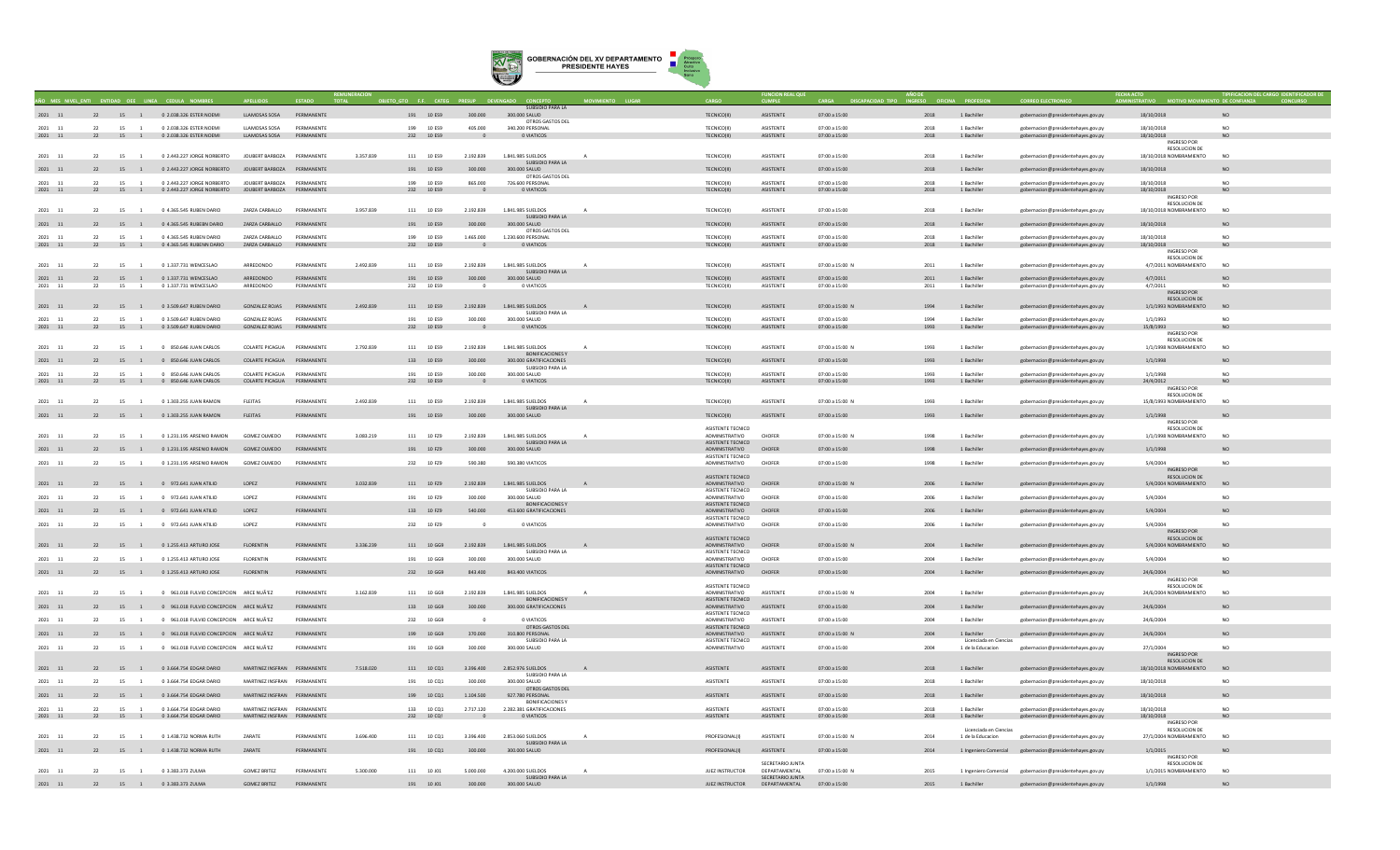

|                      |    |                      |                                                 |                                                            |                          |           | ETO GTO F.F. CATEG |                             | SUBSIDIO PARA LA                             |              |                                            |                                                   |                      |              |                                             |                                                          |                                               |                             |
|----------------------|----|----------------------|-------------------------------------------------|------------------------------------------------------------|--------------------------|-----------|--------------------|-----------------------------|----------------------------------------------|--------------|--------------------------------------------|---------------------------------------------------|----------------------|--------------|---------------------------------------------|----------------------------------------------------------|-----------------------------------------------|-----------------------------|
| 2021 11              |    |                      | 22 15 1 0 2.038.326 ESTER NOEMI                 | <b>LLAMOSAS SOSA</b>                                       | PERMANENTE               |           | 191 10 ES9         | 300.000                     | 300.000 SALUD                                |              | TECNICO(II)                                | <b>ASISTENTE</b>                                  | 07:00 a 15:00        | 2018         | 1 Bachille                                  | gobernacion@presidentehayes.gov.py                       | 18/10/2018                                    | NO.                         |
| 2021<br>11           | 22 | 15                   | 0 2.038.326 ESTER NOEMI                         | <b>LLAMOSAS SOSA</b>                                       | DERMANENTE               |           | 199 10 FS9         | 405,000                     | OTROS GASTOS DEI<br>340.200 PERSONAL         |              | TECNICOUL                                  | <b>ASISTENTE</b>                                  | $07:00 \times 15:00$ | 2018         | 1 Rachiller                                 | obernacion@presidentehayes.gov.py                        | 18/10/2018                                    | N <sub>0</sub>              |
| 2021 11              |    |                      | 22 15 1 0 2.038.326 ESTER NOEMI                 | LLAMOSAS SOSA                                              | PERMANENTE               |           | 232 10 ES9         | $\sim$ 0                    | 0 VIATICOS                                   |              | TECNICO(II)                                | ASISTENTE                                         | 07:00 a 15:00        | 2018         | 1 Bachiller                                 | gobernacion@presidentehayes.gov.py                       | 18/10/2018                                    | NO.                         |
|                      |    |                      |                                                 |                                                            |                          |           |                    |                             |                                              |              |                                            |                                                   |                      |              |                                             |                                                          | INGRESO POR                                   |                             |
| 2021 11              | 22 | 15 1                 | 0 2.443.227 JORGE NORBERTO                      | JOUBERT BARBOZA PERMANENTE                                 |                          | 3.357.839 | 111 10 ES9         | 2.192.839                   | 1.841.985 SUELDOS                            |              | TECNICO(II)                                | ASISTENTE                                         | 07:00 a 15:00        | 2018         | 1 Bachiller                                 | gobernacion@presidentehayes.gov.py                       | RESOLUCION DE<br>18/10/2018 NOMBRAMIENTO      | NO                          |
|                      |    |                      |                                                 |                                                            |                          |           |                    |                             | SUBSIDIO PARA LA                             |              |                                            |                                                   |                      |              |                                             |                                                          |                                               |                             |
| 2021 11              | 22 | 15 1                 | 0 2.443.227 JORGE NORBERTO                      | JOUBERT BARBOZA PERMANENTE                                 |                          |           | 191 10 ES9         | 300,000                     | 300.000 SALUD<br>OTROS GASTOS DE             |              | TECNICO(II)                                | <b>ASISTENTE</b>                                  | 07:00 a 15:00        | 2018         | 1 Bachiller                                 | gobernacion@presidentehayes.gov.py                       | 18/10/2018                                    | <b>NO</b>                   |
| 2021<br>11           | 22 | 15                   | 0 2.443.227 JORGE NORBERTO                      | JOUBERT BARBOZA                                            | PERMANENTE               |           | 199 10 ES9         | 865,000                     | 726,600 PERSONAL                             |              | <b>TECNICO(II)</b>                         | ASISTENTE                                         | 07:00 a 15:00        | 2018         | 1 Bachille                                  | obernacion@presidentehayes.gov.py                        | 18/10/2018                                    | N <sub>0</sub>              |
| $2021\quad 11$       | 22 |                      | 15 1 0 2.443.227 JORGE NORBERTO                 | JOUBERT BARBOZA PERMANENTE                                 |                          |           | 232 10 ES9         | $\overline{\phantom{0}}$    | 0 VIATICOS                                   |              | TECNICO(II)                                | ASISTENTE                                         | $07:00$ a $15:00$    | 2018         | 1 Bachiller                                 | gobernacion@presidentehayes.gov.py                       | 18/10/2018<br><b>INGRESO POR</b>              | NO.                         |
|                      |    |                      |                                                 |                                                            |                          |           |                    |                             |                                              |              |                                            |                                                   |                      |              |                                             |                                                          | RESOLUCION DE                                 |                             |
| 2021 11              | 22 | 15<br>$\overline{1}$ | 0 4.365.545 RUBEN DARIO                         | ZARZA CARBALLO                                             | PERMANENTE               | 3.957.839 | 111 10 ES9         | 2.192.839                   | 1.841.985 SUELDOS                            |              | <b>TECNICO(II)</b>                         | ASISTENTE                                         | 07:00 a 15:00        | 2018         | 1 Bachiller                                 | gobernacion@presidentehaves.gov.pv                       | 18/10/2018 NOMBRAMIENTO                       | NO.                         |
| 2021 11              | 22 | 15 1                 | 0 4.365.545 RUBEBN DARIO                        | ZARZA CARBALLO                                             | PERMANENTE               |           | 191 10 ES9         | 300.000                     | SUBSIDIO PARA LA<br>300.000 SALUD            |              | TECNICO(II)                                | <b>ASISTENTE</b>                                  | $07:00$ a $15:00$    | 2018         | 1 Bachiller                                 | gobernacion@presidentehayes.gov.py                       | 18/10/2018                                    | <b>NO</b>                   |
|                      |    |                      |                                                 |                                                            |                          |           |                    |                             | OTROS GASTOS DEL                             |              |                                            |                                                   |                      |              |                                             |                                                          |                                               |                             |
| 2021 11              | 22 | 15 1                 | 0 4.365.545 RUBEN DARIO                         | ZARZA CARRAILO<br>ZARZA CARBALLO                           | DERMANENTE<br>PERMANENTE |           | 100 10 FSQ         | 1.465.000<br>$\overline{0}$ | 1.230 600 PERSONAL<br>0 VIATICOS             |              | TECNICOUL                                  | <b>ASISTENTE</b>                                  | 07:00 + 15:00        | 2018         | 1 Rachiller                                 | zobernacion@presidentehayes.gov.py                       | 18/10/2018                                    | N <sub>0</sub>              |
| $2021\quad 11$       |    |                      | 22 15 1 0 4.365.545 RUBENN DARIO                |                                                            |                          |           | 232 10 ES9         |                             |                                              |              | TECNICO(II)                                | ASISTENTE                                         | 07:00 a 15:00        | 2018         | 1 Bachiller                                 | gobernacion@presidentehayes.gov.py                       | 18/10/2018<br>INGRESO POR                     | $NO$                        |
|                      |    |                      |                                                 |                                                            |                          |           |                    |                             |                                              |              |                                            |                                                   |                      |              |                                             |                                                          | RESOLUCION DE                                 |                             |
| 2021 11              | 22 | 15 1                 | 0 1.337.731 WENCESLAO                           | ARREDONDO                                                  | PERMANENTE               | 2.492.839 | 111 10 ES9         | 2.192.839                   | 1.841.985 SUELDOS<br>SUBSIDIO PARA LA        | $\mathbf{A}$ | TECNICO(II)                                | ASISTENTE                                         | 07:00 a 15:00 N      | 2011         | 1 Bachiller                                 | gobernacion@presidentehaves.gov.pv                       | 4/7/2011 NOMBRAMIENTO                         | NO <sub>1</sub>             |
| $2021\quad \  \  11$ | 22 | 15 1                 | 0 1.337.731 WENCESLAO                           | ARREDONDO                                                  | PERMANENTE               |           | 191 10 ES9         | 300,000                     | 300,000 SALUD                                |              | TECNICO(II)                                | ASISTENTE                                         | 07:00 a 15:00        | 2011         | 1 Bachiller                                 | gobernacion@presidentehayes.gov.py                       | 4/7/2011                                      | NO.                         |
| 2021<br>11           | 22 | 15                   | 0 1.337.731 WENCESLAO                           | ARREDONDO                                                  | PERMANENTE               |           | 232<br>10 ES9      |                             | 0 VIATICOS                                   |              | TECNICO(II)                                | ASISTENTE                                         | 07:00 a 15:00        | 2011         | 1 Bachille                                  | gobernacion@presidentehayes.gov.py                       | 4/7/2011<br>INGRESO POR                       | N <sub>O</sub>              |
|                      |    |                      |                                                 |                                                            |                          |           |                    |                             |                                              |              |                                            |                                                   |                      |              |                                             |                                                          | RESOLUCION DE                                 |                             |
| 2021 11              |    |                      | 22 15 1 0 3.509.647 RUBEN DARIO                 | <b>GONZALEZ ROJAS</b>                                      | PERMANENTE               | 2.492.839 | 111 10 ES9         | 2.192.839                   | 1.841.985 SUELDOS                            |              | TECNICO(II)                                | ASISTENTE                                         | 07:00 a 15:00 N      | 1994         | 1 Bachiller                                 | gobernacion@presidentehayes.gov.py                       | 1/1/1993 NOMBRAMIENTO                         | N <sub>0</sub>              |
| 2021 11              | 22 | 15<br>$\overline{1}$ | 0 3,509,647 RUBEN DARIO                         | <b>GONZALEZ ROJAS</b>                                      | PERMANENTE               |           | 191 10 ES9         | 300,000                     | SUBSIDIO PARA LA<br>300,000 SALUD            |              | <b>TECNICO(II)</b>                         | <b>ASISTENTE</b>                                  | 07:00 a 15:00        | 1994         | 1 Bachiller                                 | zobernacion@presidentehaves.gov.pv                       | 1/1/1993                                      | NO.                         |
| 2021 11              |    |                      | 22 15 1 0 3.509.647 RUBEN DARIO                 | GONZALEZ ROJAS PERMANENTE                                  |                          |           | 232 10 ES9         | $\overline{0}$              | O VIATICOS                                   |              | TECNICO(II)                                | ASISTENTE                                         | 07:00 a 15:00        | 1993         | 1 Bachiller                                 | gobernacion@presidentehayes.gov.py                       | 15/8/1993                                     | NO                          |
|                      |    |                      |                                                 |                                                            |                          |           |                    |                             |                                              |              |                                            |                                                   |                      |              |                                             |                                                          | <b>INGRESO POR</b><br>RESOLUCION DE           |                             |
| 2021 11              | 22 | 15 1                 | 0 850.646 JUAN CARLOS                           | <b>COLARTE PICAGUA</b>                                     | PERMANENTE               | 2.792.839 | 111 10 ES9         | 2.192.839                   | 1,841,985 SUELDOS                            |              | TECNICO(II)                                | <b>ASISTENTE</b>                                  | 07:00 a 15:00 N      | 1993         | 1 Bachiller                                 | gobernacion@presidentehayes.gov.py                       | 1/1/1998 NOMBRAMIENTO                         | NO.                         |
|                      |    |                      |                                                 |                                                            |                          |           |                    |                             | <b>BONIFICACIONESY</b>                       |              |                                            |                                                   |                      |              |                                             |                                                          |                                               |                             |
| 2021 11              | 22 | 15 1                 | 0 850.646 JUAN CARLOS                           | <b>COLARTE PICAGUA</b>                                     | PERMANENTE               |           | 133 10 ES9         | 300,000                     | 300,000 GRATIFICACIONES<br>SUBSIDIO PARA LA  |              | TECNICO(II)                                | <b>ASISTENTE</b>                                  | 07:00 a 15:00        | 1993         | 1 Bachille                                  | gobernacion@presidentehayes.gov.py                       | 1/1/1998                                      | NO.                         |
| 2021 11              | 22 | 15<br>$\sim$ 1       | 0 850 646 ILIAN CARLOS                          | COLARTE PICAGUA                                            | PERMANENTE               |           | 191 10 FS9         | 300,000                     | 300,000 SAILID                               |              | <b>TECNICO(II)</b>                         | <b>ASISTENTE</b>                                  | $07:00 \times 15:00$ | 1993         | 1 Bachiller                                 | eobernacion@presidentehayes.gov.py                       | 1/1/1998                                      | NO.                         |
| 2021 11              |    |                      | 22 15 1 0 850.646 JUAN CARLOS                   | COLARTE PICAGUA PERMANENTE                                 |                          |           | 232 10 ES9         | $\overline{0}$              | <b>O VIATICOS</b>                            |              | TECNICO(II)                                | ASISTENTE                                         | 07:00 a 15:00        | 1993         | 1 Bachiller                                 | gobernacion@presidentehayes.gov.py                       | 24/4/2012<br><b>INGRESO POR</b>               | NO                          |
|                      |    |                      |                                                 |                                                            |                          |           |                    |                             |                                              |              |                                            |                                                   |                      |              |                                             |                                                          | <b>RESOLUCION DE</b>                          |                             |
| 2021 11              | 22 | 15 1                 | 0 1.303.255 JUAN RAMON                          | <b>FLEITAS</b>                                             | PERMANENTE               | 2.492.83  | 111 10 ES9         | 2.192.839                   | 1.841.985 SUELDOS<br>SURSIDIO PARA LA        |              | TECNICO(II)                                | ASISTENTE                                         | 07:00 a 15:00 N      | 1993         | 1 Bachiller                                 | gobernacion@presidentehayes.gov.py                       | 15/8/1993 NOMBRAMIENTO                        | NO                          |
| 2021 11              |    |                      | 22 15 1 0 1.303.255 JUAN RAMON                  | <b>FLEITAS</b>                                             | PERMANENTE               |           | 191 10 ES9         | 300,000                     | 300.000 SALUD                                |              | TECNICO(II)                                | ASISTENTE                                         | 07:00 a 15:00        | 1993         | 1 Bachiller                                 | gobernacion@presidentehayes.gov.py                       | 1/1/1998                                      | NO                          |
|                      |    |                      |                                                 |                                                            |                          |           |                    |                             |                                              |              |                                            |                                                   |                      |              |                                             |                                                          | INGRESO POR                                   |                             |
| 2021 11              | 22 | 15 1                 | 0 1.231.195 ARSENIO RAMON                       | GOMEZ OLMEDO                                               | PERMANENTE               | 3.083.219 | 111 10 FZ9         | 2.192.839                   | 1.841.985 SUELDOS                            |              | ASISTENTE TECNICO<br>ADMINISTRATIVO        | CHOFER                                            | 07:00 a 15:00 N      | 1998         | 1 Bachiller                                 | gobernacion@presidentehayes.gov.py                       | RESOLUCION DE<br>1/1/1998 NOMBRAMIENTO        | <b>NO</b>                   |
|                      |    |                      |                                                 |                                                            |                          |           |                    |                             | SUBSIDIO PARA LA                             |              | ASISTENTE TECNICO                          |                                                   |                      |              |                                             |                                                          |                                               |                             |
| 2021 11              | 22 |                      | 15 1 0 1.231.195 ARSENIO RAMON                  | GOMEZ OLMEDO                                               | PERMANENTE               |           | 191 10 FZ9         | 300,000                     | 300.000 SALUD                                |              | ADMINISTRATIVO CHOFER<br>ASISTENTE TECNICO |                                                   | 07:00 a 15:00        | 1998         | 1 Bachiller                                 | gobernacion@presidentehayes.gov.py                       | 1/1/1998                                      | NO.                         |
| 2021<br>11           | 22 | 15                   | 0 1.231.195 ARSENIO RAMON                       | GOMEZ OLMEDO                                               | PERMANENTE               |           | 232 10 FZ9         | 590.380                     | 590.380 VIATICOS                             |              | ADMINISTRATIVO                             | CHOFER                                            | 07:00 a 15:00        | 1998         | 1 Bachille                                  | gobernacion@presidentehayes.gov.py                       | 5/4/2004                                      | NO.                         |
|                      |    |                      |                                                 |                                                            |                          |           |                    |                             |                                              |              |                                            |                                                   |                      |              |                                             |                                                          | INGRESO POR                                   |                             |
| 2021 11              | 22 | 15 1                 | 0 972.641 JUAN ATILIO                           | LOPEZ                                                      | PERMANENTE               | 3.032.839 | 111 10 FZ9         | 2.192.839                   | 1.841.985 SUELDOS                            |              | ASISTENTE TECNICO<br>ADMINISTRATIVO        | <b>CHOFER</b>                                     | 07:00 a 15:00 N      | 2006         | 1 Bachiller                                 | gobernacion@presidentehayes.gov.py                       | <b>RESOLUCION DE</b><br>5/4/2004 NOMBRAMIENTO | NO.                         |
|                      |    |                      |                                                 |                                                            |                          |           |                    |                             | SUBSIDIO PARA LA                             |              | ASISTENTE TECNICO                          |                                                   |                      |              |                                             |                                                          |                                               |                             |
| 2021 11              | 22 | 15 1                 | 0 972.641 JUAN ATILIO                           | LOPEZ                                                      | PERMANENTE               |           | 191 10 FZ9         | 300,000                     | 300,000 SALUD<br><b>BONIFICACIONES Y</b>     |              | <b>ADMINISTRATIVO</b><br>ASISTENTE TECNICO | CHOFER                                            | 07:00 a 15:00        | 2006         | 1 Bachiller                                 | gobernacion@presidentehaves.gov.pv                       | 5/4/2004                                      | NO.                         |
| 2021 11              |    |                      | 22 15 1 0 972.641 JUAN ATILIO                   | LOPEZ                                                      | PERMANENTE               |           | 133 10 FZ9         | 540,000                     | 453.600 GRATIFICACIONES                      |              | ADMINISTRATIVO CHOFER                      |                                                   | 07:00 a 15:00        | 2006         | 1 Bachiller                                 | gobernacion@presidentehayes.gov.py                       | 5/4/2004                                      | NO                          |
|                      |    |                      |                                                 |                                                            |                          |           |                    |                             |                                              |              | ASISTENTE TECNICO                          |                                                   |                      |              |                                             |                                                          |                                               |                             |
| 2021 11              | 22 | 15 1                 | 0 972,641 JUAN ATILIO                           | LOPEZ                                                      | PERMANENTE               |           | 232 10 FZ9         |                             | 0 VIATICOS                                   |              | ADMINISTRATIVO                             | CHOFER                                            | 07:00 a 15:00        | 2006         | 1 Bachiller                                 | gobernacion@presidentehayes.gov.py                       | 5/4/2004<br>INGRESO POR                       | NO.                         |
|                      |    |                      |                                                 |                                                            |                          |           |                    |                             |                                              |              | <b>ASISTENTE TECNICO</b>                   |                                                   |                      |              |                                             |                                                          | RESOLUCION DE                                 |                             |
| 2021 11              |    |                      | 22 15 1 0 1.255.413 ARTURO JOSE                 | <b>FLORENTIN</b>                                           | PERMANENTE               | 3.336.239 | 111 10 GG9         | 2.192.839                   | 1.841.985 SUELDOS                            | $\mathbf{A}$ | ADMINISTRATIVO                             | <b>CHOFER</b>                                     | 07:00 a 15:00 N      | 2004         | 1 Bachiller                                 | gobernacion@presidentehayes.gov.py                       | 5/4/2004 NOMBRAMIENTO NO                      |                             |
| 2021 11              | 22 | 15 1                 | 0 1.255.413 ARTURO JOSE                         | <b>FLORENTIN</b>                                           | PERMANENTE               |           | 191 10 GG9         | 300,000                     | SUBSIDIO PARA LA<br>300,000 SALUD            |              | ASISTENTE TECNICO<br>ADMINISTRATIVO        | CHOFER                                            | 07:00 a 15:00        | 2004         | 1 Bachiller                                 | zobernacion@presidentehaves.gov.pv                       | 5/4/2004                                      | NO.                         |
|                      |    |                      |                                                 |                                                            |                          |           |                    |                             |                                              |              | ASISTENTE TECNICO                          |                                                   |                      |              |                                             |                                                          |                                               |                             |
| $2021\quad \  \  11$ |    |                      | 22 15 1 0 1.255.413 ARTURO JOSE                 | <b>FLORENTIN</b>                                           | PERMANENTE               |           | 232 10 GG9         | 843,400                     | 843.400 VIATICOS                             |              | ADMINISTRATIVO CHOFER                      |                                                   | 07:00 a 15:00        | 2004         | 1 Bachiller                                 | gobernacion@presidentehayes.gov.py                       | 24/6/2004<br><b>INGRESO POR</b>               | NO                          |
|                      |    |                      |                                                 |                                                            |                          |           |                    |                             |                                              |              | ASISTENTE TECNICO                          |                                                   |                      |              |                                             |                                                          | RESOLUCION DE                                 |                             |
| 2021 11              | 22 | 15 1                 | 0 961.018 FULVIO CONCEPCION ARCE NUÃ'EZ         |                                                            | PERMANENTE               | 3.162.839 | 111 10 GG9         | 2.192.839                   | 1.841.985 SUELDOS<br><b>BONIFICACIONES Y</b> |              | <b>ADMINISTRATIVO</b><br>ASISTENTE TECNICO | ASISTENTE                                         | 07:00 a 15:00 N      | 2004         | 1 Bachiller                                 | robernacion@presidentehayes.gov.py                       | 24/6/2004 NOMBRAMIENTO                        | NO.                         |
| 2021 11              | 22 |                      | 15 1 0 961.018 FULVIO CONCEPCION ARCE NUÃ'EZ    |                                                            | PERMANENTE               |           | 133 10 GG9         | 300,000                     | 300,000 GRATIFICACIONES                      |              | ADMINISTRATIVO                             | <b>ASISTENTE</b>                                  | 07:00 a 15:00        | 2004         | 1 Bachiller                                 | gobernacion@presidentehayes.gov.py                       | 24/6/2004                                     | NO.                         |
| 2021 11              |    |                      |                                                 |                                                            | PERMANENTE               |           | 232 10 GG9         |                             |                                              |              | <b>ASISTENTE TECNICO</b>                   | ASISTENTE                                         |                      |              | 1 Bachiller                                 |                                                          |                                               | NO.                         |
|                      | 22 | 15 1                 | 0 961.018 FULVIO CONCEPCION ARCE NUÃ'EZ         |                                                            |                          |           |                    |                             | 0 VIATICOS<br>OTROS GASTOS DEL               |              | ADMINISTRATIVO<br>ASISTENTE TECNICO        |                                                   | 07:00 a 15:00        | 2004         |                                             | gobernacion@presidentehaves.gov.pv                       | 24/6/2004                                     |                             |
| $2021\quad \  \  11$ |    |                      | 22 15 1 0 961.018 FULVIO CONCEPCION ARCE NUÃ'EZ |                                                            | PERMANENTE               |           | 199 10 GG9         | 370.000                     | 310.800 PERSONAL                             |              | ADMINISTRATIVO ASISTENTE                   |                                                   | 07:00 a 15:00 N      | 2004         | 1 Bachiller                                 | gobernacion@presidentehayes.gov.py                       | 24/6/2004                                     | <b>NO</b>                   |
| 2021 11              | 22 | 15                   | 0 961.018 FULVIO CONCEPCION ARCE NUÃ'EZ         |                                                            | PERMANENTE               |           | 191 10 GG9         | 300.000                     | SUBSIDIO PARA LA<br>300.000 SALUD            |              | ASISTENTE TECNICO<br>ADMINISTRATIVO        | ASISTENTE                                         | 07:00 a 15:00        | 2004         | Licenciada en Ciencias<br>1 de la Educacion | gobernacion@presidentehayes.gov.py                       | 27/1/2004                                     | NO.                         |
|                      |    |                      |                                                 |                                                            |                          |           |                    |                             |                                              |              |                                            |                                                   |                      |              |                                             |                                                          | INGRESO POR                                   |                             |
| 2021 11              |    |                      | 22 15 1 0 3.664.754 EDGAR DARIO                 | MARTINEZ INSERAN PERMANENTE                                |                          | 7.518.020 | 111 10 CQ1         | 3 396 400                   | 2.852.976. SUELDOS                           | $\mathbf{A}$ | <b>ASISTENTE</b>                           | <b>ASISTENTE</b>                                  | $07:00 \times 15:00$ | 2018         | 1 Bachiller                                 |                                                          | RESOLUCION DE<br>18/10/2018 NOMBRAMIENTO      | N <sub>O</sub>              |
|                      |    |                      |                                                 |                                                            |                          |           |                    |                             | SUBSIDIO PARA LA                             |              |                                            |                                                   |                      |              |                                             | gobernacion@presidentehayes.gov.py                       |                                               |                             |
| 2021 11              | 22 | 15<br>$\overline{1}$ | 0 3.664.754 EDGAR DARIO                         | MARTINEZ INSFRAN PERMANENTE                                |                          |           | 191 10 CQ1         | 300.000                     | 300.000 SALUD                                |              | ASISTENTE                                  | <b>ASISTENTE</b>                                  | 07:00 a 15:00        | 2018         | 1 Bachiller                                 | gobernacion@presidentehayes.gov.py                       | 18/10/2018                                    | NO                          |
| 2021 11              |    |                      | 22 15 1 0 3.664.754 EDGAR DARIO                 | MARTINEZ INSFRAN PERMANENTE                                |                          |           | 199 10 CQ1         | 1.104.500                   | OTROS GASTOS DEI<br>927.780 PERSONAL         |              | ASISTENTE                                  | ASISTENTE                                         | 07:00 a 15:00        | 2018         | 1 Bachiller                                 | gobernacion@presidentehayes.gov.py                       | 18/10/2018                                    | NO                          |
|                      |    |                      |                                                 |                                                            |                          |           |                    |                             | <b>BONIFICACIONES</b>                        |              |                                            |                                                   |                      |              |                                             |                                                          |                                               |                             |
| 2021<br>11           | 22 | 15 1                 | 0 3.664.754 EDGAR DARIO                         | MARTINEZ INSFRAN PERMANENTE<br>MARTINEZ INSFRAN PERMANENTE |                          |           | 133 10 CO1         | 2.717.120<br>$\overline{0}$ | 2.282.381 GRATIFICACIONES<br>O VIATICOS      |              | <b>ASISTENTE</b><br>ASISTENTE              | <b>ASISTENTE</b><br>ASISTENTE                     | 07:00 a 15:00        | 2018<br>2018 | 1 Bachille<br>1 Bachiller                   | obernacion@presidentehayes.gov.py                        | 18/10/2018                                    | N <sub>0</sub><br><b>NO</b> |
| 2021 11              |    |                      | 22 15 1 0 3.664.754 EDGAR DARIO                 |                                                            |                          |           | 232 10 CQ!         |                             |                                              |              |                                            |                                                   | 07:00 a 15:00        |              |                                             | gobernacion@presidentehayes.gov.py                       | 18/10/2018<br>INGRESO POR                     |                             |
|                      | 22 |                      | 0 1.438.732 NORMA RUTH                          | ZARATE                                                     | PERMANENTE               |           | 111 10 CO1         |                             | 2,853,060 SUELDOS                            |              | PROFESIONAL(I)                             |                                                   |                      | 2014         | Licenciada en Ciencias                      |                                                          | RESOLUCION DE<br>27/1/2004 NOMBRAMIENTO       | NO.                         |
| 2021 11              |    | 15                   |                                                 |                                                            |                          | 3.696.400 |                    | 3,396,400                   | SUBSIDIO PARA LA                             |              |                                            | ASISTENTE                                         | 07:00 a 15:00 N      |              | 1 de la Educacion                           | gobernacion@presidentehaves.gov.pv                       |                                               |                             |
| 2021 11              | 22 | 15 1                 | 0 1.438.732 NORMA RUTH                          | ZARATE                                                     | PERMANENTE               |           | 191 10 CQ1         | 300.000                     | 300.000 SALUD                                |              | PROFESIONAL(I)                             | ASISTENTE                                         | 07:00 a 15:00        | 2014         |                                             | 1 Ingeniero Comercial gobernacion@presidentehayes.gov.py | 1/1/2015                                      | <b>NO</b>                   |
|                      |    |                      |                                                 |                                                            |                          |           |                    |                             |                                              |              |                                            | SECRETARIO JUNTA                                  |                      |              |                                             |                                                          | <b>INGRESO POR</b><br><b>RESOLUCION DE</b>    |                             |
| 2021 11              | 22 | 15 1                 | 0 3.383.373 ZULMA                               | <b>GOMEZ BRITEZ</b>                                        | PERMANENTE               | 5.300,000 | 111 10 101         | 5.000.000                   | 4.200.000 SUELDOS                            |              | <b>JUEZ INSTRUCTOR</b>                     | DEPARTAMENTAL                                     | 07:00 a 15:00 N      | 2015         | 1 Ingeniero Comercial                       | gobernacion@presidentehayes.gov.py                       | 1/1/2015 NOMBRAMIENTO                         | N <sub>0</sub>              |
| 2021 11              |    |                      | 22 15 1 0 3.383.373 ZULMA                       | <b>GOMEZ BRITEZ</b>                                        | PERMANENTE               |           | 191 10 J01         | 300,000                     | SURSIDIO PARA LA<br>300,000 SAILID           |              |                                            | SECRETARIO IUNTA<br>JUEZ INSTRUCTOR DEPARTAMENTAL | 07:00 a 15:00        | 2015         | 1 Bachiller                                 | gobernacion@presidentehayes.gov.py                       | 1/1/1998                                      | NO.                         |
|                      |    |                      |                                                 |                                                            |                          |           |                    |                             |                                              |              |                                            |                                                   |                      |              |                                             |                                                          |                                               |                             |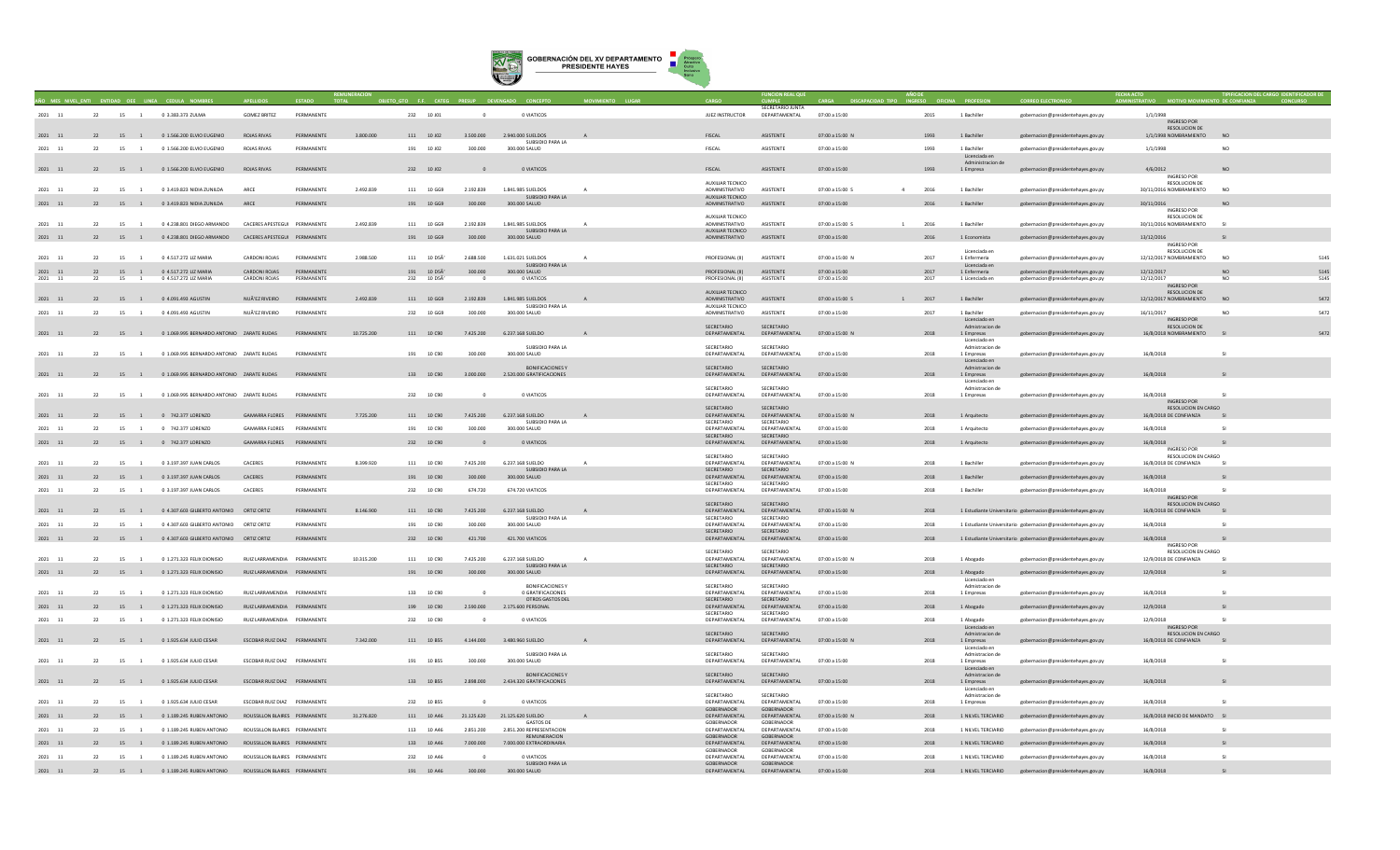

| 2021 11              | 22 |                      | 15 1 0 3.383.373 ZULMA                            | <b>GOMEZ BRITEZ</b>           | PERMANENTE        |            | 232 10 J01  | $\sim$             | 0 VIATICOS                                   |              | JUEZ INSTRUCTOR                           | SECRETARIO JUNTA<br>DEPARTAMENTAL  | 07:00 a 15:00                  | 2015                                                                           | 1 Bachiller                      | gobernacion@presidentehayes.gov.py                            | 1/1/1998                                         |                         |
|----------------------|----|----------------------|---------------------------------------------------|-------------------------------|-------------------|------------|-------------|--------------------|----------------------------------------------|--------------|-------------------------------------------|------------------------------------|--------------------------------|--------------------------------------------------------------------------------|----------------------------------|---------------------------------------------------------------|--------------------------------------------------|-------------------------|
|                      |    |                      |                                                   |                               |                   |            |             |                    |                                              |              |                                           |                                    |                                |                                                                                |                                  |                                                               | INGRESO POR<br>RESOLUCION DE                     |                         |
| 2021 11              |    |                      | 22 15 1 0 1.566.200 ELVIO EUGENIO                 | <b>ROJAS RIVAS</b>            | PERMANENTE        | 3,800,000  | 111 10 J02  | 3,500,000          | 2.940.000 SUELDOS<br>SUBSIDIO PARA LA        |              | FISCAL                                    | ASISTENTE                          | 07:00 a 15:00 N                | 1993                                                                           | 1 Bachiller                      | gobernacion@presidentehayes.gov.py                            | 1/1/1998 NOMBRAMIENTO                            |                         |
| 2021 11              | 22 | 15 1                 | 0 1.566.200 ELVIO EUGENIO                         | ROJAS RIVAS                   | PERMANENTE        |            | 191 10 J02  | 300.000            | 300.000 SALUD                                |              | FISCAL                                    | ASISTENTE                          | 07:00 a 15:00                  | 1993                                                                           | 1 Bachiller<br>Licenciada en     | gobernacion@presidentehayes.gov.py                            | 1/1/1998                                         | N <sub>O</sub>          |
| 2021 11              |    |                      | 22 15 1 0 1.566.200 ELVIO EUGENIO                 | <b>ROJAS RIVAS</b>            | PERMANENTE        |            | 232 10 J02  |                    | 0 VIATICOS                                   |              | FISCAL                                    | ASISTENTE                          | 07:00 a 15:00                  | 1993                                                                           | Administracion de<br>1 Empresa   | gobernacion@presidentehayes.gov.py                            | 4/6/2012                                         | <b>NO</b>               |
|                      |    |                      |                                                   |                               |                   |            |             |                    |                                              |              | AUXILIAR TECNICO                          |                                    |                                |                                                                                |                                  |                                                               | INGRESO POR<br>RESOLUCION DE                     |                         |
| 2021 11              | 22 | 15<br>$\overline{1}$ | 0.3 419 823 NIDIA ZUNILDA                         | ARCE                          | <b>DERMANENTE</b> | 2.492.839  | 111 10 GG9  | 2.192.839          | 1.841.985 SUELDOS<br>SURSIDIO PARA LA        |              | ADMINISTRATIVO<br>AUXILIAR TECNICO        | <b>ASISTENTE</b>                   | $07:00 \times 15:00 \times$    | 2016                                                                           | 1 Bachiller                      | gobernacion@presidentehayes.gov.py                            | 30/11/2016 NOMBRAMIENTO                          | N <sub>O</sub>          |
| 2021 11              | 22 |                      | 15 1 0 3.419.823 NIDIA ZUNILDA                    | ARCE                          | PERMANENTE        |            | 191 10 GG9  | 300,000            | 300,000 SALUD                                |              | ADMINISTRATIVO                            | ASISTENTE                          | 07:00 a 15:00                  | 2016                                                                           | 1 Bachiller                      | gobernacion@presidentehayes.gov.py                            | 30/11/2016<br>INGRESO POR                        |                         |
| 2021 11              | 22 | 15 1                 | 0 4.238.801 DIEGO ARMANDO                         | CACERES APESTEGUI PERMANENTE  |                   | 2.492.839  | 111 10 GG9  | 2.192.839          | 1.841.985 SUELDOS                            | $\mathbf{A}$ | <b>AUXILIAR TECNICO</b><br>ADMINISTRATIVO | ASISTENTE                          | 07:00 a 15:00 S                | 2016<br>$\overline{1}$                                                         | 1 Bachiller                      | gobernacion@presidentehayes.gov.py                            | RESOLUCION DE<br>30/11/2016 NOMBRAMIENTO         | S1                      |
| 2021 11              | 22 |                      | 15 1 0 4.238.801 DIEGO ARMANDO                    | CACERES APESTEGUI PERMANENTE  |                   |            | 191 10 GG9  | 300,000            | SUBSIDIO PARA LA<br>300,000 SALUD            |              | AUXILIAR TECNICO<br>ADMINISTRATIVO        | ASISTENTE                          | 07:00 a 15:00                  | 2016                                                                           | 1 Economista                     | gobernacion@presidentehayes.gov.py                            | 13/12/2016                                       | S1                      |
|                      |    |                      |                                                   |                               |                   |            |             |                    |                                              |              |                                           |                                    |                                |                                                                                |                                  |                                                               | INGRESO POR                                      |                         |
| 2021 11              | 22 | 15<br>$\overline{1}$ | 0 4.517.272 LIZ MARIA                             | CARDONI ROJAS                 | PERMANENTE        | 2.988.500  | 111 10 D5A  | 2,688,500          | 1.631.021 SUELDOS                            |              | PROFESIONAL (II)                          | ASISTENTE                          | 07:00 a 15:00 N                | 2017                                                                           | Licenciada en<br>1 Enfermeria    | gobernacion@presidentehayes.gov.py                            | RESOLUCION DE<br>12/12/2017 NOMBRAMIENTO         | N <sub>O</sub>          |
| $2021$ 11            |    |                      | 22 15 1 0 4.517.272 LIZ MARIA                     | CARDONI ROJAS                 | PERMANENTE        |            | 191 10 D5A' | 300.000            | SUBSIDIO PARA LA<br>300.000 SALUD            |              | PROFESIONAL (II)                          | ASISTENTE                          | 07:00 a 15:00                  | 2017                                                                           | Licenciada en<br>1 Enfermeria    | gobernacion@presidentehayes.gov.py                            | 12/12/2017                                       | 514<br>NO <sub>1</sub>  |
| $2021$ 11            | 22 | 15<br>$\overline{1}$ | 0 4.517.272 LIZ MARIA                             | CARDONI ROJAS                 | PERMANENTE        |            | 232 10 D5A  |                    | 0 VIATICOS                                   |              | PROFESIONAL (II)                          | ASISTENTE                          | 07:00 a 15:00                  | 2017                                                                           | 1 Licenciada en                  | gobernacion@presidentehayes.gov.py                            | 12/12/2017<br>INGRESO POR                        | 5145<br>NO              |
| 2021 11              |    |                      | 22 15 1 0 4.091.493 AGUSTIN                       | NUÃ EZ RIVEIRO                | PERMANENTE        | 2.492.839  | 111 10 GG9  | 2.192.839          | 1.841.985 SUELDOS                            |              | <b>AUXILIAR TECNICO</b><br>ADMINISTRATIVO | ASISTENTE                          | 07:00 a 15:00 S                | $\begin{matrix} 1 \end{matrix} \qquad \qquad \begin{matrix} 2017 \end{matrix}$ | 1 Bachiller                      | gobernacion@presidentehayes.gov.py                            | <b>RESOLUCION DE</b><br>12/12/2017 NOMBRAMIENTO  | 5472<br>NO              |
| 2021 11              | 22 | 15 1                 | 0 4.091.493 AGUSTIN                               | NUÃ EZ RIVEIRO                | PERMANENTE        |            | 232 10 GG9  | 300.000            | SUBSIDIO PARA LA<br>300,000 SALUD            |              | <b>AUXILIAR TECNICO</b><br>ADMINISTRATIVO | ASISTENTE                          | 07:00 a 15:00                  | 2017                                                                           | 1 Bachiller                      | gobernacion@presidentehayes.gov.py                            | 16/11/2017                                       | N <sub>O</sub>          |
|                      |    |                      |                                                   |                               |                   |            |             |                    |                                              |              | SECRETARIO                                | SECRETARIO                         |                                |                                                                                | Licenciado en<br>Admistracion de |                                                               | INGRESO POR<br>RESOLUCION DE                     |                         |
| 2021 11              |    |                      | 22 15 1 0 1.069.995 BERNARDO ANTONIO ZARATE RUDAS |                               | PERMANENTE        | 10.725.200 | 111 10 C90  | 7.425.200          | 6.237.168 SUELDO                             |              | DEPARTAMENTAL                             | DEPARTAMENTAL                      | 07:00 a 15:00 N                | 2018                                                                           | 1 Empresas<br>Licenciado e       | gobernacion@presidentehayes.gov.py                            | 16/8/2018 NOMBRAMIENTO                           |                         |
| 2021 11              | 22 | 15 1                 | 0 1.069.995 BERNARDO ANTONIO ZARATE RUDAS         |                               | PERMANENTE        |            | 191 10 C90  | 300,000            | SUBSIDIO PARA LA<br>300.000 SALUD            |              | SECRETARIO<br>DEPARTAMENTAL               | SECRETARIO<br>DEPARTAMENTAL        | 07:00 a 15:00                  | 2018                                                                           | Admistracion de<br>1 Empresas    | gobernacion@presidentehayes.gov.py                            | 16/8/2018                                        | $\overline{\mathbf{S}}$ |
|                      |    |                      |                                                   |                               |                   |            |             |                    | <b>BONIFICACIONES Y</b>                      |              | SECRETARIO                                | SECRETARIO                         |                                |                                                                                | Licenciado en<br>Admistracion de |                                                               |                                                  |                         |
| $2021\quad 11$       |    |                      | 22 15 1 0 1.069.995 BERNARDO ANTONIO ZARATE RUDAS |                               | PERMANENTE        |            | 133 10 C90  | 3.000.000          | 2.520.000 GRATIFICACIONES                    |              | DEPARTAMENTAL                             | DEPARTAMENTAL                      | 07:00 a 15:00                  | 2018                                                                           | 1 Empresas<br>Licenciado en      | gobernacion@presidentehayes.gov.py                            | 16/8/2018                                        | SI <sub>s</sub>         |
| 2021 11              | 22 | 15 1                 | 0.1.069.995 RERNARDO ANTONIO ZARATE RUDAS         |                               | PERMANENTE        |            | 232 10 090  | $\sim$             | O VIATICOS                                   |              | SECRETARIO<br>DEPARTAMENTAL               | SECRETARIO<br>DEPARTAMENTAL        | 07:00 a 15:00                  | 2018                                                                           | Admistracion de<br>1 Empresas    | gobernacion@presidentehaves.gov.pv                            | 16/8/2018                                        | S1                      |
|                      |    |                      |                                                   |                               |                   |            |             |                    |                                              |              | SECRETARIO                                | SECRETARIO                         |                                |                                                                                |                                  |                                                               | INGRESO POR<br>RESOLUCION EN CARGO               |                         |
| 2021 11              |    |                      | 22 15 1 0 742.377 LORENZO                         | GAMARRA FLORES PERMANENTE     |                   | 7.725.200  | 111 10 C90  | 7.425.200          | 6.237.168 SUELDO<br>SUBSIDIO PARA LA         |              | DEPARTAMENTAL<br>SECRETARIO               | DEPARTAMENTAL<br>SECRETARIO        | 07:00 a 15:00 N                | 2018                                                                           | 1 Arquitecto                     | gobernacion@presidentehayes.gov.py                            | 16/8/2018 DE CONFIANZA SI                        |                         |
| 2021 11              | 22 | 15 1                 | 0 742,377 LORENZO                                 | <b>GAMARRA FLORES</b>         | PERMANENTE        |            | 191 10 C90  | 300,000            | 300,000 SALUD                                |              | DEPARTAMENTAL<br>SECRETARIO               | DEPARTAMENTAL<br>SECRETARIO        | 07:00 a 15:00                  | 2018                                                                           | 1 Arquitecto                     | gobernacion@presidentehayes.gov.py                            | 16/8/2018                                        | $\overline{\mathbf{S}}$ |
| 2021 11              |    |                      | 22 15 1 0 742.377 LORENZO                         | GAMARRA FLORES PERMANENTE     |                   |            | 232 10 C90  |                    | O VIATICOS                                   |              | DEPARTAMENTAL                             | DEPARTAMENTAL                      | 07:00 a 15:00                  | 2018                                                                           | 1 Arquitecto                     | gobernacion@presidentehayes.gov.py                            | 16/8/2018<br><b>INGRESO POR</b>                  | S1                      |
| 2021 11              | 22 | 15 1                 | 0 3.197.397 JUAN CARLOS                           | CACERES                       | PERMANENTE        | 8.399.920  | 111 10 C90  | 7.425.200          | 6.237.168 SUELDO                             |              | SECRETARIO<br>DEPARTAMENTAL               | SECRETARIO<br>DEPARTAMENTAL        | 07:00 a 15:00 N                | 2018                                                                           | 1 Bachiller                      | gobernacion@presidentehayes.gov.py                            | RESOLUCION EN CARGO<br>16/8/2018 DE CONFIANZA    | SI                      |
|                      |    |                      | 22 15 1 0 3.197.397 JUAN CARLOS                   | CACERES                       | PERMANENTE        |            | 191 10 C90  |                    | SUBSIDIO PARA LA<br>300.000 SALUD            |              | SECRETARIO<br>DEPARTAMENTAL               | SECRETARIO<br>DEPARTAMENTAL        |                                |                                                                                | 1 Bachiller                      |                                                               | 16/8/2018                                        |                         |
| 2021 11<br>2021 11   | 22 | 15 1                 |                                                   | CACERES                       | PERMANENTE        |            | 232 10 C90  | 300.000<br>674.720 | 674,720 VIATICOS                             |              | SECRETARIO                                | SECRETARIO<br>DEPARTAMENTAL        | 07:00 a 15:00<br>07:00 a 15:00 | 2018<br>2018                                                                   | 1 Bachiller                      | gobernacion@presidentehayes.gov.py                            |                                                  | SI.                     |
|                      |    |                      | 0 3.197.397 JUAN CARLOS                           |                               |                   |            |             |                    |                                              |              | DEPARTAMENTAL                             |                                    |                                |                                                                                |                                  | gobernacion@presidentehayes.gov.py                            | 16/8/2018<br><b>INGRESO POR</b>                  |                         |
| 2021 11              |    |                      | 22 15 1 0 4.307.603 GILBERTO ANTONIO ORTIZ ORTIZ  |                               | PERMANENTE        | 8.146.900  | 111 10 C90  | 7.425.200          | 6.237.168 SUELDO                             |              | SECRETARIO<br>DEPARTAMENTAL               | SECRETARIO<br>DEPARTAMENTAL        | 07:00 a 15:00 N                | 2018                                                                           |                                  | 1 Estudiante Universitario gobernacion@presidentehayes.gov.py | RESOLUCION EN CARGO<br>16/8/2018 DE CONFIANZA SI |                         |
| 2021 11              | 22 | 15<br>$\overline{1}$ | 0 4.307.603 GILBERTO ANTONIO ORTIZ ORTIZ          |                               | PERMANENTE        |            | 191 10 C90  | 300.000            | SUBSIDIO PARA LA<br>300.000 SALUD            |              | SECRETARIO<br>DEPARTAMENTAL               | SECRETARIO<br>DEPARTAMENTAL        | 07:00 a 15:00                  | 2018                                                                           |                                  | 1 Estudiante Universitario gobernacion@presidentehayes.gov.py | 16/8/2018                                        | -SI                     |
| 2021 11              |    | 22 15 1              | 0 4.307.603 GILBERTO ANTONIO ORTIZ ORTIZ          |                               | PERMANENTE        |            | 232 10 C90  | 421.700            | 421.700 VIATICOS                             |              | SECRETARIO<br>DEPARTAMENTAL               | SECRETARIO<br>DEPARTAMENTAL        | 07:00 a 15:00                  | 2018                                                                           |                                  | 1 Estudiante Universitario gobernacion@presidentehayes.gov.py | 16/8/2018                                        |                         |
|                      |    |                      |                                                   |                               |                   |            |             |                    |                                              |              | SECRETARIO                                | SECRETARIO                         |                                |                                                                                |                                  |                                                               | <b>INGRESO POR</b><br>RESOLUCION EN CARGO        |                         |
| 2021 11              | 22 | 15 1                 | 0 1.271.323 FELIX DIONISIO                        | RUIZ LARRAMENDIA PERMANENTE   |                   | 10.315.200 | 111 10 C90  | 7.425.200          | 6.237.168 SUELDO<br>SUBSIDIO PARA LA         |              | DEPARTAMENTAL<br>SECRETARIO               | DEPARTAMENTAL<br>SECRETARIO        | 07:00 a 15:00 N                | 2018                                                                           | 1 Abogado                        | gobernacion@presidentehayes.gov.py                            | 12/9/2018 DE CONFIANZA                           | S1                      |
| 2021 11              |    |                      | 22 15 1 0 1.271.323 FELIX DIONISIO                | RUIZ LARRAMENDIA PERMANENTE   |                   |            | 191 10 C90  | 300,000            | 300,000 SALUD                                |              | DEPARTAMENTAL                             | DEPARTAMENTAL                      | 07:00 a 15:00                  | 2018                                                                           | 1 Abogado<br>Licenciado en       | gobernacion@presidentehayes.gov.py                            | 12/9/2018                                        |                         |
| 2021 11              | 22 | 15 1                 | 0.1.271.323 FELIX DIONISIO                        | RUIZ LARRAMENDIA PERMANENTE   |                   |            | 133 10 090  |                    | <b>BONIFICACIONES Y</b><br>0 GRATIFICACIONES |              | SECRETARIO<br>DEPARTAMENTAL               | SECRETARIO<br>DEPARTAMENTAL        | 07:00 a 15:00                  | 2018                                                                           | Admistracion de<br>1 Empresas    | gobernacion@presidentehayes.gov.py                            | 16/8/2018                                        | S1                      |
| 2021 11              | 22 | 15<br>$\overline{1}$ | 0 1.271.323 FELIX DIONISIO                        | RUIZ LARRAMENDIA PERMANENTE   |                   |            | 199 10 C90  | 2,590,000          | OTROS GASTOS DEL<br>2.175.600 PERSONAL       |              | SECRETARIO<br>DEPARTAMENTAL               | SECRETARIO<br>DEPARTAMENTAL        | 07:00 a 15:00                  | 2018                                                                           | 1 Abogado                        | gobernacion@presidentehayes.gov.py                            | 12/9/2018                                        |                         |
| 2021 11              | 22 | 15 1                 | 0 1.271.323 FELIX DIONISIO                        | RUIZ LARRAMENDIA PERMANENTE   |                   |            | 232 10 C90  |                    | 0 VIATICOS                                   |              | SECRETARIO<br>DEPARTAMENTAL               | SECRETARIO<br>DEPARTAMENTAL        | 07:00 a 15:00                  | 2018                                                                           | 1 Abogado                        | gobernacion@presidentehaves.gov.pv                            | 12/9/2018                                        | SI.                     |
|                      |    |                      |                                                   |                               |                   |            |             |                    |                                              |              | SECRETARIO                                | SECRETARIO                         |                                |                                                                                | Licenciado en<br>Admistracion de |                                                               | INGRESO POR<br>RESOLUCION EN CARGO               |                         |
| 2021 11              |    |                      | 22 15 1 0 1.925.634 JULIO CESAR                   | ESCOBAR RUIZ DIAZ PERMANENTE  |                   | 7,342,000  | 111 10 B55  |                    | 4.144.000 3.480.960 SUELDO                   |              | DEPARTAMENTAL                             | DEPARTAMENTAL                      | 07:00 a 15:00 N                | 2018                                                                           | 1 Empresas<br>Licenciado en      | gobernacion@presidentehayes.gov.py                            | 16/8/2018 DE CONFIANZA SI                        |                         |
| $2021\quad \  \  11$ | 22 | 15 1                 | 0 1.925.634 JULIO CESAR                           | ESCOBAR RUIZ DIAZ PERMANENTE  |                   |            | 191 10 B55  | 300,000            | SUBSIDIO PARA LA<br>300.000 SALUD            |              | SECRETARIO<br>DEPARTAMENTAL               | SECRETARIO<br>DEPARTAMENTAL        | 07:00 a 15:00                  | 2018                                                                           | Admistracion de<br>1 Empresas    | gobernacion@presidentehayes.gov.py                            | 16/8/2018                                        | SI.                     |
|                      |    |                      |                                                   |                               |                   |            |             |                    | <b>BONIFICACIONES Y</b>                      |              | <b>SECRETARIO</b>                         | SECRETARIO                         |                                |                                                                                | Licenciado en<br>Admistracion de |                                                               |                                                  |                         |
| $2021\quad \  \  11$ |    |                      | 22 15 1 0 1.925.634 JULIO CESAR                   | ESCOBAR RUIZ DIAZ PERMANENTE  |                   |            | 133 10 B55  | 2.898.000          | 2.434.320 GRATIFICACIONES                    |              | DEPARTAMENTAL                             | DEPARTAMENTAL                      | 07:00 a 15:00                  | 2018                                                                           | 1 Empresas<br>Licenciado er      | gobernacion@presidentehayes.gov.py                            | 16/8/2018                                        |                         |
| 2021 11              | 22 | 15 1                 | 0 1.925.634 JULIO CESAR                           | ESCOBAR RUIZ DIAZ PERMANENTE  |                   |            | 232 10 B55  |                    | 0 VIATICOS                                   |              | SECRETARIO<br>DEPARTAMENTAL               | SECRETARIO<br>DEPARTAMENTAL        | 07:00 a 15:00                  | 2018                                                                           | Admistracion de<br>1 Empresas    | gobernacion@presidentehayes.gov.py                            | 16/8/2018                                        | <b>SI</b>               |
| 2021 11              |    | 15 1                 | 0 1.189.245 RUBEN ANTONIO                         | ROUSSILLON BLAIRES PERMANENTE |                   | 31.276.820 | 111 10 A46  |                    | 21.125.620 21.125.620 SUELDO                 |              | GOBERNADOR<br>DEPARTAMENTAL               | <b>GOBERNADOR</b><br>DEPARTAMENTAL | 07:00 a 15:00 N                | 2018                                                                           | 1 NILVEL TERCIARIO               | gobernacion@presidentehayes.gov.py                            | 16/8/2018 INICIO DE MANDATO SI                   |                         |
| $2021\quad \, 11$    | 22 | 15                   | 0 1.189.245 RUBEN ANTONIO                         | ROUSSILLON BLAIRES PERMANENTE |                   |            | 113 10 A46  | 2,851,200          | <b>GASTOS DE</b><br>2.851.200 REPRESENTACION |              | GOBERNADOR<br>DEPARTAMENTAL               | GOBERNADOR<br>DEPARTAMENTAL        | 07:00 a 15:00                  | 2018                                                                           | 1 NILVEL TERCIARIO               |                                                               | 16/8/2018                                        | $\overline{\mathbf{c}}$ |
|                      | 22 |                      |                                                   |                               |                   |            | 133 10 A46  | 7,000,000          | REMUNERACION<br>7,000,000 EXTRAORDINARIA     |              | GORERNADOR<br>DEPARTAMENTAL               | GORERNADOR<br>DEPARTAMENTAL        | 07:00 a 15:00                  | 2018                                                                           | 1 NILVEL TERCIARIO               | gobernacion@presidentehayes.gov.py                            | 16/8/2018                                        |                         |
| $2021\quad \  11$    | 22 | 15 1<br>15 1         | 0 1.189.245 RUBEN ANTONIO                         | ROUSSILLON BLAIRES PERMANENTE |                   |            | 232 10 A46  |                    | 0 VIATICOS                                   |              | GORERNADOR<br>DEPARTAMENTAL               | GORFRNADOR<br>DEPARTAMENTAL        |                                | 2018                                                                           |                                  | gobernacion@presidentehayes.gov.py                            |                                                  | <b>SI</b>               |
| 2021 11              |    |                      | 0 1.189.245 RUBEN ANTONIO                         | ROUSSILLON BLAIRES PERMANENTE |                   |            |             |                    | SUBSIDIO PARA LA                             |              | GORERNADOR                                | GORERNADOR                         | 07:00 a 15:00                  |                                                                                | 1 NILVEL TERCIARIO               | gobernacion@presidentehayes.gov.py                            | 16/8/2018                                        |                         |
| 2021 11              |    |                      | 22 15 1 0 1.189.245 RUBEN ANTONIO                 | ROUSSILLON BLAIRES PERMANENTE |                   |            | 191 10 A46  | 300.000            | 300.000 SALUD                                |              | DEPARTAMENTAL                             | DEPARTAMENTAL                      | 07:00 a 15:00                  | 2018                                                                           | 1 NILVEL TERCIARIO               | gobernacion@presidentehayes.gov.py                            | 16/8/2018                                        |                         |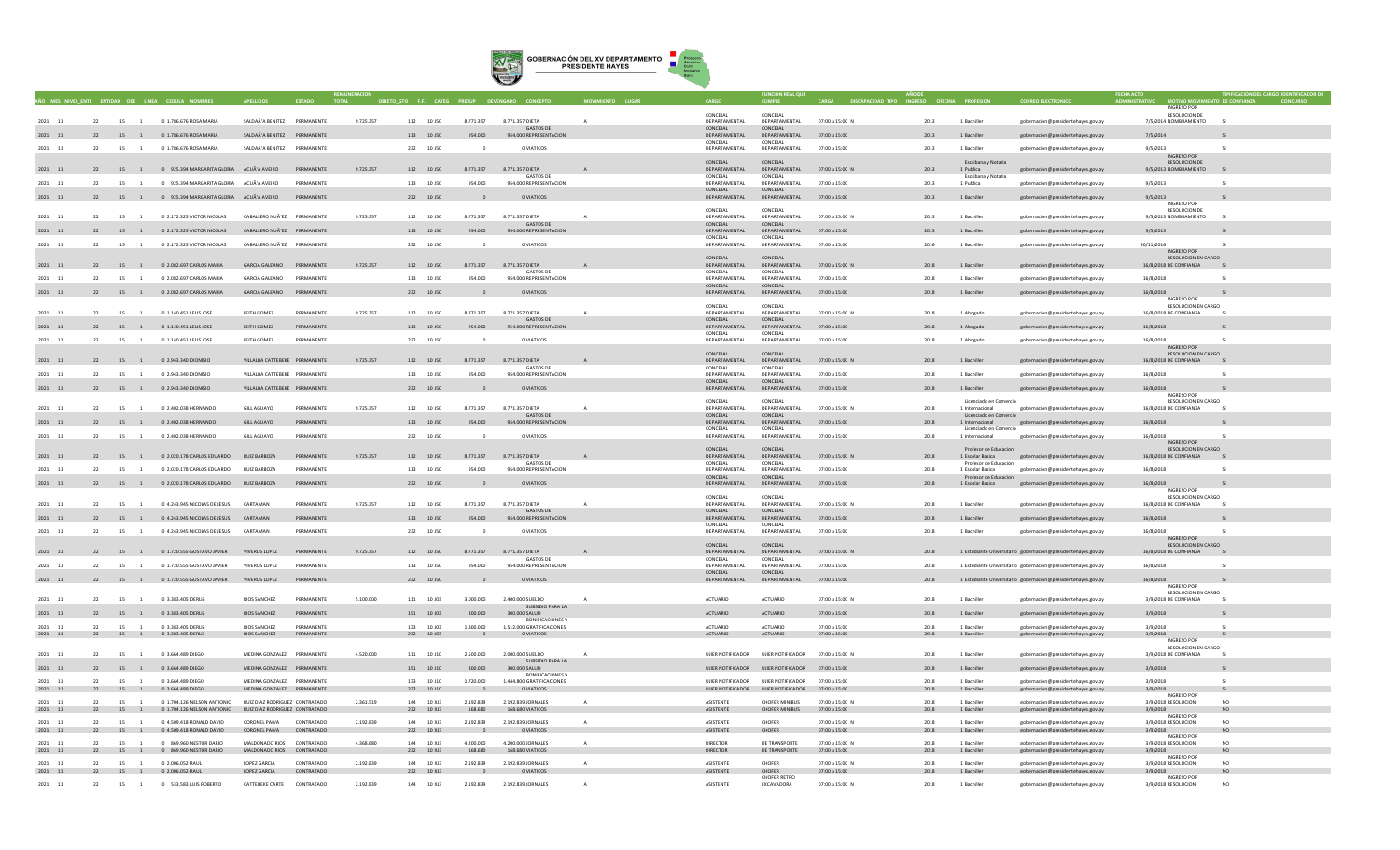

|                         |    |                      |                                                                                                   |                                                          |                          |           |                          |                          |                                                    |              |                               |                                                                               |                                  |              |                                           |                                                                          | <b>INGRESO PO</b>                                    |                             |
|-------------------------|----|----------------------|---------------------------------------------------------------------------------------------------|----------------------------------------------------------|--------------------------|-----------|--------------------------|--------------------------|----------------------------------------------------|--------------|-------------------------------|-------------------------------------------------------------------------------|----------------------------------|--------------|-------------------------------------------|--------------------------------------------------------------------------|------------------------------------------------------|-----------------------------|
| 2021 11                 | 22 |                      | 15 1 0 1.786.676 ROSA MARIA                                                                       | SALDAÃ'A BENITEZ PERMANENTE                              |                          | 9.725.357 | 112 10 J50               | 8,771,357                | 8.771.357 DIETA                                    | $\Delta$     | CONCEJAL<br>DEPARTAMENTAL     | CONCEJAI<br>DEPARTAMENTAL                                                     | 07:00 a 15:00 N                  | 2013         | 1 Bachiller                               | gobernacion@presidentehayes.gov.py                                       | RESOLUCION DE<br>7/5/2014 NOMBRAMIENTO               | S1                          |
| 2021 11                 |    | 15<br>$\overline{1}$ | 0 1.786.676 ROSA MARIA                                                                            | SALDAÃ'A BENITEZ PERMANENTE                              |                          |           | 113 10 J50               | 954,000                  | <b>GASTOS DE</b><br>954.000 REPRESENTACION         |              | CONCEJAL<br>DEPARTAMENTAL     | CONCEJAL<br>DEPARTAMENTAL                                                     | 07:00 a 15:00                    | 2013         | 1 Bachille                                | gobernacion@presidentehayes.gov.py                                       | 7/5/2014                                             |                             |
| 2021 11                 | 22 | 15 1                 | 0.1.786.676 ROSA MARIA                                                                            | SAI DAÃ'A RENITEZ PERMANENTE                             |                          |           | 232 10 150               | $\Omega$                 | 0 VIATICOS                                         |              | CONCEJAL<br>DEPARTAMENTAL     | CONCEJAL<br>DEPARTAMENTAL                                                     | 07:00 a 15:00                    | 2013         | 1 Bachiller                               | gobernacion@presidentehayes.gov.p                                        | 9/5/2013                                             | -SI                         |
|                         |    |                      |                                                                                                   |                                                          |                          |           |                          |                          |                                                    |              |                               |                                                                               |                                  |              |                                           |                                                                          | INGRESO POR                                          |                             |
| 2021 11                 |    |                      | 22 15 1 0 925.394 MARGARITA GLORIA ACUÃ'A AVEIRO PERMANENTE                                       |                                                          |                          | 9.725.357 | 112 10 J50               | 8.771.357                | 8.771.357 DIETA                                    |              | CONCEJAL<br>DEPARTAMENTAL     | CONCEJAL<br>DEPARTAMENTAL                                                     | 07:00 a 15:00 N                  | 2013         | Escribana y Notaria<br>1 Publica          | gobernacion@presidentehayes.gov.py                                       | RESOLUCION DE<br>9/5/2013 NOMBRAMIENTO SI            |                             |
| 2021 11                 | 22 | 15                   | 0 925.394 MARGARITA GLORIA ACUÃ'A AVEIRO                                                          |                                                          | PERMANENTE               |           | 113 10 150               | 954.000                  | <b>GASTOS DE</b><br>954.000 REPRESENTACION         |              | CONCEJAL<br>DEPARTAMENTAL     | CONCEJAL<br>DEPARTAMENTAL                                                     | 07:00 a 15:00                    | 2013         | Escribana y Notaria<br>1 Publica          | eobernacion@presidentehaves.gov.py                                       | 9/5/2013                                             | $\overline{S}$              |
|                         |    |                      | 0 925.394 MARGARITA GLORIA ACUÃ'A AVEIRO                                                          |                                                          | PERMANENTE               |           | 232 10 J50               |                          | 0 VIATICOS                                         |              | CONCEJAL                      | CONCEJAL<br>DEPARTAMENTAL                                                     |                                  |              | 1 Bachiller                               |                                                                          |                                                      |                             |
| 2021 11                 | 22 | 15 1                 |                                                                                                   |                                                          |                          |           |                          |                          |                                                    |              | DEPARTAMENTAL                 |                                                                               | 07:00 a 15:00                    | 2013         |                                           | gobernacion@presidentehayes.gov.py                                       | 9/5/2013<br><b>INGRESO POR</b>                       |                             |
| 2021 11                 | 22 | 15                   | 0 2.172.325 VICTOR NICOLAS                                                                        | CABALLERO NUÃ'EZ PERMANENTE                              |                          | 9.725.357 | 112 10 J50               | 8.771.357                | 8.771.357 DIETA                                    |              | CONCEJAL<br>DEPARTAMENTAL     | CONCEJAL<br>DEPARTAMENTAL                                                     | 07:00 a 15:00 M                  | 2013         | 1 Bachiller                               | gobernacion@presidentehayes.gov.py                                       | RESOLUCION DE<br>9/5/2013 NOMBRAMIENTO               | $\sim$                      |
| 2021 11                 | 22 |                      | 15 1 0 2.172.325 VICTOR NICOLAS                                                                   | CABALLERO NUÃ'EZ PERMANENTE                              |                          |           | 113 10 150               | 954,000                  | <b>GASTOS DE</b><br>954.000 REPRESENTACION         |              | CONCEIAL<br>DEPARTAMENTAL     | CONCEIAL<br>DEPARTAMENTAL                                                     | 07:00a15:00                      | 2013         | 1 Bachiller                               |                                                                          | 9/5/2013                                             |                             |
|                         |    |                      |                                                                                                   |                                                          |                          |           |                          |                          |                                                    |              | CONCEJAL                      | CONCEJAL                                                                      |                                  |              |                                           | gobernacion@presidentehayes.gov.py                                       |                                                      |                             |
| 2021 11                 | 22 | 15<br>$\sim$ 1       | 0.2.172.325 VICTOR NICOLAS                                                                        | CARALLERO NUÃ'EZ PERMANENTE                              |                          |           | 232 10 150               |                          | 0 VIATICOS                                         |              | DEPARTAMENTAL                 | DEPARTAMENTAL                                                                 | 07:00 a 15:00                    | 2016         | 1 Bachiller                               | gobernacion@presidentehayes.gov.py                                       | 30/11/2016<br>INGRESO POR                            | $\ddot{\mathbf{c}}$         |
| 2021 11                 |    |                      | 22 15 1 0 2.082.697 CARLOS MARIA                                                                  | GARCIA GALEANO PERMANENTE                                |                          | 9.725.357 | 112 10 J50               | 8.771.357                | 8.771.357 DIETA                                    |              | CONCEJAL<br>DEPARTAMENTAL     | CONCEJAL<br>DEPARTAMENTAL                                                     | 07:00 a 15:00 N                  | 2018         | 1 Bachiller                               | gobernacion@presidentehayes.gov.py                                       | <b>RESOLUCION EN CARGO</b><br>16/8/2018 DE CONFIANZA |                             |
|                         |    |                      |                                                                                                   |                                                          |                          |           |                          |                          | <b>GASTOS DE</b>                                   |              | CONCEJAL                      | CONCEJAL                                                                      |                                  |              |                                           |                                                                          |                                                      |                             |
| 2021 11                 | 22 | 15                   | 0 2.082.697 CARLOS MARIA                                                                          | <b>GARCIA GALEANO</b>                                    | PERMANENTI               |           | 113 10 J50               | 954.000                  | 954.000 REPRESENTACION                             |              | DEPARTAMENTAL<br>CONCEJAL     | DEPARTAMENTAL<br>CONCEJAL                                                     | 07:00 a 15:00                    | 2018         | 1 Bachille                                | gobernacion@presidentehayes.gov.py                                       | 16/8/2018                                            |                             |
| 2021 11                 | 22 | 15 1                 | 0 2.082.697 CARLOS MARIA                                                                          | <b>GARCIA GALEANO</b>                                    | PERMANENTE               |           | 232 10 J50               |                          | 0 VIATICOS                                         |              | DEPARTAMENTAL                 | DEPARTAMENTAL                                                                 | 07:00 a 15:00                    | 2018         | 1 Bachiller                               | gobernacion@presidentehayes.gov.py                                       | 16/8/2018<br>INGRESO POR                             |                             |
|                         |    |                      |                                                                                                   |                                                          |                          |           |                          |                          |                                                    |              | CONCEJAL                      | CONCEJAL                                                                      |                                  |              |                                           |                                                                          | RESOLUCION EN CARGO                                  |                             |
| 2021 11                 | 22 | 15 1                 | 0 1.140.451 LELIS JOSE                                                                            | <b>I FITH GOMEZ</b>                                      | PERMANENTE               | 9.725.357 | 112 10 150               | 8,771,357                | 8.771.357 DIFTA<br><b>GASTOS DE</b>                | $\mathbf{A}$ | DEPARTAMENTAL<br>CONCEIAL     | DEPARTAMENTAL<br>CONCEIAL                                                     | 07:00 a 15:00 N                  | 2018         | 1 Abogado                                 | gobernacion@presidentehayes.gov.py                                       | 16/8/2018 DE CONFIANZA                               | - 51                        |
| 2021 11                 | 22 |                      | 15 1 0 1.140.451 LELIS JOSE                                                                       | LEITH GOMEZ                                              | PERMANENTE               |           | 113 10 J50               | 954,000                  | 954,000 REPRESENTACION                             |              | DEPARTAMENTAL<br>CONCEJAL     | DEPARTAMENTAL<br>CONCEJAL                                                     | 07:00 a 15:00                    | 2018         | 1 Abogado                                 | gobernacion@presidentehayes.gov.py                                       | 16/8/2018                                            | SI <sup></sup>              |
| $2021\qquad 11$         | 22 | 15 1                 | 0 1.140.451 LELIS JOSE                                                                            | LEITH GOMEZ                                              | PERMANENTE               |           | 232 10 J50               |                          | 0 VIATICOS                                         |              | DEPARTAMENTAL                 | DEPARTAMENTAL                                                                 | 07:00 a 15:00                    | 2018         | 1 Abogado                                 | gobernacion@presidentehayes.gov.py                                       | 16/8/2018                                            | SI.                         |
|                         |    |                      |                                                                                                   |                                                          |                          |           |                          |                          |                                                    |              | CONCEJAL                      | CONCEJAL                                                                      |                                  |              |                                           |                                                                          | INGRESO POR<br>RESOLUCION EN CARGO                   |                             |
| 2021 11                 |    |                      | 22 15 1 0 2.943.340 DIONISIO                                                                      | VILLALBA CATTEBEKE PERMANENTE                            |                          | 9,725,357 | 112 10 J50               | 8.771.357                | 8.771.357 DIETA<br><b>GASTOS DE</b>                |              | CONCEJAL                      | DEPARTAMENTAL DEPARTAMENTAL<br>CONCEJAL                                       | 07:00 a 15:00 N                  | 2018         | 1 Bachiller                               | gobernacion@presidentehayes.gov.py                                       | 16/8/2018 DE CONFIANZA                               | <b>SI</b>                   |
| 2021 11                 | 22 | 15                   | 0 2.943.340 DIONISIO                                                                              | VILLALBA CATTEBEKE PERMANENTE                            |                          |           | 113 10 J50               | 954.000                  | 954.000 REPRESENTACION                             |              | DEPARTAMENTAL                 | DEPARTAMENTAL                                                                 | 07:00 a 15:00                    | 2018         | 1 Bachiller                               | gobernacion@presidentehayes.gov.py                                       | 16/8/2018                                            | $\mathsf{C}$                |
| 2021 11                 | 22 | 15 1                 | 0 2.943.340 DIONISIO                                                                              | VILLALBA CATTEBEKE PERMANENTE                            |                          |           | 232 10 J50               |                          | 0 VIATICOS                                         |              | CONCEJAL<br>DEPARTAMENTAL     | CONCEIAL<br>DEPARTAMENTAL                                                     | 07:00 a 15:00                    | 2018         | 1 Bachiller                               | gobernacion@presidentehayes.gov.py                                       | 16/8/2018                                            | <b>SI</b>                   |
|                         |    |                      |                                                                                                   |                                                          |                          |           |                          |                          |                                                    |              | CONCEJAL                      | CONCEJAL                                                                      |                                  |              | Licenciado en Comercio                    |                                                                          | INGRESO POR<br>RESOLUCION EN CARGO                   |                             |
| 2021 11                 | 22 | 15                   | 0 2.402.038 HERNANDO                                                                              | <b>GILL AGUAYO</b>                                       | PERMANENTE               | 9.725.357 | 112 10 J50               | 8.771.357                | 8.771.357 DIETA                                    | $\mathbf{A}$ | DEPARTAMENTAL                 | DEPARTAMENTAL                                                                 | 07:00 a 15:00 N                  | 2018         | 1 Internacional                           | gobernacion@presidentehayes.gov.py                                       | 16/8/2018 DE CONFIANZA                               | - 51                        |
| 2021 11                 | 22 | 15 1                 | 0 2.402.038 HERNANDO                                                                              | <b>GILL AGUAYO</b>                                       | PERMANENTE               |           | 113 10 J50               | 954,000                  | <b>GASTOS DE</b><br>954,000 REPRESENTACION         |              | CONCEJAL<br>DEPARTAMENTAL     | CONCEJAL<br>DEPARTAMENTAL                                                     | 07:00 a 15:00                    | 2018         | Licenciado en Comercio<br>1 Internacional | gobernacion@presidentehayes.gov.py                                       | 16/8/2018                                            |                             |
| 2021 11                 | 22 | 15                   | 0 2.402.038 HERNANDO                                                                              | <b>GILL AGUAYO</b>                                       | PERMANENTE               |           | 232 10 J50               |                          | 0 VIATICOS                                         |              | CONCEJAL<br>DEPARTAMENTAL     | CONCEJAL<br>DEPARTAMENTAL                                                     | 07:00 a 15:00                    | 2018         | Licenciado en Comercio<br>1 Internacional | gobernacion@presidentehayes.gov.py                                       | 16/8/2018                                            | SI.                         |
|                         |    |                      |                                                                                                   |                                                          |                          |           |                          |                          |                                                    |              |                               |                                                                               |                                  |              |                                           |                                                                          | INGRESO POR                                          |                             |
| 2021 11                 | 22 |                      | 15 1 0 2.020.178 CARLOS EDUARDO RUIZ BARBOZA                                                      |                                                          | PERMANENTE               | 9.725.357 | 112 10 J50               | 8.771.357                | 8.771.357 DIETA                                    |              | CONCEJAL<br>DEPARTAMENTAL     | CONCEJAL<br>DEPARTAMENTAL                                                     | 07:00 a 15:00 M                  | 2018         | Profesor de Educacion<br>1 Escolar Basica | gobernacion@presidentehayes.gov.py                                       | RESOLUCION EN CARGO<br>16/8/2018 DE CONFIANZA        |                             |
| 2021 11                 | 22 | 15                   | 0 2.020.178 CARLOS EDUARDO                                                                        | RUIZ BARBOZA                                             | PERMANENTE               |           | 113 10 150               | 954.000                  | GASTOS DE<br>954.000 REPRESENTACION                |              | CONCEJAL<br>DEPARTAMENTAL     | CONCEJAL<br>DEPARTAMENTAL                                                     | 07:00 a 15:00                    | 2018         | Profesor de Educacion<br>1 Escolar Basica | gobernacion@presidentehayes.gov.py                                       | 16/8/2018                                            |                             |
|                         |    |                      |                                                                                                   |                                                          |                          |           |                          |                          |                                                    |              | <b>CONCEIAL</b>               | CONCEIAL                                                                      |                                  |              | Profesor de Educacion                     |                                                                          |                                                      |                             |
| 2021 11                 | 22 | 15 1                 | 0 2.020.178 CARLOS EDUARDO RUIZ BARBOZA                                                           |                                                          | PERMANENTE               |           | 232 10 J50               | $\Omega$                 | 0 VIATICOS                                         |              | DEPARTAMENTAL                 | DEPARTAMENTAL                                                                 | 07:00 a 15:00                    | 2018         | 1 Escolar Basica                          | gobernacion@presidentehayes.gov.py                                       | 16/8/2018<br><b>INGRESO POR</b>                      |                             |
| $2021\qquad 11$         | 22 | 15 1                 | 0 4.243.945 NICOLAS DE JESUS                                                                      | CARTAMAN                                                 | PERMANENTE               | 9.725.357 | 112 10 J50               | 8.771.357                | 8.771.357 DIETA                                    | $\mathbf{A}$ | CONCEJAL<br>DEPARTAMENTAL     | CONCEJAL<br>DEPARTAMENTAL                                                     | 07:00 a 15:00 N                  | 2018         | 1 Bachiller                               | gobernacion@presidentehayes.gov.py                                       | RESOLUCION EN CARGO<br>16/8/2018 DE CONFIANZA        | - 51                        |
|                         |    |                      |                                                                                                   |                                                          |                          |           |                          |                          | <b>GASTOS DE</b>                                   |              | CONCEJAL                      | CONCEJAL                                                                      |                                  |              |                                           |                                                                          |                                                      |                             |
| $2021\quad \  \  11$    | 22 | 15 1                 | 0 4.243.945 NICOLAS DE JESUS                                                                      | CARTAMAN                                                 | PERMANENTE               |           | 113 10 J50               | 954,000                  | 954.000 REPRESENTACION                             |              | DEPARTAMENTAL<br>CONCEJAL     | DEPARTAMENTAL<br>CONCEJAL                                                     | 07:00 a 15:00                    | 2018         | 1 Bachiller                               | gobernacion@presidentehayes.gov.py                                       | 16/8/2018                                            |                             |
| 2021 11                 | 22 | 15                   | 0 4.243.945 NICOLAS DE JESUS                                                                      | CARTAMAN                                                 | PERMANENTI               |           | 232 10 J50               |                          | 0 VIATICOS                                         |              | DEPARTAMENTAL                 | DEPARTAMENTAL                                                                 | 07:00 a 15:00                    | 2018         | 1 Bachille                                | gobernacion@presidentehayes.gov.py                                       | 16/8/2018<br>INGRESO POR                             |                             |
|                         |    |                      |                                                                                                   |                                                          |                          |           |                          |                          |                                                    |              | CONCEJAL                      | CONCEJAL                                                                      |                                  |              |                                           |                                                                          | RESOLUCION EN CARGO                                  |                             |
| 2021 11                 | 22 | 15 1                 | 0 1.720.555 GUSTAVO JAVIER                                                                        | VIVEROS LOPEZ                                            | PERMANENTE               | 9.725.357 | 112 10 J50               | 8.771.357                | 8.771.357 DIETA<br>GASTOS DE                       |              | DEPARTAMENTAL<br>CONCEIAL     | DEPARTAMENTAL<br>CONCEIAL                                                     | 07:00 a 15:00 N                  | 2018         |                                           | 1 Estudiante Universitario gobernacion@presidentehayes.gov.py            | 16/8/2018 DE CONFIANZA                               |                             |
| 2021 11                 | 22 | 15 1                 | 0.1.720 555 GUSTAVO JAVIER                                                                        | VIVEROS LOPEZ                                            | PERMANENTE               |           | 113 10 150               | 954,000                  | 954,000 REPRESENTACION                             |              | DEPARTAMENTAL<br>CONCEJAL     | DEPARTAMENTAL<br>CONCEJAL                                                     | 07:00 a 15:00                    | 2018         |                                           | 1 Estudiante Universitario gobernacion@presidentehayes.gov.py            | 16/8/2018                                            | -SI                         |
| 2021 11                 |    |                      | 22 15 1 0 1.720.555 GUSTAVO JAVIER VIVEROS LOPEZ                                                  |                                                          | PERMANENTE               |           | 232 10 J50               | $\Omega$                 | O VIATICOS                                         |              | DEPARTAMENTAL                 | DEPARTAMENTAL                                                                 | 07:00 a 15:00                    | 2018         |                                           | 1 Estudiante Universitario gobernacion@presidentehayes.gov.py            | 16/8/2018                                            | SI <sup></sup>              |
|                         |    |                      |                                                                                                   |                                                          |                          |           |                          |                          |                                                    |              |                               |                                                                               |                                  |              |                                           |                                                                          | <b>INGRESO POR</b><br>RESOLUCION EN CARGO            |                             |
| 2021 11                 | 22 | 15                   | 0 3.383.405 DERLIS                                                                                | <b>RIOS SANCHEZ</b>                                      | PERMANENTE               | 5.100.000 | 111 10 J03               | 3.000.000                | 2.400.000 SUELDO<br>SUBSIDIO PARA LA               |              | ACTUARIO                      | ACTUARIO                                                                      | 07:00 a 15:00 N                  | 2018         | 1 Bachiller                               | gobernacion@presidentehayes.gov.py                                       | 3/9/2018 DE CONFIANZA                                | SI.                         |
| 2021 11                 | 22 | 15 1                 | 0 3.383.405 DERLIS                                                                                | <b>RIOS SANCHEZ</b>                                      | PERMANENTE               |           | 191 10 J03               | 300.000                  | 300.000 SALUD                                      |              | <b>ACTUARIO</b>               | <b>ACTUARIO</b>                                                               | 07:00 a 15:00                    |              | 1 Bachiller                               | gobernacion@presidentehayes.gov.py                                       | 3/9/2018                                             |                             |
| $2021$ 11               | 22 | 15<br>$\sim$ 1       | 0.3.383.405.DERUS                                                                                 | RIOS SANCHEZ                                             | <b><i>DERMANENTE</i></b> |           | 133 10 103               | 1,800,000                | <b>BONIFICACIONES</b><br>1.512.000 GRATIFICACIONES |              | <b>ACTUARIO</b>               | <b>ACTUARIO</b>                                                               | 07:00 a 15:00                    | 2018         | 1 Rachiller                               | obernacion@presidentehayes.gov.py                                        | 3/9/2018                                             |                             |
| 2021 11                 |    |                      | 22 15 1 0 3.383.405 DERLIS                                                                        | RIOS SANCHEZ                                             | PERMANENTE               |           | 232 10 J03               | $\overline{\phantom{0}}$ | <b>O VIATICOS</b>                                  |              | <b>ACTUARIO</b>               | <b>ACTUARIO</b>                                                               | 07:00 a 15:00                    | 2018         | 1 Bachiller                               | gobernacion@presidentehayes.gov.py                                       | 3/9/2018<br><b>INGRESO POR</b>                       |                             |
| 2021 11                 | 22 |                      | 15 1 0 3 664 489 DIEGO                                                                            | MEDINA GONZALEZ PERMANENTE                               |                          | 4.520.000 | 111 10 110               | 2.500.000                | 2,000,000 SUELDO                                   |              |                               | UJIER NOTIFICADOR UJIER NOTIFICADOR 07:00 a 15:00 N                           |                                  | 2018         | 1 Bachiller                               | gobernacion@presidentehaves.gov.py                                       | RESOLUCION EN CARGO<br>3/9/2018 DE CONFIANZA         | $1$                         |
|                         |    |                      |                                                                                                   |                                                          |                          |           |                          |                          | SUBSIDIO PARA LA                                   |              |                               |                                                                               |                                  |              |                                           |                                                                          |                                                      |                             |
| 2021 11                 | 22 |                      | 15 1 0 3.664.489 DIEGO                                                                            | MEDINA GONZALEZ PERMANENTE                               |                          |           | 191 10 J10               | 300,000                  | 300,000 SALUD<br><b>BONIFICACIONES</b>             |              |                               | UJIER NOTIFICADOR UJIER NOTIFICADOR 07:00 a 15:00                             |                                  | 2018         | 1 Bachiller                               | gobernacion@presidentehayes.gov.py                                       | 3/9/2018                                             |                             |
| 2021<br>$\overline{11}$ | 22 | 15                   | 0 3,664,489 DIEGO<br>0 3.664.489 DIEGO                                                            | MEDINA GONZALEZ PERMANENTI<br>MEDINA GONZALEZ PERMANENTE |                          |           | 133 10 110<br>232 10 J10 | 1.720.000                | 1.444.800 GRATIFICACIONES<br>O VIATICOS            |              | UJIER NOTIFICADOR             | <b>UJIER NOTIFICADOR</b><br>UJIER NOTIFICADOR UJIER NOTIFICADOR 07:00 a 15:00 | 07:00 a 15:00                    | 2018<br>2018 | 1 Bachille<br>1 Bachiller                 | gobernacion@presidentehayes.gov.py                                       | 3/9/2018                                             |                             |
| 2021 11                 | 22 | 15 1                 |                                                                                                   |                                                          |                          |           |                          | $\mathbf{0}$             |                                                    |              |                               |                                                                               |                                  |              |                                           | gobernacion@presidentehayes.gov.py                                       | 3/9/2018<br><b>INGRESO POR</b>                       | <b>SI</b>                   |
| 2021 11<br>2021 11      |    | 15                   | 0 1.704.126 NELSON ANTIONIO<br>22 15 1 0 1.704.126 NELSON ANTIONIO RUIZ DIAZ RODRIGUEZ CONTRATADO | RUIZ DIAZ RODRIGUEZ CONTRATADO                           |                          | 2.361.519 | 144 10 XJ3<br>232 10 XJ3 | 2.192.839<br>168.680     | 2.192.839 JORNALES<br>168.680 VIATICOS             |              | <b>ASISTENTE</b><br>ASISTENTE | <b>CHOFER MINIBUS</b><br><b>CHOFER MINIBUS</b>                                | 07:00 a 15:00 N<br>07:00 a 15:00 | 2018<br>2018 | 1 Bachille<br>1 Bachiller                 | (obernacion@presidentehayes.gov.py<br>gobernacion@presidentehayes.gov.py | 3/9/2018 RESOLUCION<br>3/9/2018                      | N <sub>0</sub><br><b>NO</b> |
| 2021 11                 | 22 | 15                   | 0.4 509 418 RONALD DAVID                                                                          | CORONEL PAIVA                                            | CONTRATADO               | 2.192.839 | 144 10 XI3               | 2.192.839                | 2.192.839 JORNALES                                 | $\Delta$     | <b>ASISTENTE</b>              | CHOFFR                                                                        | $07:00 \times 15:00 N$           | 2018         | 1 Bachille                                | obernacion@presidentehayes.gov.py                                        | INGRESO POR<br>3/9/2018 RESOLUCION                   | NO.                         |
| 2021 11                 |    |                      | 22 15 1 0 4.509.418 RONALD DAVID                                                                  | CORONEL PAIVA CONTRATADO                                 |                          |           | 232 10 XJ3               | $\overline{0}$           | O VIATICOS                                         |              | ASISTENTE                     | CHOFER                                                                        | 07:00 a 15:00                    | 2018         | 1 Bachiller                               | gobernacion@presidentehayes.gov.py                                       | 3/9/2018                                             | NO                          |
| 2021 11                 | 22 | 15                   | 0 869,960 NESTOR DARIO                                                                            | MALDONADO RIOS CONTRATADO                                |                          | 4.368.680 | 144 10 XJ3               | 4,200,000                | 4.200.000 JORNALES                                 | $\Lambda$    | DIRECTOR                      | DE TRANSPORTE                                                                 | 07:00 a 15:00 N                  | 2018         | 1 Bachille                                | eobernacion@presidentehaves.gov.py                                       | <b>INGRESO POR</b><br>3/9/2018 RESOLUCION            | NO.                         |
| 2021 11                 |    |                      | 22 15 1 0 869.960 NESTOR DARIO                                                                    | MALDONADO RIOS CONTRATADO                                |                          |           | 232 10 XJ3               | 168.680                  | 168.680 VIATICOS                                   |              | <b>DIRECTOR</b>               | DE TRANSPORTE                                                                 | 07:00 a 15:00                    | 2018         | 1 Bachiller                               | gobernacion@presidentehayes.gov.py                                       | 3/9/2018<br><b>INGRESO POR</b>                       | <b>NO</b>                   |
| 2021 11                 |    | 15                   | 0 2.006.052 RAUL                                                                                  | LOPEZ GARCIA                                             | CONTRATADO               | 2.192.839 | 10 XJ3                   | 2.192.839                | 2.192.839 JORNALES                                 |              | ASISTENTE                     | CHOFER                                                                        | 07:00 a 15:00 N                  | 2018         | 1 Bachille                                | gobernacion@presidentehayes.gov.py                                       | 3/9/2018 RESOLUCION                                  |                             |
| 2021 11                 |    |                      | 22 15 1 0 2.006.052 RAUL                                                                          | LOPEZ GARCIA                                             | CONTRATADO               |           | 232 10 XJ3               | $\overline{\phantom{0}}$ | O VIATICOS                                         |              | ASISTENTE                     | CHOFER<br><b>CHOFER RETRO</b>                                                 | 07:00 a 15:00                    | 2018         | 1 Bachiller                               | gobernacion@presidentehayes.gov.py                                       | 3/9/2018<br>INGRESO POI                              | NO                          |
| $2021$ 11               | 22 |                      | 15 1 0 533.583 LUIS ROBERTO                                                                       | CATTEBEKE CARTE CONTRATADO                               |                          | 2.192.839 | 144 10 XJ3               | 2.192.839                | 2.192.839 JORNALES                                 | $\Lambda$    | ASISTENTE                     | EXCAVADORA                                                                    | 07:00 a 15:00 N                  | 2018         | 1 Bachiller                               | gobernacion@presidentehayes.gov.py                                       | 3/9/2018 RESOLUCION                                  | N <sub>0</sub>              |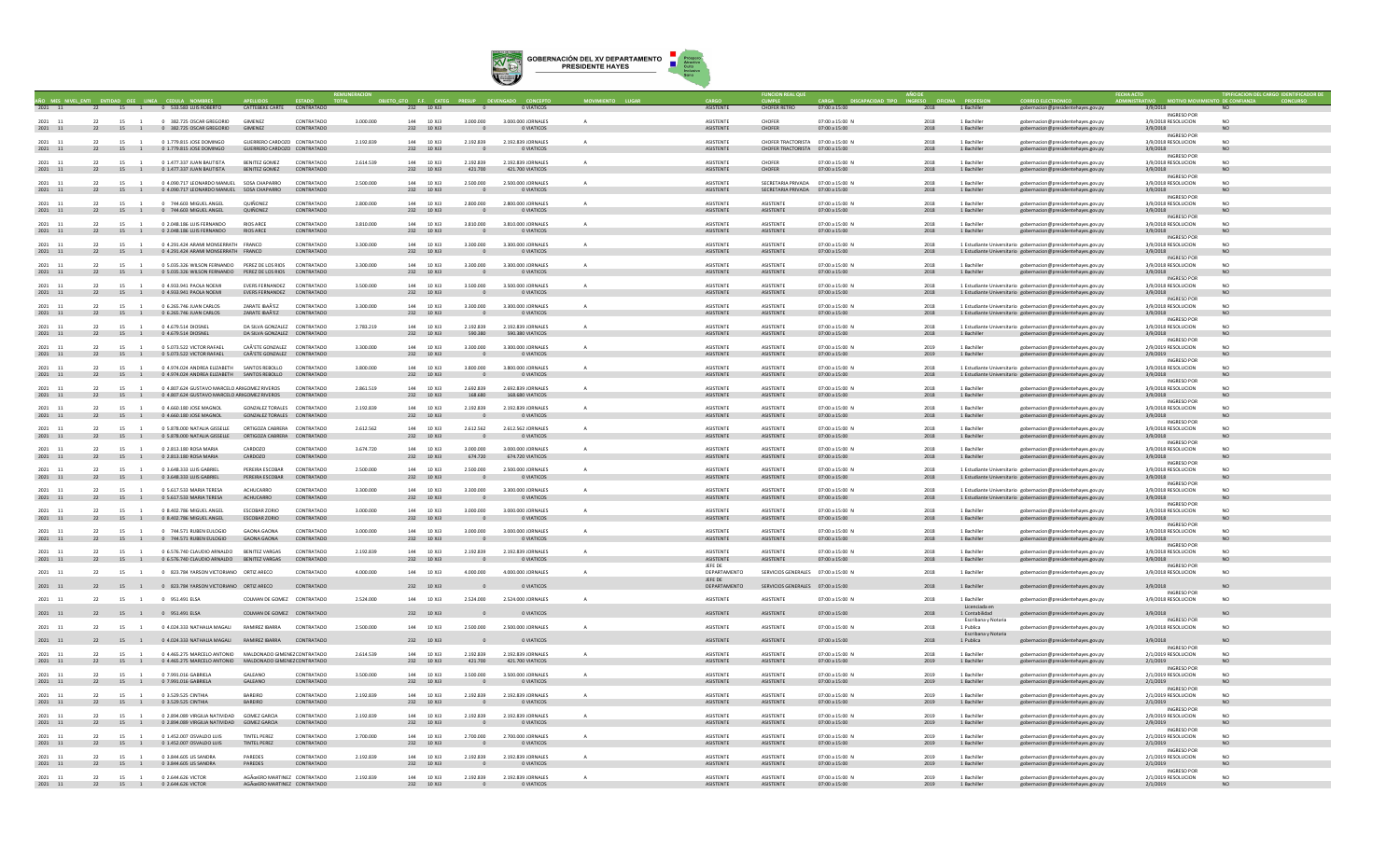

|                                    |          | LENTI ENTIDAD OFF LINEA CEDULA NO |                                                                                                               |                                                                 |                          |           | O GTO F.F. CATEG          |                             |                                         |           |                                      |                                                                        |                                  |              |                                  |                                                                                                                                |          |                                           |                        |  |
|------------------------------------|----------|-----------------------------------|---------------------------------------------------------------------------------------------------------------|-----------------------------------------------------------------|--------------------------|-----------|---------------------------|-----------------------------|-----------------------------------------|-----------|--------------------------------------|------------------------------------------------------------------------|----------------------------------|--------------|----------------------------------|--------------------------------------------------------------------------------------------------------------------------------|----------|-------------------------------------------|------------------------|--|
| 2021 11                            |          |                                   | 22 15 1 0 533.583 LUIS ROBERTO                                                                                | CATTEBEKE CARTE CONTRATADO                                      |                          |           | 232 10 XJ3                | $\sim$ 0                    | O VIATICOS                              |           | ASISTENTE                            | CHOFER RETRO                                                           | 07:00 a 15:00                    | 2018         | 1 Bachiller                      | gobernacion@presidentehayes.gov.py                                                                                             | 3/9/2018 | <b>INGRESO POR</b>                        | NO.                    |  |
| 2021<br>11                         |          |                                   | 22 15 1 0 382.725 OSCAR GREGORIO                                                                              | <b>GIMENEZ</b>                                                  | CONTRATADO               | 3.000.000 | 144 10 XJ3                | 3,000,000                   | 3.000.000 JORNALES                      |           | <b>ASISTENTI</b>                     | CHOFER                                                                 | 07:00 a 15:00 N                  | 2018         | 1 Bachille                       | gobernacion@presidentehayes.gov.py                                                                                             |          | 3/9/2018 RESOLUCION                       | NO                     |  |
| 2021 11                            |          |                                   | 22 15 1 0 382.725 OSCAR GREGORIO                                                                              | GIMENEZ                                                         | CONTRATADO               |           | 232 10 XJ3                | $\sim$ 0                    | O VIATICOS                              |           | ASISTENTE                            | CHOFER                                                                 | 07:00 a 15:00                    | 2018         | 1 Bachiller                      | gobernacion@presidentehayes.gov.py                                                                                             | 3/9/2018 | <b>INGRESO POR</b>                        | NO.                    |  |
| 2021<br>11<br>2021 11              |          | 15 1                              | 0 1.779.815 JOSE DOMINGO<br>22 15 1 0 1.779.815 JOSE DOMINGO                                                  | GUERRERO CARDOZO CONTRATADO<br>GUERRERO CARDOZO CONTRATADO      |                          | 2.192.839 | 144 10 XJ3<br>232 10 XJ3  | 2.192.839<br>$\overline{0}$ | 2.192.839 JORNALES<br>0 VIATICOS        |           | <b>ASISTENTE</b><br><b>ASISTENTE</b> | CHOFER TRACTORISTA 07:00 a 15:00 N<br>CHOFER TRACTORISTA 07:00 a 15:00 |                                  | 2018<br>2018 | 1 Bachiller<br>1 Bachiller       | gobernacion@presidentehayes.gov.py<br>gobernacion@presidentehayes.gov.py                                                       | 3/9/2018 | 3/9/2018 RESOLUCION                       | NO <sub>1</sub><br>NO. |  |
| 2021 11                            | 22       | 15 1                              | 0 1 477 337 IUAN BAUTISTA                                                                                     | <b>RENITEZ GOMEZ</b>                                            | CONTRATADO               | 2.614.539 | 144 10 X 13               | 2.192.839                   | 2.192.839 IORNALES                      |           | <b>ASISTENTE</b>                     | CHOEFR                                                                 | 07:00 a 15:00 N                  | 2018         | 1 Bachiller                      |                                                                                                                                |          | INGRESO POR<br>3/9/2018 RESOLUCION        | N <sub>0</sub>         |  |
| 2021 11                            |          |                                   | 22 15 1 0 1.477.337 JUAN BAUTISTA                                                                             | BENITEZ GOMEZ CONTRATADO                                        |                          |           | 232 10 XJ3                | 421,700                     | 421,700 VIATICOS                        |           | <b>ASISTENTE</b>                     | CHOFER                                                                 | 07:00 a 15:00                    | 2018         | 1 Bachiller                      | tobernacion@presidentehayes.gov.py<br>gobernacion@presidentehayes.gov.py                                                       | 3/9/2018 |                                           | NO                     |  |
| 2021                               |          | 15                                | 0 4.090.717 LEONARDO MANUEL SOSA CHAPARRO                                                                     |                                                                 | CONTRATADO               | 2,500,000 | 144 10 XJ3                | 2,500,000                   | 2.500.000 JORNALES                      |           | <b>ASISTENTE</b>                     | SECRETARIA PRIVADA 07:00 a 15:00 N                                     |                                  | 2018         | 1 Bachiller                      | obernacion@presidentehayes.gov.py                                                                                              |          | <b>INGRESO POR</b><br>3/9/2018 RESOLUCION | NO                     |  |
| 2021 11                            |          |                                   | 22 15 1 0 4.090.717 LEONARDO MANUEL SOSA CHAPARRO                                                             |                                                                 | CONTRATADO               |           | 232 10 XJ3                | $\sim$ 0                    | O VIATICOS                              |           | ASISTENTE                            | SECRETARIA PRIVADA 07:00 a 15:00                                       |                                  | 2018         | 1 Bachiller                      | gobernacion@presidentehayes.gov.py                                                                                             | 3/9/2018 | <b>INGRESO POR</b>                        | NO                     |  |
| 2021 11                            | 22       | $15 - 1$                          | 0 744.603 MIGUEL ANGEL                                                                                        | QUIÑONEZ                                                        | CONTRATADO               | 2,800,000 | 144 10 XJ3                | 2,800,000                   | 2.800.000 JORNALES                      |           | ASISTENTE                            | <b>ASISTENTE</b>                                                       | 07:00 a 15:00 N                  | 2018         |                                  | gobernacion@presidentehayes.gov.py                                                                                             |          | 3/9/2018 RESOLUCION                       |                        |  |
| $2021\quad \  \  11$               |          |                                   | 22 15 1 0 744.603 MIGUEL ANGEL                                                                                | QUIÑONEZ                                                        | CONTRATADO               |           | 232 10 XJ3                |                             | 0 VIATICOS                              |           | ASISTENTE                            | ASISTENTE                                                              | 07:00 a 15:00                    | 2018         | 1 Bachiller                      | gobernacion@presidentehayes.gov.py                                                                                             | 3/9/2018 | <b>INGRESO POR</b>                        | NO                     |  |
| 2021 11<br>2021 11                 | 22       | 15 1                              | 0.2 048 186 LUIS FERNANDO<br>22 15 1 0 2.048.186 LUIS FERNANDO                                                | <b>RIOS ARCE</b><br><b>RIOS ARCE</b>                            | CONTRATADO<br>CONTRATADO | 3.810.000 | 144 10 XI3<br>232 10 XJ3  | 3,810,000<br>$\Omega$       | 3.810.000 JORNALES<br>O VIATICOS        |           | <b>ASISTENTE</b><br><b>ASISTENTE</b> | <b>ASISTENTE</b><br>ASISTENTE                                          | 07:00 a 15:00 N<br>07:00 a 15:00 | 2018<br>2018 | 1 Bachiller<br>1 Bachiller       | gobernacion@presidentehayes.gov.py<br>gobernacion@presidentehayes.gov.py                                                       | 3/9/2018 | 3/9/2018 RESOLUCION                       | NO <sub>1</sub><br>NO. |  |
| 2021 11                            | 22       | 15 1                              | 0.4.291.424 ARAMI MONSERRATH FRANCO                                                                           |                                                                 | CONTRATADO               | 3.300.000 | 144 10 X 13               | 3.300.000                   | 3.300.000 IORNALES                      |           | <b>ASISTENTE</b>                     | <b>ASISTENTE</b>                                                       | 07:00 a 15:00 N                  | 2018         |                                  | 1 Estudiante Universitario gobernacion@presidentehaves.gov.pv                                                                  |          | <b>INGRESO POR</b><br>3/9/2018 RESOLUCION | N <sub>0</sub>         |  |
| 2021 11                            |          | 22 15 1                           | 0 4.291.424 ARAMI MONSERRATH FRANCO                                                                           |                                                                 | CONTRATADO               |           | 232 10 XJ3                | $\overline{\phantom{0}}$    | <b>O VIATICOS</b>                       |           | ASISTENTE                            | ASISTENTE                                                              | 07:00 a 15:00                    | 2018         |                                  | 1 Estudiante Universitario gobernacion@presidentehayes.gov.py                                                                  | 3/9/2018 | <b>INGRESO POR</b>                        | NO.                    |  |
| 2021<br>11                         |          | 15                                | 0 5.035.326 WILSON FERNANDO PEREZ DE LOS RIOS CONTRATADO                                                      |                                                                 |                          | 3.300.000 | 144 10 XJ3                | 3.300.000                   | 3.300.000 JORNALES                      |           | ASISTENTI                            | <b>ASISTENTE</b>                                                       | 07:00 a 15:00 N                  | 2018         | 1 Bachiller                      | gobernacion@presidentehayes.gov.py                                                                                             |          | 3/9/2018 RESOLUCION                       |                        |  |
| $2021\quad \  \  11$               |          |                                   | 22 15 1 0 5.035.326 WILSON FERNANDO PEREZ DE LOS RIOS CONTRATADO                                              |                                                                 |                          |           | 232 10 XJ3                | $\sim$ 0                    | 0 VIATICOS                              |           | ASISTENTE                            | ASISTENTE                                                              | 07:00 a 15:00                    | 2018         | 1 Bachiller                      | gobernacion@presidentehayes.gov.py                                                                                             | 3/9/2018 | INGRESO POR                               | NO.                    |  |
| 2021<br>11<br>$2021\quad 11$       |          | 15 1                              | 0 4.933.941 PAOLA NOEMI<br>22 15 1 0 4.933.941 PAOLA NOEMI                                                    | <b>EVERS FERNANDEZ CONTRATADO</b><br>EVERS FERNANDEZ CONTRATADO |                          | 3,500,000 | 144 10 13<br>232 10 XJ3   | 3,500,000                   | 3.500,000 JORNALES<br>0 VIATICOS        |           | <b>ASISTENTI</b><br>ASISTENTE        | <b>ASISTENTE</b><br>ASISTENTE                                          | 07:00 a 15:00 N<br>07:00 a 15:00 | 2018<br>2018 |                                  | 1 Estudiante Universitario gobernacion@presidentehayes.gov.py<br>1 Estudiante Universitario gobernacion@presidentehayes.gov.py | 3/9/2018 | 3/9/2018 RESOLUCION                       | NO <sub>1</sub><br>NO. |  |
| 2021 11                            | 22       | 15 1                              | 0.6.265.746 JUAN CARLOS                                                                                       | <b>ZARATE IRAÃ'EZ</b>                                           | CONTRATADO               | 3,300,000 | 144 10 X 13               | 3.300,000                   | 3.300.000 JORNALES                      |           | <b>ASISTENTE</b>                     | <b>ASISTENTE</b>                                                       | 07:00 a 15:00 N                  | 2018         |                                  | 1 Estudiante Universitario gobernacion@presidentehayes.gov.p                                                                   |          | <b>INGRESO POR</b><br>3/9/2018 RESOLUCION | NO <sub>1</sub>        |  |
| 2021 11                            |          |                                   | 22 15 1 0 6.265.746 JUAN CARLOS                                                                               | <b>ZARATE IRAÃ'EZ</b>                                           | CONTRATADO               |           | 232 10 XJ3                | $\Omega$                    | O VIATICOS                              |           | <b>ASISTENTE</b>                     | <b>ASISTENTE</b>                                                       | 07:00 a 15:00                    | 2018         |                                  | 1 Estudiante Universitario gobernacion@presidentehayes.gov.py                                                                  | 3/9/2018 |                                           | <b>NO</b>              |  |
| 2021 11                            | 22       | 15                                | 0 4.679.514 DIOSNEL                                                                                           | DA SILVA GONZALEZ CONTRATADO                                    |                          | 2,783,219 | 144 10 X 13               | 2.192.839                   | 2.192.839 JORNALES                      |           | ASISTENTE                            | <b>ASISTENTE</b>                                                       | 07:00 a 15:00 N                  | 2018         |                                  | 1 Estudiante Universitario gobernacion@presidentehaves.gov.py                                                                  |          | <b>INGRESO POR</b><br>3/9/2018 RESOLUCION | NO                     |  |
| 2021 11                            |          |                                   | 22 15 1 0 4.679.514 DIOSNEL                                                                                   | DA SILVA GONZALEZ CONTRATADO                                    |                          |           | 232 10 XJ3                | 590,380                     | 590.380 VIATICOS                        |           | ASISTENTE                            | ASISTENTE                                                              | 07:00 a 15:00                    | 2018         | 1 Bachiller                      | gobernacion@presidentehayes.gov.py                                                                                             | 3/9/2018 | <b>INGRESO POR</b>                        | <b>NO</b>              |  |
| 2021 11<br>2021 11                 | 22<br>22 | 15 1<br>15 1                      | 0 5.073.522 VICTOR RAFAEL<br>0 5.073.522 VICTOR RAFAEL                                                        | CAÃ'ETE GONZALEZ CONTRATADO<br>CAÃ'ETE GONZALEZ CONTRATADO      |                          | 3.300.000 | 144 10 XJ3<br>232 10 XJ3  | 3.300.000                   | 3.300.000 JORNALES<br>O VIATICOS        |           | ASISTENTE<br><b>ASISTENTE</b>        | <b>ASISTENTE</b><br><b>ASISTENTE</b>                                   | 07:00 a 15:00 N<br>07:00 a 15:00 | 2019<br>2019 | 1 Bachiller<br>1 Bachiller       | gobernacion@presidentehayes.gov.py<br>gobernacion@presidentehayes.gov.py                                                       | 2/9/2019 | 2/9/2019 RESOLUCION                       | NO <sub>1</sub>        |  |
|                                    |          |                                   |                                                                                                               |                                                                 | CONTRATADO               |           | 144 10 ¥13                | 3.800.000                   |                                         |           | <b>ASISTENTE</b>                     | <b>ASISTENTE</b>                                                       |                                  | 2018         |                                  |                                                                                                                                |          | INGRESO POI                               |                        |  |
| 2021 11<br>$2021\quad \  \  11$    | 22       | 15 1                              | 0.4.974.024 ANDREA ELIZARETH SANTOS REBOLLO<br>22 15 1 0 4.974.024 ANDREA ELIZABETH SANTOS REBOLLO CONTRATADO |                                                                 |                          | 3,800,000 | 232 10 XJ3                | $\overline{\phantom{0}}$    | 3.800.000 IORNALES<br>0 VIATICOS        |           | ASISTENTE                            | ASISTENTE                                                              | 07:00 a 15:00 N<br>07:00 a 15:00 | 2018         |                                  | 1 Estudiante Universitario gobernacion@presidentehayes.gov.py<br>1 Estudiante Universitario gobernacion@presidentehayes.gov.py | 3/9/2018 | 3/9/2018 RESOLUCION                       | NO <sub>1</sub><br>NO. |  |
| 2021 11                            | 22       | 15                                | 0 4.807.624 GUSTAVO MARCELO ARIGOMEZ RIVEROS                                                                  |                                                                 | CONTRATADO               | 2,861.519 | 144 10 X 13               | 2.692.839                   | 2.692.839 JORNALES                      |           | <b>ASISTENTE</b>                     | <b>ASISTENTE</b>                                                       | 07:00 a 15:00 N                  | 2018         | 1 Bachiller                      | gobernacion@presidentehaves.gov.py                                                                                             |          | INGRESO POR<br>3/9/2018 RESOLUCION        | NO <sub>1</sub>        |  |
| 2021 11                            |          |                                   | 22 15 1 0 4.807.624 GUSTAVO MARCELO ARIGOMEZ RIVEROS CONTRATADO                                               |                                                                 |                          |           | 232 10 XJ3                | 168,680                     | 168,680 VIATICOS                        |           | ASISTENTE                            | ASISTENTE                                                              | 07:00 a 15:00                    | 2018         | 1 Bachiller                      | gobernacion@presidentehayes.gov.py                                                                                             | 3/9/2018 | <b>INGRESO POR</b>                        | NO                     |  |
| 2021<br>11                         |          | 15                                | 0 4.660.180 JOSE MAGNOL                                                                                       | GONZALEZ TORALES CONTRATADO                                     |                          | 2,192,839 | 144 10 XJ3                | 2.192.839                   | 2.192.839 JORNALES                      |           | <b>ASISTENTI</b>                     | <b>ASISTENTE</b>                                                       | 07:00 a 15:00 N                  | 2018         | 1 Bachille                       | gobernacion@presidentehayes.gov.py                                                                                             |          | 3/9/2018 RESOLUCION                       | NO                     |  |
| $2021\quad \  11$                  |          |                                   | 22 15 1 0 4.660.180 JOSE MAGNOL                                                                               | GONZALEZ TORALES CONTRATADO                                     |                          |           | 232 10 XJ3                |                             | 0 VIATICOS                              |           | ASISTENTE                            | ASISTENTE                                                              | 07:00 a 15:00                    | 2018         | 1 Bachiller                      | gobernacion@presidentehayes.gov.py                                                                                             | 3/9/2018 | <b>INGRESO POR</b>                        | <b>NO</b>              |  |
| 2021 11<br>$2021\quad \  \  11$    | 22       | 15 1                              | 0 5.878.000 NATALIA GISSELLE<br>22 15 1 0 5.878.000 NATALIA GISSELLE                                          | ORTIGOZA CABRERA CONTRATADO<br>ORTIGOZA CABRERA CONTRATADO      |                          | 2.612.562 | 144 10 XI3<br>232 10 XJ3  | 2.612.562<br>$\overline{0}$ | 2.612.562 JORNALES<br>0 VIATICOS        |           | <b>ASISTENTE</b><br><b>ASISTENTE</b> | <b>ASISTENTE</b><br><b>ASISTENTE</b>                                   | 07:00 a 15:00 N<br>07:00 a 15:00 | 2018<br>2018 | 1 Bachiller<br>1 Bachiller       | gobernacion@presidentehayes.gov.py<br>gobernacion@presidentehayes.gov.py                                                       | 3/9/2018 | 3/9/2018 RESOLUCION                       | NO <sub>1</sub><br>NO  |  |
| 2021 11                            | 22       | 15 1                              | 0.2.813.180.ROSA MARIA                                                                                        | CARDOZO                                                         | CONTRATADO               | 3 674 720 | 144 10 X 13               | 3,000,000                   | 3,000,000 IORNALES                      |           | <b>ASISTENTE</b>                     | <b>ASISTENTE</b>                                                       | 07:00 a 15:00 N                  | 2018         | 1 Bachiller                      | gobernacion@presidentehayes.gov.py                                                                                             |          | INGRESO POR<br>3/9/2018 RESOLUCION        | N <sub>0</sub>         |  |
| 2021 11                            |          |                                   | 22 15 1 0 2.813.180 ROSA MARIA                                                                                | CARDOZO                                                         | CONTRATADO               |           | 232 10 XJ3                | 674,720                     | 674.720 VIATICOS                        |           | ASISTENTE                            | ASISTENTE                                                              | 07:00 a 15:00                    | 2018         | 1 Bachiller                      | gobernacion@presidentehayes.gov.py                                                                                             | 3/9/2018 |                                           | NO.                    |  |
| 11<br>2021                         | 22       | 15                                | 0 3.648.333 LUIS GABRIEL                                                                                      | PEREIRA ESCOBAR                                                 | CONTRATADO               | 2,500,000 | 144 10 XJ3                | 2,500,000                   | 2,500,000 JORNALES                      |           | ASISTENTE                            | ASISTENTE                                                              | 07:00 a 15:00 N                  | 2018         |                                  | 1 Estudiante Universitario gobernacion@presidentehaves.gov.py                                                                  |          | <b>INGRESO POR</b><br>3/9/2018 RESOLUCION | NO                     |  |
| 2021 11                            |          |                                   | 22 15 1 0 3.648.333 LUIS GABRIEL                                                                              | PEREIRA ESCOBAR                                                 | CONTRATADO               |           | 232 10 XJ3                | $\sim$ 0                    | <b>OVIATICOS</b>                        |           | ASISTENTE                            | ASISTENTE                                                              | 07:00 a 15:00                    | 2018         |                                  | 1 Estudiante Universitario gobernacion@presidentehayes.gov.py                                                                  | 3/9/2018 | <b>INGRESO POR</b>                        | NO.                    |  |
| 2021<br>11<br>$2021\quad \  \  11$ |          | 15 1                              | 0 5.617.533 MARIA TERESA<br>22 15 1 0 5.617.533 MARIA TERESA                                                  | <b>ACHUCARRO</b><br>ACHUCARRO                                   | CONTRATADO<br>CONTRATADO | 3.300,000 | 144 10 XJ3<br>232 10 XJ3  | 3,300,000                   | 3.300.000 JORNALES<br>0 VIATICOS        |           | ASISTENTE<br>ASISTENTE               | ASISTENTE<br>ASISTENTE                                                 | 07:00 a 15:00 N<br>07:00 a 15:00 | 2018<br>2018 |                                  | 1 Estudiante Universitario gobernacion@presidentehaves.gov.py<br>1 Estudiante Universitario gobernacion@presidentehayes.gov.py | 3/9/2018 | 3/9/2018 RESOLUCION                       | NO<br>NO.              |  |
|                                    |          | 15 1                              | 0.8.402.786 MIGUELANGEL                                                                                       | <b>ESCOBAR ZORIO</b>                                            | CONTRATADO               | 3,000,000 | 144 10 XI3                | 3,000,000                   |                                         |           | <b>ASISTENTE</b>                     | <b>ASISTENTE</b>                                                       | 07:00 a 15:00 N                  | 2018         | 1 Bachiller                      |                                                                                                                                |          | <b>INGRESO POR</b>                        | NO.                    |  |
| 2021 11<br>2021 11                 |          |                                   | 22 15 1 0 8.402.786 MIGUEL ANGEL                                                                              | <b>ESCOBAR ZORIO</b>                                            | CONTRATADO               |           | 232 10 XJ3                | $\Omega$                    | 3,000,000 JORNALES<br>0 VIATICOS        |           | ASISTENTE                            | ASISTENTE                                                              | 07:00 a 15:00                    | 2018         | 1 Bachiller                      | obernacion@presidentehayes.gov.py<br>gobernacion@presidentehayes.gov.py                                                        | 3/9/2018 | 3/9/2018 RESOLUCION                       | NO.                    |  |
| 2021 11                            | 22       | 15 1                              | 0 744 571 RUBEN EULOGIO                                                                                       | GAONA GAONA                                                     | CONTRATADO               | 3,000,000 | 144 10 X 13               | 3,000,000                   | 3,000,000 IORNALES                      | $\Delta$  | <b>ASISTENTE</b>                     | <b>ASISTENTE</b>                                                       | 07:00 a 15:00 N                  | 2018         | 1 Bachiller                      | eobernacion@presidentehayes.gov.py                                                                                             |          | <b>INGRESO POR</b><br>3/9/2018 RESOLUCION | NO.                    |  |
| 2021 11                            |          |                                   | 22 15 1 0 744.571 RUBEN EULOGIO                                                                               | <b>GAONA GAONA</b>                                              | CONTRATADO               |           | 232 10 XJ3                | $\Omega$                    | O VIATICOS                              |           | ASISTENTE                            | ASISTENTE                                                              | 07:00 a 15:00                    | 2018         | 1 Bachiller                      | gobernacion@presidentehayes.gov.py                                                                                             | 3/9/2018 | <b>INGRESO POR</b>                        | NO                     |  |
| 2021 11                            |          | 15 1                              | 0 6.576.740 CLAUDIO ARNALDO BENITEZ VARGAS                                                                    | BENITEZ VARGAS                                                  | CONTRATADO<br>CONTRATADO | 2.192.839 | 144 10 XJ3                | 2.192.839                   | 2.192.839 JORNALES<br>O VIATICOS        |           | ASISTENTE<br>ASISTENTE               | <b>ASISTENTE</b>                                                       | 07:00 a 15:00 N<br>07:00 a 15:00 | 2018<br>2018 | 1 Bachiller                      | gobernacion@presidentehayes.gov.py                                                                                             |          | 3/9/2018 RESOLUCION                       | NO.                    |  |
| $2021\quad \  \  11$               |          |                                   | 22 15 1 0 6.576.740 CLAUDIO ARNALDO                                                                           |                                                                 |                          |           | 232 10 XJ3                |                             |                                         |           | JEFE DE                              | ASISTENTE                                                              |                                  |              | 1 Bachiller                      | gobernacion@presidentehayes.gov.py                                                                                             | 3/9/2018 | INGRESO POR                               |                        |  |
| 2021 11                            | 22       |                                   | 15 1 0 823.784 YARSON VICTORIANO ORTIZ ARECO                                                                  |                                                                 | CONTRATADO               | 4.000.000 | 144 10 XJ3                | 4.000.000                   | 4.000.000 JORNALES                      |           | DEPARTAMENTO<br>JEFE DE              | SERVICIOS GENERALES 07:00 a 15:00 N                                    |                                  | 2018         | 1 Bachiller                      | gobernacion@presidentehayes.gov.py                                                                                             |          | 3/9/2018 RESOLUCION                       | NO.                    |  |
| 2021 11                            |          |                                   | 22 15 1 0 823.784 YARSON VICTORIANO ORTIZ ARECO                                                               |                                                                 | CONTRATADO               |           | 232 10 XJ3                |                             | 0 VIATICOS                              |           | DEPARTAMENTO                         | SERVICIOS GENERALES 07:00 a 15:00                                      |                                  | 2018         | 1 Bachiller                      | gobernacion@presidentehayes.gov.py                                                                                             | 3/9/2018 | INGRESO POR                               | NO.                    |  |
| 2021 11                            | 22       | 15 1                              | 0 951 491 FISA                                                                                                | COLMAN DE GOMEZ CONTRATADO                                      |                          | 2.524.000 | 144 10 X 13               | 2.524.000                   | 2.524.000 IORNALES                      | $\Delta$  | <b>ASISTENTE</b>                     | <b>ASISTENTE</b>                                                       | 07:00 a 15:00 N                  | 2018         | 1 Bachiller<br>Licenciada en     | gobernacion@presidentehayes.gov.p                                                                                              |          | 3/9/2018 RESOLUCION                       | NO.                    |  |
| 2021 11                            |          | 22 15 1                           | 0 951.491 ELSA                                                                                                | COLMAN DE GOMEZ CONTRATADO                                      |                          |           | 232 10 XJ3                |                             | O VIATICOS                              |           | ASISTENTE                            | ASISTENTE                                                              | 07:00 a 15:00                    | 2018         | 1 Contabilidad                   | gobernacion@presidentehayes.gov.py                                                                                             | 3/9/2018 |                                           | <b>NO</b>              |  |
| 2021 11                            | 22       | 15 1                              | 0 4.024.333 NATHALIA MAGALI                                                                                   | RAMIREZ IBARRA                                                  | CONTRATADO               | 2.500,000 | 144 10 XJ3                | 2,500,000                   | 2,500,000 JORNALES                      |           | <b>ASISTENTE</b>                     | <b>ASISTENTE</b>                                                       | 07:00 a 15:00 N                  | 2018         | Escribana y Notaria<br>1 Publica | gobernacion@presidentehayes.gov.py                                                                                             |          | <b>INGRESO POR</b><br>3/9/2018 RESOLUCION | NO                     |  |
| 2021 11                            |          |                                   | 22 15 1 0 4.024.333 NATHALIA MAGALI RAMIREZ IBARRA                                                            |                                                                 | CONTRATADO               |           | 232 10 XJ3                |                             | 0 VIATICOS                              |           | <b>ASISTENTE</b>                     | <b>ASISTENTE</b>                                                       | 07:00 a 15:00                    | 2018         | Escribana y Notaria<br>1 Publica | gobernacion@presidentehayes.gov.py                                                                                             | 3/9/2018 |                                           |                        |  |
| 2021 11                            | 22       | 15 1                              | 0 4.465.275 MARCELO ANTONIO MALDONADO GIMENEZCONTRATADO                                                       |                                                                 |                          | 2.614.539 | 144 10 13                 | 2.192.839                   | 2.192.839 IORNALES                      | $\Lambda$ | <b>ASISTENTE</b>                     | <b>ASISTENTE</b>                                                       | 07:00 a 15:00 N                  | 2018         | 1 Rachiller                      | bernacion@presidentehayes.gov.p                                                                                                |          | <b>INGRESO POR</b><br>2/1/2019 RESOLUCION | NO <sub>1</sub>        |  |
| 2021 11                            |          |                                   | 22 15 1 0 4.465.275 MARCELO ANTONIO MALDONADO GIMENEZCONTRATADO                                               |                                                                 |                          |           | 232 10 XJ3                | 421,700                     | 421,700 VIATICOS                        |           | <b>ASISTENTE</b>                     | ASISTENTE                                                              | 07:00 a 15:00                    | 2019         | 1 Bachiller                      | gobernacion@presidentehayes.gov.py                                                                                             | 2/1/2019 |                                           | NO.                    |  |
| 2021 11                            | 22       | 15 1                              | 0 7.991.016 GABRIELA                                                                                          | GALEANO                                                         | CONTRATADO               | 3,500,000 | 144 10 XJ3                | 3,500,000                   | 3.500.000 JORNALES                      |           | <b>ASISTENTE</b>                     | <b>ASISTENTE</b>                                                       | 07:00 a 15:00 N                  | 2019         | 1 Bachiller                      | gobernacion@presidentehayes.gov.py                                                                                             |          | INGRESO POR<br>2/1/2019 RESOLUCION        | NO.                    |  |
| 2021 11                            |          |                                   | 22 15 1 0 7.991.016 GABRIELA                                                                                  | GALEANO                                                         | CONTRATADO               |           | 232 10 XJ3                | $\overline{0}$              | 0 VIATICOS                              |           | ASISTENTE                            | ASISTENTE                                                              | 07:00 a 15:00                    | 2019         | 1 Bachiller                      | gobernacion@presidentehayes.gov.py                                                                                             | 2/1/2019 | <b>INGRESO POR</b>                        | NO.                    |  |
| 2021<br>11<br>2021 11              | 22       | 15                                | 0 3.529.525 CINTHIA<br>15 1 0 3.529.525 CINTHIA                                                               | BAREIRO<br>BAREIRO                                              | CONTRATADO<br>CONTRATADO | 2,192,839 | 144 10 X 13<br>232 10 XJ3 | 2.192.839<br>$\sim$ 0       | 2.192.839 JORNALES<br><b>O VIATICOS</b> |           | ASISTENTE<br>ASISTENTE               | ASISTENTE<br>ASISTENTE                                                 | 07:00 a 15:00 N<br>07:00 a 15:00 | 2019<br>2019 | 1 Bachiller<br>1 Bachiller       | gobernacion@presidentehaves.gov.pv<br>gobernacion@presidentehayes.gov.py                                                       | 2/1/2019 | 2/1/2019 RESOLUCION                       | NO                     |  |
|                                    | 22       |                                   |                                                                                                               |                                                                 | CONTRATADO               |           |                           |                             |                                         |           |                                      |                                                                        |                                  |              |                                  |                                                                                                                                |          | <b>INGRESO POR</b>                        |                        |  |
| 2021 11<br>$2021\quad \  \  11$    |          | 15 1                              | 0 2.894.089 VIRGILIA NATIVIDAD GOMEZ GARCIA<br>22 15 1 0 2.894.089 VIRGILIA NATIVIDAD GOMEZ GARCIA            |                                                                 | CONTRATADO               | 2.192.839 | 144 10 XJ3<br>232 10 XJ3  | 2.192.839<br>$\overline{0}$ | 2.192.839 JORNALES<br>0 VIATICOS        |           | ASISTENTE<br>ASISTENTE               | <b>ASISTENTE</b><br>ASISTENTE                                          | 07:00 a 15:00 N<br>07:00 a 15:00 | 2019<br>2019 | 1 Bachiller<br>1 Bachiller       | gobernacion@presidentehayes.gov.py<br>gobernacion@presidentehayes.gov.py                                                       | 2/9/2019 | 2/9/2019 RESOLUCION                       | NO <sub>1</sub><br>NO  |  |
| 2021 11                            | 22       | 15 1                              | 0.1.452.007 OSVALDO LUIS                                                                                      | TINTEL PEREZ                                                    | CONTRATADO               | 2.700.000 | 144 10 XI3                | 2.700.000                   | 2.700.000 IORNALES                      |           | <b>ASISTENTE</b>                     | <b>ASISTENTE</b>                                                       | 07:00 a 15:00 N                  | 2019         | 1 Bachiller                      | eobernacion@presidentehayes.gov.py                                                                                             |          | INGRESO POR<br>2/1/2019 RESOLUCION        | NO <sub>1</sub>        |  |
| 2021 11                            |          |                                   | 22 15 1 0 1.452.007 OSVALDO LUIS                                                                              | TINTEL PEREZ                                                    | CONTRATADO               |           | 232 10 XJ3                | $\sim$ 0                    | O VIATICOS                              |           | ASISTENTE                            | ASISTENTE                                                              | 07:00 a 15:00                    | 2019         | 1 Bachiller                      | gobernacion@presidentehayes.gov.py                                                                                             | 2/1/2019 | <b>INGRESO POR</b>                        | NO                     |  |
| 2021 11                            | 22       | 15 1                              | 0 3.844,605 LIS SANDRA                                                                                        | PAREDES                                                         | CONTRATADO               | 2.192.839 | 144 10 XJ3<br>232 10 XJ3  | 2.192.839                   | 2.192.839 JORNALES                      |           | ASISTENTE<br>ASISTENTE               | ASISTENTE                                                              | 07:00 a 15:00 N                  | 2019         | 1 Bachiller                      | eobernacion@presidentehaves.gov.py                                                                                             |          | 2/1/2019 RESOLUCION                       | NO <sub>1</sub>        |  |
| 2021 11                            |          |                                   | 22 15 1 0 3.844.605 LIS SANDRA                                                                                | PAREDES                                                         | CONTRATADO               |           |                           | $\sim$                      | O VIATICOS                              |           |                                      | ASISTENTE                                                              | 07:00 a 15:00                    | 2019         | 1 Bachiller                      | gobernacion@presidentehayes.gov.py                                                                                             | 2/1/2019 | <b>INGRESO POR</b>                        | NO                     |  |
| 2021 11<br>2021 11                 |          | 22 15 1                           | 0 2,644,626 VICTOR<br>22 15 1 0 2.644.626 VICTOR                                                              | AGÃO ERO MARTINEZ CONTRATADO<br>AGÜERO MARTINEZ CONTRATADO      |                          | 2.192.839 | 144 10 XJ3<br>232 10 XJ3  | 2.192.839<br>$\overline{0}$ | 2.192.839 JORNALES                      |           | ASISTENTE<br><b>ASISTENTE</b>        | <b>ASISTENTE</b><br>ASISTENTE                                          | 07:00 a 15:00 N<br>07:00 a 15:00 | 2019<br>2019 | 1 Bachille<br>1 Bachiller        | gobernacion@presidentehayes.gov.py<br>gobernacion@presidentehayes.gov.py                                                       | 2/1/2019 | 2/1/2019 RESOLUCION                       |                        |  |
|                                    |          |                                   |                                                                                                               |                                                                 |                          |           |                           |                             |                                         |           |                                      |                                                                        |                                  |              |                                  |                                                                                                                                |          |                                           |                        |  |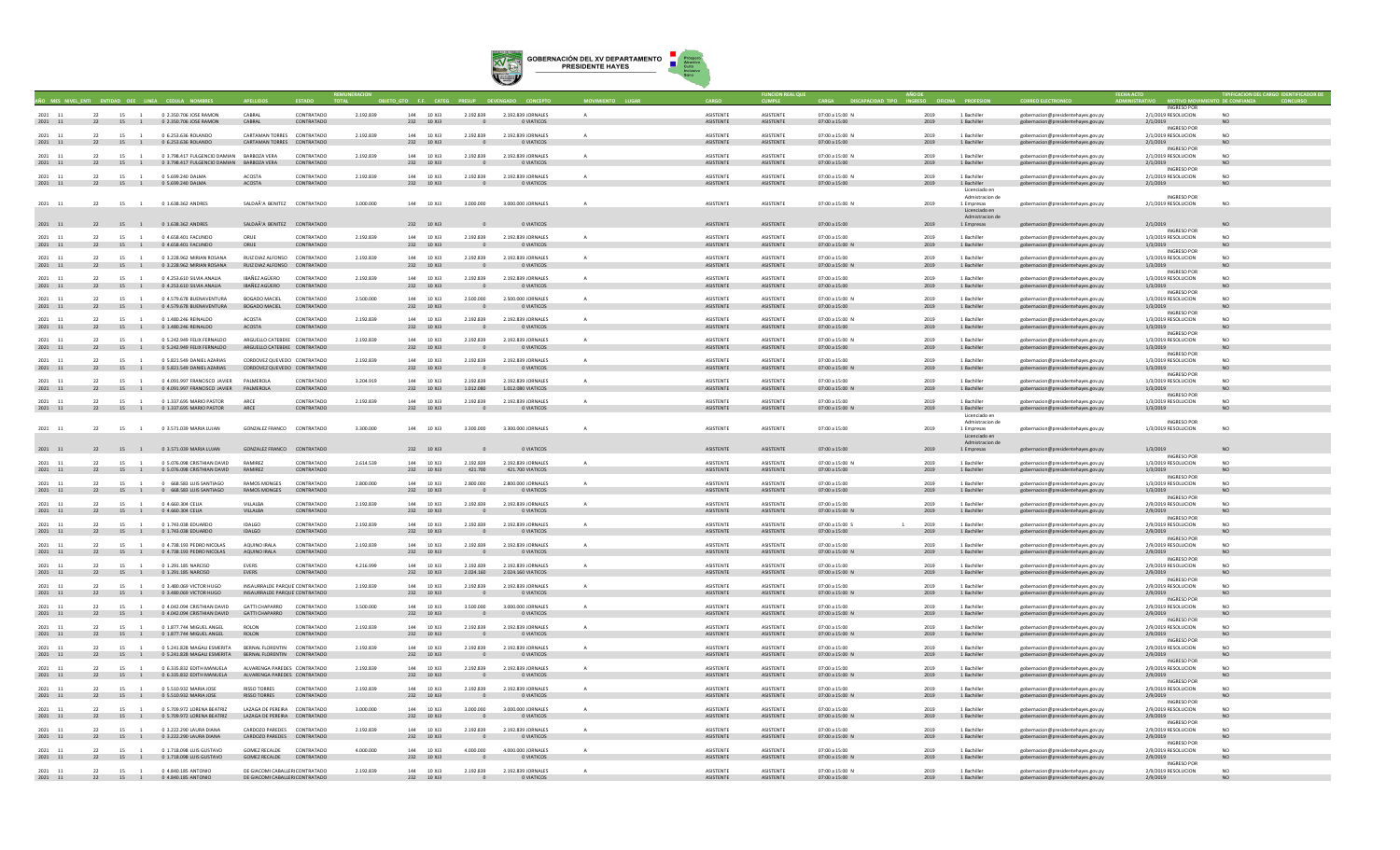

|                                    |        |                           |                                                                                                |                                                                  |                          |           |                           | <b>CE CATE</b> |                                       |                                          |              |                                      |                               |                                         |              |                                  |                                                                          |                                           |                             |  |
|------------------------------------|--------|---------------------------|------------------------------------------------------------------------------------------------|------------------------------------------------------------------|--------------------------|-----------|---------------------------|----------------|---------------------------------------|------------------------------------------|--------------|--------------------------------------|-------------------------------|-----------------------------------------|--------------|----------------------------------|--------------------------------------------------------------------------|-------------------------------------------|-----------------------------|--|
| 2021 11                            | 22     | 15 1                      | 0.2.350.706. IOSE RAMON                                                                        | CARRAI                                                           | CONTRATADO               | 2 192 839 | 144 10 XI3                |                | 2.192.839                             | 2.192.839 IORNALES                       | $\Delta$     | <b>ASISTENTE</b>                     | <b>ASISTENTE</b>              | 07:00 a 15:00 N                         | 2019         | 1 Bachiller                      | eobernacion@presidentehayes.gov.py                                       | INGRESO POR<br>2/1/2019 RESOLUCION        | NO <sub>1</sub>             |  |
| 2021 11                            |        |                           | 22 15 1 0 2.350.706 JOSE RAMON                                                                 | CABRAL                                                           | CONTRATADO               |           | 232 10 XJ3                |                | $\overline{0}$                        | O VIATICOS                               |              | ASISTENTE                            | ASISTENTE                     | 07:00 a 15:00                           | 2019         | 1 Bachiller                      | gobernacion@presidentehayes.gov.py                                       | 2/1/2019<br>INGRESO POR                   | NO.                         |  |
| 2021 11                            | 22     | 15 1                      | 0 6.253.636 ROLANDO                                                                            | CARTAMAN TORRES CONTRATADO<br>CARTAMAN TORRES CONTRATADO         |                          | 2.192.839 | 144 10 XJ3<br>232 10 XJ3  |                | 2.192.839                             | 2.192.839 JORNALES                       | $\Delta$     | <b>ASISTENTE</b><br>ASISTENTE        | ASISTENTE                     | 07:00 a 15:00 N                         | 2019         | 1 Bachiller                      | gobernacion@presidentehayes.gov.py                                       | 2/1/2019 RESOLUCION                       | N <sub>O</sub>              |  |
| 2021 11                            |        |                           | 22 15 1 0 6.253.636 ROLANDO                                                                    |                                                                  |                          |           |                           |                | $\Omega$                              | O VIATICOS                               |              |                                      | ASISTENTE                     | 07:00 a 15:00                           | 2019         | 1 Bachiller                      | gobernacion@presidentehayes.gov.py                                       | 2/1/2019<br><b>INGRESO POR</b>            | NO                          |  |
| 2021 11<br>2021 11                 |        | 15 1                      | 0 3.798.417 FULGENCIO DAMIAN BARBOZA VERA<br>22 15 1 0 3.798.417 FULGENCIO DAMIAN BARBOZA VERA |                                                                  | CONTRATADO<br>CONTRATADO | 2.192.839 | 144 10 XJ3<br>232 10 XJ3  |                | 2.192.839                             | 2.192.839 JORNALES<br>O VIATICOS         |              | ASISTENTE<br><b>ASISTENTE</b>        | ASISTENTE<br>ASISTENTE        | 07:00 a 15:00 N<br>07:00 a 15:00        | 2019<br>2019 | 1 Bachiller<br>1 Bachiller       | gobernacion@presidentehayes.gov.py<br>gobernacion@presidentehayes.gov.py | 2/1/2019 RESOLUCION<br>2/1/2019           | <b>NO</b>                   |  |
| 2021 11                            |        | 22 15 1                   | 0 5.699.240 DALMA                                                                              | ACOSTA                                                           | CONTRATADO               | 2.192.839 | 144 10 XJ3                |                | 2.192.839                             | 2.192.839 JORNALES                       |              | ASISTENTE                            | ASISTENTE                     | 07:00 a 15:00 N                         | 2019         | 1 Bachiller                      | gobernacion@presidentehayes.gov.py                                       | <b>INGRESO POR</b><br>2/1/2019 RESOLUCION | NO                          |  |
| $2021\quad \  \  11$               |        |                           | 22 15 1 0 5.699.240 DALMA                                                                      | <b>ACOSTA</b>                                                    | CONTRATADO               |           | 232 10 XJ3                |                | $\overline{0}$                        | 0 VIATICOS                               |              | ASISTENTE                            | ASISTENTE                     | 07:00 a 15:00                           | 2019         | 1 Bachiller<br>Licenciado er     | gobernacion@presidentehayes.gov.py                                       | 2/1/2019                                  |                             |  |
| 2021 11                            |        | 22 15 1                   | 0 1.638.362 ANDRES                                                                             | SALDAÃ'A RENITEZ CONTRATADO                                      |                          | 3,000,000 | 144 10 X 13               |                | 3,000,000                             | 3,000,000 IORNALES                       |              | <b>ASISTENTE</b>                     | <b>ASISTENTE</b>              | 07:00 a 15:00 N                         | 2019         | Admistracion de<br>1 Empresas    | obernacion@presidentehayes.gov.py                                        | <b>INGRESO POR</b><br>2/1/2019 RESOLUCION | N <sub>0</sub>              |  |
|                                    |        |                           |                                                                                                |                                                                  |                          |           |                           |                |                                       |                                          |              |                                      |                               |                                         |              | Licenciado en<br>Admistracion de |                                                                          |                                           |                             |  |
| 2021 11                            |        |                           | 22 15 1 0 1.638.362 ANDRES                                                                     | SALDAÃ'A BENITEZ CONTRATADO                                      |                          |           | 232 10 XJ3                |                | $\overline{0}$                        | O VIATICOS                               |              | ASISTENTE                            | ASISTENTE                     | 07:00 a 15:00                           | 2019         | 1 Empresas                       | gobernacion@presidentehayes.gov.py                                       | 2/1/2019<br><b>INGRESO POR</b>            | NO                          |  |
| 2021 11<br>2021 11                 | 22     | 15                        | 0 4,658,401 FACUNDO<br>22 15 1 0 4.658.401 FACUNDO                                             | ORUE<br>ORUE                                                     | CONTRATADO<br>CONTRATADO | 2,192,839 | 144 10 X 13<br>232 10 XJ3 |                | 2.192.839<br>$\sim$ 0                 | 2.192.839 JORNALES<br>O VIATICOS         |              | ASISTENTE<br>ASISTENTE               | <b>ASISTENTE</b><br>ASISTENTE | 07:00 a 15:00<br>07:00 a 15:00 N        | 2019<br>2019 | 1 Bachiller<br>1 Bachiller       | gobernacion@presidentehaves.gov.pv<br>gobernacion@presidentehayes.gov.py | 1/3/2019 RESOLUCION<br>1/3/2019           | NO<br>NO                    |  |
| 2021 11                            | 22     | 15                        | 0 3.228.962 MIRIAN ROSANA                                                                      | RUIZ DIAZ ALFONSO CONTRATADO                                     |                          | 2.192.839 | 144 10 XJ3                |                | 2.192.839                             | 2.192.839 JORNALES                       |              | ASISTENTE                            | ASISTENTE                     | 07:00 a 15:00                           | 2019         | 1 Bachiller                      |                                                                          | <b>INGRESO POR</b><br>1/3/2019 RESOLUCION |                             |  |
| $2021\quad \  11$                  |        |                           | 22 15 1 0 3.228.962 MIRIAN ROSANA                                                              | RUIZ DIAZ ALFONSO CONTRATADO                                     |                          |           | 232 10 XJ3                |                | $\overline{0}$                        | O VIATICOS                               |              | ASISTENTE                            | ASISTENTE                     | 07:00 a 15:00 N                         | 2019         | 1 Bachiller                      | gobernacion@presidentehayes.gov.py<br>gobernacion@presidentehayes.gov.py | 1/3/2019<br><b>INGRESO POR</b>            | <b>NO</b>                   |  |
| 2021 11                            |        | 22 15 1                   | 0 4.253.610 SILVIA ANALIA                                                                      | IBAÑEZ AGÜERO                                                    | CONTRATADO               | 2.192.839 | 144 10 XJ3                |                | 2.192.839                             | 2.192.839 JORNALES                       |              | ASISTENTE                            | ASISTENTE                     | 07:00 a 15:00                           | 2019         | 1 Bachille                       | gobernacion@presidentehayes.gov.py                                       | 1/3/2019 RESOLUCION                       | NO <sub>1</sub>             |  |
| 2021 11                            | 22     |                           | 15 1 0 4.253.610 SILVIA ANALIA                                                                 | IBAÑEZ AGÜERO                                                    | CONTRATADO               |           | 232 10 XJ3                |                |                                       | O VIATICOS                               |              | ASISTENTE                            | ASISTENTE                     | 07:00 a 15:00                           | 2019         | 1 Bachiller                      | gobernacion@presidentehayes.gov.py                                       | 1/3/2019<br><b>INGRESO POR</b>            | NO.                         |  |
| 2021<br>11<br>$2021\quad \  \  11$ |        | 15 1                      | 0 4.579.678 BUENAVENTURA<br>22 15 1 0 4.579.678 BUENAVENTURA                                   | BOGADO MACIEL<br><b>BOGADO MACIEL</b>                            | CONTRATADO<br>CONTRATADO | 2.500.000 | 144 10 X 13<br>232 10 XJ3 |                | 2,500,000<br>$\overline{\phantom{0}}$ | 2.500.000 JORNALES<br><b>O VIATICOS</b>  |              | ASISTENTE<br>ASISTENTE               | <b>ASISTENTE</b><br>ASISTENTE | 07:00 a 15:00 N<br>07:00 a 15:00        | 2019<br>2019 | 1 Bachiller<br>1 Bachiller       | gobernacion@presidentehayes.gov.p<br>gobernacion@presidentehayes.gov.py  | 1/3/2019 RESOLUCION<br>1/3/2019           | NO.<br>NO                   |  |
| 2021 11                            | 22     | 15 1                      | 0.1.480.246 REINALDO                                                                           | ACOSTA                                                           | CONTRATADO               | 2.192.839 | 144 10 XI3                |                | 2.192.839                             | 2.192.839 IORNALES                       |              | <b>ASISTENTE</b>                     | <b>ASISTENTE</b>              | 07:00 a 15:00 N                         | 2019         | 1 Bachiller                      | obernacion@presidentehayes.gov.py                                        | INGRESO POR<br>1/3/2019 RESOLUCION        | NO.                         |  |
| 2021 11                            |        |                           | 22 15 1 0 1.480.246 REINALDO                                                                   | ACOSTA                                                           | CONTRATADO               |           | 232 10 XJ3                |                | $\Omega$                              | <b>O VIATICOS</b>                        |              | <b>ASISTENTE</b>                     | ASISTENTE                     | 07:00 a 15:00                           | 2019         | 1 Bachiller                      | gobernacion@presidentehayes.gov.py                                       | 1/3/2019<br><b>INGRESO POR</b>            | NO.                         |  |
| 2021 11<br>2021 11                 | 22     | 15                        | 0 5.242.949 FELIX FERNALDO<br>22 15 1 0 5.242.949 FELIX FERNALDO                               | ARGUELLO CATEBEKE CONTRATADO<br>ARGUELLO CATEBEKE CONTRATADO     |                          | 2.192.839 | 144 10 XJ3<br>232 10 XJ3  |                | 2.192.839                             | 2.192.839 JORNALES                       | $\mathbf{A}$ | ASISTENTE<br>ASISTENTE               | <b>ASISTENTE</b><br>ASISTENTE | 07:00 a 15:00 N                         | 2019         | 1 Bachiller<br>1 Bachiller       | gobernacion@presidentehaves.gov.py                                       | 1/3/2019 RESOLUCION                       | NO                          |  |
|                                    |        |                           |                                                                                                |                                                                  |                          |           |                           |                | $\sim$ 0                              | O VIATICOS                               |              |                                      |                               | 07:00 a 15:00                           | 2019         |                                  | gobernacion@presidentehayes.gov.py                                       | 1/3/2019<br><b>INGRESO POR</b>            | <b>NO</b>                   |  |
| $2021 - 11$<br>2021 11             |        | 15                        | 0 5.821.549 DANIEL AZARIAS<br>22 15 1 0 5.821.549 DANIEL AZARIAS                               | CORDOVEZ QUEVEDO CONTRATADO<br>CORDOVEZ QUEVEDO CONTRATADO       |                          | 2,192,839 | 144 10 X 13<br>232 10 XJ3 |                | 2.192.839<br>$\overline{0}$           | 2.192.839 JORNALES<br>O VIATICOS         |              | ASISTENTE<br>ASISTENTE               | <b>ASISTENTE</b><br>ASISTENTE | 07:00 a 15:00<br>07:00 a 15:00 N        | 2019<br>2019 | 1 Rachiller<br>1 Bachiller       | gobernacion@presidentehaves.gov.py<br>gobernacion@presidentehayes.gov.py | 1/3/2019 RESOLUCION<br>1/3/2019           | NO.<br><b>NO</b>            |  |
| 2021<br>11                         | 22     | 15 1                      | 0 4.091.997 FRANCISCO JAVIER PALMEROLA                                                         |                                                                  | CONTRATADO               | 3.204.919 | 144 10 XJ3                |                | 2.192.839                             | 2.192.839 JORNALES                       |              | ASISTENTE                            | ASISTENTE                     | 07:00 a 15:00                           | 2019         | 1 Bachille                       | gobernacion@presidentehayes.gov.py                                       | <b>INGRESO POR</b><br>1/3/2019 RESOLUCION | NO <sub>1</sub>             |  |
| 2021 11                            | 22     | 15 1                      | 0 4.091.997 FRANCISCO JAVIER PALMEROLA                                                         |                                                                  | CONTRATADO               |           | 232 10 XJ3                |                | 1.012.080                             | 1.012.080 VIATICOS                       |              | <b>ASISTENTE</b>                     | ASISTENTE                     | 07:00 a 15:00 N                         | 2019         | 1 Bachiller                      | gobernacion@presidentehayes.gov.py                                       | 1/3/2019<br><b>INGRESO POR</b>            |                             |  |
| 2021 11<br>2021 11                 | 22     | 15 1                      | 0.1.337.695 MARIO PASTOR<br>22 15 1 0 1.337.695 MARIO PASTOR                                   | ARCE<br>ARCE                                                     | CONTRATADO<br>CONTRATADO | 2.192.839 | 144 10 XI3<br>232 10 XJ3  |                | 2.192.839<br>$\overline{0}$           | 2.192.839 JORNALES<br><b>O VIATICOS</b>  | $\sim$       | <b>ASISTENTE</b><br>ASISTENTE        | <b>ASISTENTE</b><br>ASISTENTE | $07:00 \times 15:00$<br>07:00 a 15:00 N | 2019<br>2019 | 1 Bachiller<br>1 Bachiller       | gobernacion@presidentehayes.gov.py<br>gobernacion@presidentehayes.gov.py | 1/3/2019 RESOLUCION<br>1/3/2019           | NO.<br>NO.                  |  |
|                                    |        |                           |                                                                                                |                                                                  |                          |           |                           |                |                                       |                                          |              |                                      |                               |                                         |              | Licenciado e<br>Admistracion de  |                                                                          | INGRESO POR                               |                             |  |
| 2021 11                            |        | 22 15 1                   | 0.3.571.039 MARIA LUIAN                                                                        | GONZALEZ FRANCO CONTRATADO                                       |                          | 3.300.000 | 144 10 X 13               |                | 3.300.000                             | 3.300.000 IORNALES                       |              | <b>ASISTENTE</b>                     | <b>ASISTENTE</b>              | $07:00 \times 15:00$                    | 2019         | 1 Empresas                       | gobernacion@presidentehaves.gov.py                                       | 1/3/2019 RESOLUCION                       | NO.                         |  |
|                                    |        |                           |                                                                                                |                                                                  |                          |           |                           |                |                                       |                                          |              |                                      |                               |                                         |              | Licenciado en<br>Admistracion de |                                                                          |                                           |                             |  |
| 2021 11                            |        |                           | 22 15 1 0 3.571.039 MARIA LUJAN                                                                | GONZALEZ FRANCO CONTRATADO                                       |                          |           | 232 10 XJ3                |                |                                       | <b>O VIATICOS</b>                        |              | ASISTENTE                            | ASISTENTE                     | 07:00 a 15:00                           | 2019         | 1 Empresas                       | gobernacion@presidentehayes.gov.py                                       | 1/3/2019<br><b>INGRESO POR</b>            | NO                          |  |
| 2021 11<br>$2021\quad \  11$       | 22     | 15 1                      | 0 5.076.098 CRISTHIAN DAVID<br>22 15 1 0 5.076.098 CRISTHIAN DAVID                             | RAMIREZ<br>RAMIREZ                                               | CONTRATADO<br>CONTRATADO | 2.614.539 | 144 10 XJ3                | 232 10 XJ3     | 2.192.839<br>421.700                  | 2.192.839 JORNALES<br>421.700 VIATICOS   |              | <b>ASISTENTE</b><br>ASISTENTE        | <b>ASISTENTE</b><br>ASISTENTE | 07:00 a 15:00 N<br>07:00 a 15:00        | 2019<br>2019 | 1 Bachiller<br>1 Bachiller       | gobernacion@presidentehayes.gov.py<br>gobernacion@presidentehayes.gov.py | 1/3/2019 RESOLUCION<br>1/3/2019           | NO                          |  |
| 2021 11                            | 22     | 15 1                      | 0 668,583 LUIS SANTIAGO                                                                        | <b>RAMOS MONGES</b>                                              | CONTRATADO               | 2,800,000 | 144 10 XJ3                |                | 2,800,000                             | 2,800,000 JORNALES                       |              | ASISTENTI                            | <b>ASISTENTE</b>              | 07:00 a 15:00                           | 2019         | 1 Bachille                       | gobernacion@presidentehayes.gov.py                                       | <b>INGRESO POR</b><br>1/3/2019 RESOLUCION | N <sub>O</sub>              |  |
| 2021 11                            | 22     |                           | 15 1 0 668.583 LUIS SANTIAGO                                                                   | RAMOS MONGES                                                     | CONTRATADO               |           | 232 10 XJ3                |                | $\overline{0}$                        | O VIATICOS                               |              | ASISTENTE                            | ASISTENTE                     | 07:00 a 15:00                           | 2019         | 1 Bachiller                      | gobernacion@presidentehayes.gov.py                                       | 1/3/2019<br><b>INGRESO POR</b>            |                             |  |
| 2021 11<br>$2021\quad \  11$       |        |                           | 22 15 1 0.4 660 304 CEUA<br>22 15 1 0 4.660.304 CELIA                                          | <b>VILLALRA</b><br><b>VILLALBA</b>                               | CONTRATADO<br>CONTRATADO | 2.192.839 | 144 10 13<br>232 10 XJ3   |                | 2.192.839<br>$\overline{\phantom{0}}$ | 2.192.839 IORNALES<br><b>O VIATICOS</b>  |              | <b>ASISTENTE</b><br>ASISTENTE        | <b>ASISTENTE</b><br>ASISTENTE | 07:00 a 15:00<br>07:00 a 15:00 N        | 2019<br>2019 | 1 Rachiller<br>1 Bachiller       | gobernacion@presidentehayes.gov.py                                       | 2/9/2019 RESOLUCION<br>2/9/2019           | N <sub>0</sub><br><b>NO</b> |  |
|                                    |        |                           |                                                                                                |                                                                  |                          |           |                           |                |                                       |                                          |              |                                      |                               |                                         |              |                                  | gobernacion@presidentehayes.gov.py                                       | INGRESO POR                               |                             |  |
| 2021 11<br>2021 11                 |        | 15                        | 0.1.743.038.EDUARDC<br>22 15 1 0 1.743.038 EDUARDO                                             | IDALGO<br><b>IDALGO</b>                                          | CONTRATADO<br>CONTRATADO | 2.192.839 | 144 10 XI3<br>232 10 XJ3  |                | 2.192.839<br>$\sim$                   | 2.192.839 JORNALES<br>0 VIATICOS         |              | <b>ASISTENTI</b><br>ASISTENTE        | <b>ASISTENTE</b><br>ASISTENTE | $07:00 \times 15:00$ S<br>07:00 a 15:00 | 2019<br>2019 | 1 Bachiller<br>1 Bachiller       | obernacion@presidentehayes.gov.p<br>gobernacion@presidentehayes.gov.py   | 2/9/2019 RESOLUCION<br>2/9/2019           | NO.<br>NO                   |  |
| 2021 11                            | 22     | 15 1                      | 0 4.738.193 PEDRO NICOLAS                                                                      | AQUINO IRALA                                                     | CONTRATADO               | 2.192.839 | 144 10 XJ3                |                | 2.192.839                             | 2.192.839 JORNALES                       | $\mathbf{A}$ | <b>ASISTENTE</b>                     | <b>ASISTENTE</b>              | 07:00 a 15:00                           | 2019         | 1 Bachiller                      | gobernacion@presidentehaves.gov.pv                                       | INGRESO POR<br>2/9/2019 RESOLUCION        | NO.                         |  |
| 2021 11                            |        |                           | 22 15 1 0 4.738.193 PEDRO NICOLAS                                                              | AQUINO IRALA                                                     | CONTRATADO               |           | 232 10 XJ3                |                | $^{\circ}$                            | O VIATICOS                               |              | ASISTENTE                            | ASISTENTE                     | 07:00 a 15:00 N                         | 2019         | 1 Bachiller                      | gobernacion@presidentehayes.gov.py                                       | 2/9/2019<br><b>INGRESO POR</b>            | NO                          |  |
| 2021 11<br>$2021\quad \  11$       |        | 22 15 1                   | 0 1.291.185 NARCISO<br>22 15 1 0 1.291.185 NARCISO                                             | <b>EVERS</b><br>EVERS                                            | CONTRATADO<br>CONTRATADO | 4.216.999 | 144 10 XJ3                | 232 10 XJ3     | 2.192.839<br>2.024.160                | 2.192.839 JORNALES<br>2.024.160 VIATICOS |              | <b>ASISTENTE</b><br>ASISTENTE        | <b>ASISTENTE</b><br>ASISTENTE | 07:00 a 15:00<br>07:00 a 15:00 N        | 2019<br>2019 | 1 Bachiller<br>1 Bachiller       | gobernacion@presidentehayes.gov.py<br>gobernacion@presidentehayes.gov.py | 2/9/2019 RESOLUCION<br>2/9/2019           | N <sub>O</sub><br>NO        |  |
| 2021<br>$\overline{11}$            | $22 -$ | 15 1                      | 0 3,480,069 VICTOR HUGO                                                                        | INSAURRALDE PARQUE'CONTRATADO                                    |                          | 2,192,839 | 144 10 XJ3                |                | 2.192.839                             | 2.192.839 JORNALES                       |              | <b>ASISTENTI</b>                     | <b>ASISTENTE</b>              | 07:00 a 15:00                           | 2019         | 1 Bachille                       | gobernacion@presidentehayes.gov.py                                       | <b>INGRESO POR</b><br>2/9/2019 RESOLUCION | NO                          |  |
| $2021\quad \  \  11$               | 22     | 15 1                      | 0 3.480.069 VICTOR HUGO                                                                        | INSAURRALDE PARQUE'CONTRATADO                                    |                          |           | 232 10 XJ3                |                |                                       | O VIATICOS                               |              | ASISTENTE                            | ASISTENTE                     | 07:00 a 15:00 N                         | 2019         | 1 Bachiller                      | gobernacion@presidentehayes.gov.py                                       | 2/9/2019<br><b>INGRESO POR</b>            |                             |  |
| 2021 11                            | 22     | 15 1                      | 0.4.042.094 CRISTHIAN DAVID                                                                    | GATTI CHAPARRO<br>GATTI CHAPARRO CONTRATADO                      | CONTRATADO               | 3.500.000 | 144 10 Y 13               |                | 3.500.000<br>$\sim$ 0                 | 3,000,000 IORNALES                       | $\Lambda$    | <b>ASISTENTE</b><br>ASISTENTE        | <b>ASISTENTE</b><br>ASISTENTE | 07:00 a 15:00                           | 2019<br>2019 | 1 Rachiller                      | obernacion@presidentehayes.gov.py                                        | 2/9/2019 RESOLUCION                       | N <sub>0</sub><br>NO.       |  |
| $2021\quad \  \  11$               | 22     | 22 15 1<br>15<br>$\sim$ 1 | 0 4.042.094 CRISTHIAN DAVID                                                                    | <b>ROLON</b>                                                     |                          | 2.192.839 | 232 10 XJ3                |                |                                       | 0 VIATICOS                               |              | <b>ASISTENTE</b>                     |                               | 07:00 a 15:00 N                         | 2019         | 1 Bachiller                      | gobernacion@presidentehayes.gov.py                                       | 2/9/2019<br>INGRESO POR                   | N <sub>0</sub>              |  |
| 2021 11<br>2021 11                 |        |                           | 0.1.877.744 MIGUELANGEL<br>22 15 1 0 1.877.744 MIGUEL ANGEL                                    | ROLON                                                            | CONTRATADO<br>CONTRATADO |           | 144 10 X 13<br>232 10 XJ3 |                | 2.192.839<br>$\sim$ 0                 | 2.192.839 IORNALES<br>0 VIATICOS         |              | ASISTENTE                            | <b>ASISTENTE</b><br>ASISTENTE | $07:00 \times 15:00$<br>07:00 a 15:00 N | 2019         | 1 Rachiller<br>1 Bachiller       | eobernacion@presidentehayes.gov.py<br>gobernacion@presidentehayes.gov.py | 2/9/2019 RESOLUCION<br>2/9/2019           | NO                          |  |
| 2021 11                            | 22     | 15 1                      | 0 5.241.828 MAGALI ESMERITA BERNAL FLORENTIN CONTRATADO                                        |                                                                  |                          | 2.192.839 | 144 10 XJ3                |                | 2.192.839                             | 2.192.839 JORNALES                       | $\mathbf{A}$ | <b>ASISTENTE</b>                     | ASISTENTE                     | 07:00 a 15:00                           | 2019         | 1 Bachiller                      | eobernacion@presidentehaves.gov.py                                       | INGRESO POR<br>2/9/2019 RESOLUCION        | NO.                         |  |
| 2021 11                            |        |                           | 22 15 1 0 5.241.828 MAGALI ESMERITA BERNAL FLORENTIN CONTRATADO                                |                                                                  |                          |           | 232 10 XJ3                |                | $\sim$ 0                              | O VIATICOS                               |              | ASISTENTE                            | ASISTENTE                     | 07:00 a 15:00 N                         | 2019         | 1 Bachiller                      | gobernacion@presidentehayes.gov.py                                       | 2/9/2019<br><b>INGRESO POR</b>            | NO                          |  |
| 2021 11<br>$2021\quad \  11$       |        | 15 1                      | 0 6.335.832 EDITH MANUELA<br>22 15 1 0 6.335.832 EDITH MANUELA                                 | ALVARENGA PAREDES CONTRATADO<br>ALVARENGA PAREDES CONTRATADO     |                          | 2,192,839 | 144 10 XJ3<br>232 10 XJ3  |                | 2.192.839<br>$\overline{0}$           | 2.192.839 JORNALES<br>O VIATICOS         |              | <b>ASISTENTE</b><br><b>ASISTENTE</b> | ASISTENTE<br>ASISTENTE        | 07:00 a 15:00<br>07:00 a 15:00 N        | 2019<br>2019 | 1 Bachiller<br>1 Bachiller       | gobernacion@presidentehayes.gov.py<br>gobernacion@presidentehayes.gov.py | 2/9/2019 RESOLUCION<br>2/9/2019           | NO                          |  |
| 2021 11                            | 22     | 15 1                      | 0 5.510.932 MARIA JOSE                                                                         | <b>RISSO TORRES</b>                                              | CONTRATADO               | 2.192.839 | 144 10 XJ3                |                | 2.192.839                             | 2.192.839 JORNALES                       |              | ASISTENTE                            | ASISTENTE                     | 07:00 a 15:00                           | 2019         | 1 Bachille                       | gobernacion@presidentehayes.gov.py                                       | <b>INGRESO POR</b><br>2/9/2019 RESOLUCION | NO.                         |  |
| 2021 11                            | 22     |                           | 15 1 0 5.510.932 MARIA JOSE                                                                    | <b>RISSO TORRES</b>                                              | CONTRATADO               |           | 232 10 XJ3                |                | $\overline{0}$                        | 0 VIATICOS                               |              | ASISTENTE                            | ASISTENTE                     | 07:00 a 15:00 N                         | 2019         | 1 Bachiller                      | gobernacion@presidentehayes.gov.py                                       | 2/9/2019<br><b>INGRESO POR</b>            | NO                          |  |
| 2021 11                            |        | 22 15 1                   | 0 5.709.972 LORENA BEATRIZ                                                                     | LAZAGA DE PERFIRA CONTRATADO                                     |                          | 3.000.000 | 144 10 Y 13               |                | 3,000,000                             | 3.000.000 JORNALES                       |              | <b>ASISTENTE</b>                     | <b>ASISTENTE</b>              | 07:00 a 15:00                           | 2019         | 1 Rachiller                      | gobernacion@presidentehayes.gov.py                                       | 2/9/2019 RESOLUCION                       | NO <sub>1</sub>             |  |
| $2021\quad 11$                     |        |                           | 22 15 1 0 5.709.972 LORENA BEATRIZ                                                             | LAZAGA DE PEREIRA CONTRATADO                                     |                          |           | 232 10 XJ3                |                | $\overline{\phantom{0}}$              | <b>O VIATICOS</b>                        |              | ASISTENTE                            | ASISTENTE                     | 07:00 a 15:00 N                         | 2019         | 1 Bachiller                      | gobernacion@presidentehayes.gov.py                                       | 2/9/2019<br>INGRESO POR                   | <b>NO</b>                   |  |
| 2021 11<br>2021 11                 | 22     | 15 1                      | 0.3.222.290 LAURA DIANA<br>22 15 1 0 3.222.290 LAURA DIANA                                     | CARDOZO PAREDES CONTRATADO<br>CARDOZO PAREDES CONTRATADO         |                          | 2.192.839 | 144 10 XI3                | 232 10 XJ3     | 2.192.839<br>$\overline{0}$           | 2.192.839 IORNALES<br>0 VIATICOS         |              | <b>ASISTENTE</b><br>ASISTENTE        | <b>ASISTENTE</b><br>ASISTENTE | $07:00 \times 15:00$<br>07:00 a 15:00 N | 2019<br>2019 | 1 Bachiller<br>1 Bachiller       | gobernacion@presidentehayes.gov.py<br>gobernacion@presidentehayes.gov.py | 2/9/2019 RESOLUCION<br>2/9/2019           | N <sub>0</sub><br><b>NO</b> |  |
| 2021 11                            | 22     | 15 1                      | 0 1.718.098 LUIS GUSTAVO                                                                       | <b>GOMEZ RECALDE</b>                                             | CONTRATADO               | 4.000.000 | 144 10 XJ3                |                | 4.000.000                             | 4.000.000 JORNALES                       |              | ASISTENTE                            | ASISTENTE                     | 07:00 a 15:00                           | 2019         | 1 Bachiller                      | gobernacion@presidentehayes.gov.py                                       | <b>INGRESO POR</b><br>2/9/2019 RESOLUCION | NO                          |  |
| 2021 11                            |        |                           | 22 15 1 0 1.718.098 LUIS GUSTAVO                                                               | GOMEZ RECALDE CONTRATADO                                         |                          |           | 232 10 XJ3                |                | $\sim$                                | O VIATICOS                               |              | ASISTENTE                            | ASISTENTE                     | 07:00 a 15:00 N                         | 2019         | 1 Bachiller                      | gobernacion@presidentehayes.gov.py                                       | 2/9/2019<br><b>INGRESO POR</b>            | NO.                         |  |
| 2021 11<br>2021 11                 |        | 22 15 1                   | 0 4,840,185 ANTONIO<br>22 15 1 0 4.840.185 ANTONIO                                             | DE GIACOMI CABALLER(CONTRATADO<br>DE GIACOMI CABALLER(CONTRATADO |                          | 2.192.839 | 144 10 XJ3<br>232 10 XJ3  |                | 2.192.839<br>$\sim$ 0                 | 2.192.839 JORNALES<br>O VIATICOS         |              | <b>ASISTENTE</b><br>ASISTENTE        | <b>ASISTENTE</b><br>ASISTENTE | 07:00 a 15:00 N<br>07:00 a 15:00        | 2019<br>2019 | 1 Bachiller<br>1 Bachiller       | gobernacion@presidentehayes.gov.py<br>gobernacion@presidentehayes.gov.py | 2/9/2019 RESOLUCION<br>2/9/2019           |                             |  |
|                                    |        |                           |                                                                                                |                                                                  |                          |           |                           |                |                                       |                                          |              |                                      |                               |                                         |              |                                  |                                                                          |                                           |                             |  |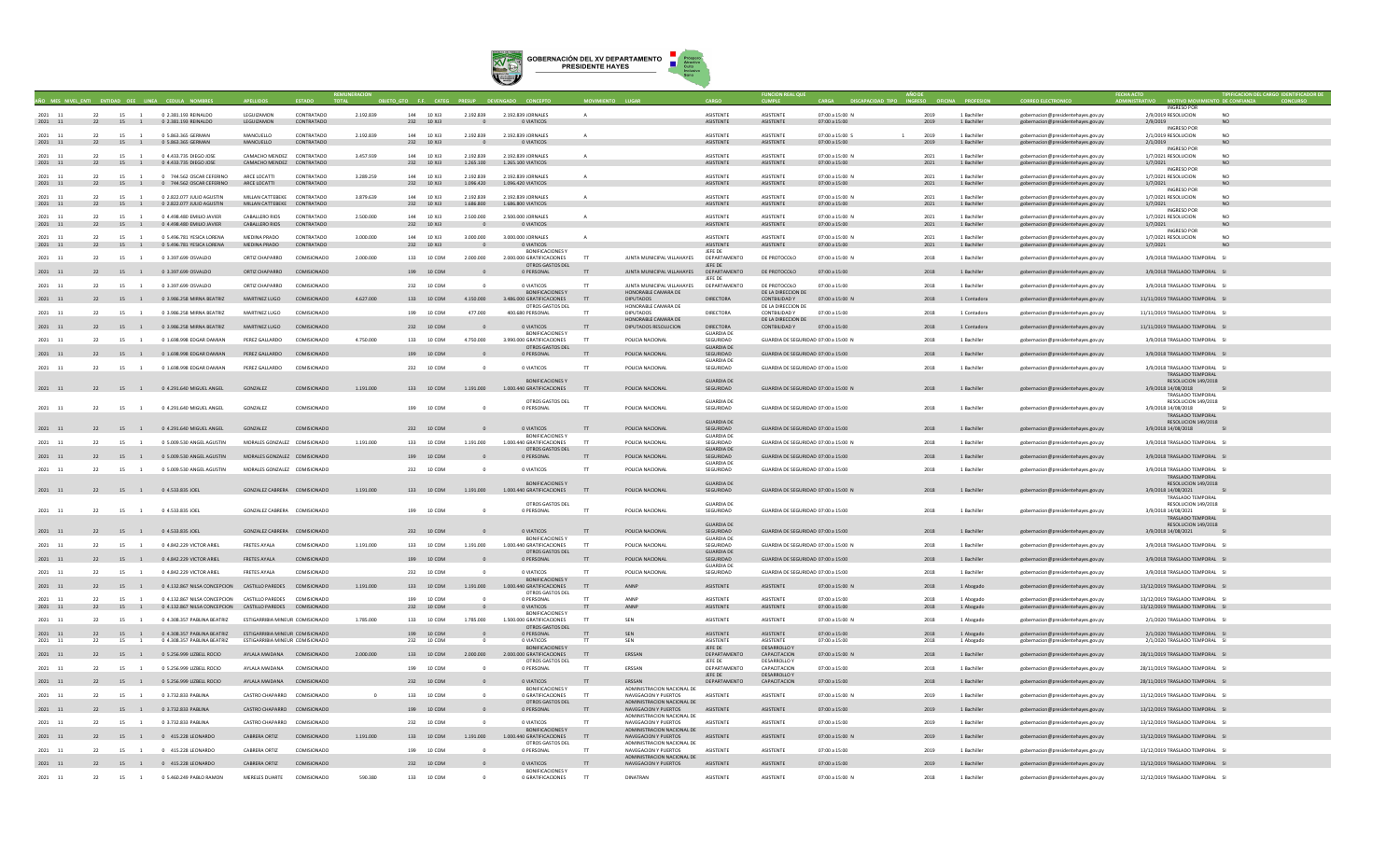

|                       |    |                      |                                                                                                                                |                                         |                          |           |     |                          |                             |                                                         | $\Delta$  |                                                          |                                |                                      |                                  |                        |                            |                                                                          | INGRESO POL                                                        |                      |
|-----------------------|----|----------------------|--------------------------------------------------------------------------------------------------------------------------------|-----------------------------------------|--------------------------|-----------|-----|--------------------------|-----------------------------|---------------------------------------------------------|-----------|----------------------------------------------------------|--------------------------------|--------------------------------------|----------------------------------|------------------------|----------------------------|--------------------------------------------------------------------------|--------------------------------------------------------------------|----------------------|
| 2021<br>11<br>2021 11 | 22 | 15 1                 | 0.2.381.193.REINALDO<br>22 15 1 0 2.381.193 REINALDO                                                                           | <b>I FGUIZAMON</b><br>LEGUIZAMON        | CONTRATADO<br>CONTRATADO | 2.192.839 |     | 144 10 X13<br>232 10 XJ3 | 2 192 839<br>$\Omega$       | 2.192.839 IORNALES<br>O VIATICOS                        |           |                                                          | <b>ASISTENTI</b><br>ASISTENTE  | <b>ASISTENTE</b><br>ASISTENTE        | 07:00 a 15:00 N<br>07:00 a 15:00 | 2019<br>2019           | 1 Rachiller<br>1 Bachiller | enhernacion@presidentehaves.gov.pv<br>gobernacion@presidentehayes.gov.py | 2/9/2019 RESOLUCION<br>2/9/2019                                    | NO                   |
| 2021 11               | 22 | 15<br>$\overline{1}$ | 0 5.863.365 GERMAN                                                                                                             | MANCUELLO                               | CONTRATADO               | 2.192.839 |     | 144 10 XJ3               | 2.192.839                   | 2.192.839 JORNALES                                      |           |                                                          | <b>ASISTENTE</b>               | ASISTENTE                            | 07:00 a 15:00 S                  | 2019<br>$\overline{1}$ | 1 Bachiller                | gobernacion@presidentehaves.gov.pv                                       | <b>INGRESO POR</b><br>2/1/2019 RESOLUCION                          | NO <sub>1</sub>      |
| 2021 11               |    |                      | 22 15 1 0 5.863.365 GERMAN                                                                                                     | MANCUELLO                               | CONTRATADO               |           |     | 232 10 XJ3               | $\Omega$                    | 0 VIATICOS                                              |           |                                                          | <b>ASISTENTE</b>               | ASISTENTE                            | 07:00 a 15:00                    | 2019                   | 1 Bachiller                | gobernacion@presidentehayes.gov.py                                       | 2/1/2019                                                           | NO                   |
| 2021 11               |    | 22 15 1              | 0 4.433.735 DIEGO JOSE                                                                                                         | CAMACHO MENDEZ CONTRATADO               |                          | 3,457,939 |     | 144 10 XJ3               | 2.192.839                   | 2.192.839 JORNALES                                      |           |                                                          | <b>ASISTENTI</b>               | ASISTENTE                            | 07:00 a 15:00 N                  | 2021                   | 1 Bachiller                | gobernacion@presidentehayes.gov.py                                       | <b>INGRESO POR</b><br>1/7/2021 RESOLUCION                          |                      |
| $2021\quad \  \  11$  |    |                      | 22 15 1 0 4.433.735 DIEGO JOSE                                                                                                 | CAMACHO MENDEZ CONTRATADO               |                          |           |     | 232 10 XJ3               | 1,265,100                   | 1,265,100 VIATICOS                                      |           |                                                          | <b>ASISTENTE</b>               | <b>ASISTENTE</b>                     | 07:00 a 15:00                    | 2021                   | 1 Bachiller                | gobernacion@presidentehayes.gov.py                                       | 1/7/2021<br><b>INGRESO POR</b>                                     | N <sub>O</sub>       |
| 2021 11               | 22 | 15 1                 | 0 744 562 OSCAR CEFERINO                                                                                                       | ARCE LOCATTI                            | CONTRATADO               | 3.289.259 |     | 144 10 X 13              | 2.192.839                   | 2.192.839 IORNALES                                      |           |                                                          | <b>ASISTENTE</b>               | <b>ASISTENTE</b>                     | 07:00 a 15:00 N                  | 2021                   | 1 Bachiller                | gobernacion@presidentehayes.gov.py                                       | 1/7/2021 RESOLUCION                                                | N <sub>0</sub>       |
| 2021 11               | 22 | 15 1                 | 0 744.562 OSCAR CEFERINO                                                                                                       | ARCE LOCATTI                            | CONTRATADO               |           |     | 232 10 XJ3               | 1.096.420                   | 1.096.420 VIATICOS                                      |           |                                                          | ASISTENTE                      | <b>ASISTENTE</b>                     | 07:00 a 15:00                    | 2021                   | 1 Bachiller                | gobernacion@presidentehayes.gov.py                                       | 1/7/2021<br><b>INGRESO POR</b>                                     |                      |
| 2021<br>11            | 22 | 15<br>$\sim$         | 0.2.822.077 JULIO AGUSTIN                                                                                                      | MILLAN CATTEREKE CONTRATADO             |                          | 3 879 639 |     | 144 10 ¥13               | 2.192.839<br>1,686,800      | 2.192.839 IOBNALES                                      |           |                                                          | <b>ASISTENTE</b>               | <b>ASISTENTE</b>                     | 07:00 a 15:00 N                  | 2021<br>2021           | 1 Rachiller                | gobernacion@presidentehayes.gov.p                                        | 1/7/2021 RESOLUCION                                                | N <sub>0</sub>       |
| $2021\quad \  \  11$  | 22 | 15 1                 | 0 2.822.077 JULIO AGUSTIN                                                                                                      | MILLAN CATTEBEKE CONTRATADO             |                          |           |     | 232 10 XJ3               |                             | 1.686.800 VIATICOS                                      |           |                                                          | ASISTENTE                      | ASISTENTE                            | 07:00 a 15:00                    |                        | 1 Bachiller                | gobernacion@presidentehayes.gov.py                                       | 1/7/2021<br><b>INGRESO POR</b>                                     | NO                   |
| 2021 11<br>2021 11    | 22 | 15                   | 0 4,498,480 EMILIO JAVIER<br>22 15 1 0 4.498.480 EMILIO JAVIER                                                                 | <b>CABALLERO RIOS</b><br>CABALLERO RIOS | CONTRATADO<br>CONTRATADO | 2,500,000 |     | 144 10 X13<br>232 10 XJ3 | 2,500,000<br>$\overline{0}$ | 2.500.000 JORNALES<br>O VIATICOS                        |           |                                                          | <b>ASISTENTI</b><br>ASISTENTE  | <b>ASISTENTE</b><br>ASISTENTE        | 07:00 a 15:00 N<br>07:00 a 15:00 | 2021<br>2021           | 1 Bachiller<br>1 Bachiller | gobernacion@presidentehaves.gov.p<br>gobernacion@presidentehayes.gov.py  | 1/7/2021 RESOLUCION<br>1/7/2021                                    | N <sub>O</sub><br>NO |
| 2021                  |    |                      |                                                                                                                                |                                         | CONTRATADO               | 3,000,000 | 144 | 10 XJ3                   |                             | 3.000.000 JORNALES                                      |           |                                                          | <b>ASISTENTI</b>               | <b>ASISTENTE</b>                     | 07:00 a 15:00 N                  |                        |                            |                                                                          | <b>INGRESO POR</b>                                                 | NO                   |
| 11<br>2021 11         | 22 | 15                   | 0 5.496.781 YESICA LORENA<br>22 15 1 0 5.496.781 YESICA LORENA                                                                 | MEDINA PRADO<br>MEDINA PRADO            | CONTRATADO               |           |     | 232 10 XJ3               | 3.000.000                   | O VIATICOS                                              |           |                                                          | ASISTENTE                      | <b>ASISTENTE</b>                     | 07:00 a 15:00                    | 2021<br>2021           | 1 Bachiller<br>1 Bachiller | gobernacion@presidentehayes.gov.py<br>gobernacion@presidentehayes.gov.py | 1/7/2021 RESOLUCION<br>1/7/2021                                    | N()                  |
| 2021 11               | 22 | 15 1                 | 0 3.397,699 OSVALDO                                                                                                            | ORTIZ CHAPARRO                          | COMISIONADO              | 2.000.000 |     | 133 10 COM               | 2.000.000                   | <b>BONIFICACIONESY</b><br>2.000.000 GRATIFICACIONES     | TT.       | JUNTA MUNICIPAL VILLAHAYES                               | JEFE DE<br>DEPARTAMENTO        | DE PROTOCOLO                         | 07:00 a 15:00 N                  | 2018                   | 1 Bachiller                | gobernacion@presidentehayes.gov.py                                       | 3/9/2018 TRASLADO TEMPORAL SI                                      |                      |
|                       |    |                      |                                                                                                                                |                                         |                          |           |     |                          |                             | OTROS GASTOS DEL                                        |           |                                                          | JEFE DE                        |                                      |                                  |                        |                            |                                                                          |                                                                    |                      |
| 2021 11               | 22 | 15 1                 | 0 3.397.699 OSVALDO                                                                                                            | ORTIZ CHAPARRO                          | COMISIONADO              |           |     | 199 10 COM               |                             | 0 PERSONAL                                              |           | JUNTA MUNICIPAL VILLAHAYES                               | DEPARTAMENTO<br>JEFE DE        | DE PROTOCOLO                         | 07:00 a 15:00                    | 2018                   | 1 Bachiller                | gobernacion@presidentehayes.gov.py                                       | 3/9/2018 TRASLADO TEMPORAL SI                                      |                      |
| 2021 11               | 22 | 15 1                 | 0 3.397.699 OSVALDO                                                                                                            | ORTIZ CHAPARRO                          | COMISIONADO              |           |     | 232 10 COM               |                             | 0 VIATICOS<br><b>BONIFICACIONES Y</b>                   | <b>TT</b> | <b>IUNTA MUNICIPAL VILLAHAYES</b><br>HONORABLE CAMARA DE | DEPARTAMENTO                   | DE PROTOCOLO<br>DE LA DIRECCION DE   | 07:00 a 15:00                    | 2018                   | 1 Bachiller                | gobernacion@presidentehayes.gov.py                                       | 3/9/2018 TRASLADO TEMPORAL SI                                      |                      |
| 2021 11               | 22 | 15 1                 | 0 3.986.258 MIRNA BEATRIZ                                                                                                      | MARTINEZ LUGO                           | COMISIONADO              | 4.627.000 |     | 133 10 COM               | 4.150.000                   | 3.486.000 GRATIFICACIONES TT                            |           | <b>DIPUTADOS</b>                                         | DIRECTORA                      | CONTBILIDAD Y                        | 07:00 a 15:00 N                  | 2018                   | 1 Contadora                | gobernacion@presidentehayes.gov.py                                       | 11/11/2019 TRASLADO TEMPORAL SI                                    |                      |
| 2021 11               | 22 | 15<br>$\sim$ 1       | 0 3.986.258 MIRNA BEATRIZ                                                                                                      | MARTINEZ LUGO                           | COMISIONADO              |           |     | 199 10 COM               | 477,000                     | OTROS GASTOS DEL<br>400.680 PERSONAL                    | <b>TT</b> | HONORABLE CAMARA DE<br><b>DIPUTADOS</b>                  | DIRECTORA                      | DE LA DIRECCION DE<br>CONTBILIDAD Y  | 07:00 a 15:00                    | 2018                   | 1 Contadora                | gobernacion@presidentehayes.gov.py                                       | 11/11/2019 TRASLADO TEMPORAL SI                                    |                      |
| 2021 11               |    |                      | 15 1 0 3.986.258 MIRNA BEATRIZ                                                                                                 | MARTINEZ LUGO                           |                          |           |     | 232 10 COM               |                             | 0 VIATICOS                                              |           | HONORABLE CAMARA DE<br>DIPUTADOS RESOLUCION              | <b>DIRECTORA</b>               | DE LA DIRECCION DE                   |                                  |                        |                            |                                                                          | 11/11/2019 TRASLADO TEMPORAL SI                                    |                      |
|                       | 22 |                      |                                                                                                                                |                                         | COMISIONADO              |           |     |                          |                             | <b>BONIFICACIONES Y</b>                                 | $\top$    |                                                          | <b>GUARDIA DE</b>              | CONTBILIDAD Y 07:00 a 15:00          |                                  | 2018                   | 1 Contadora                | gobernacion@presidentehayes.gov.py                                       |                                                                    |                      |
| 2021 11               | 22 | 15                   | 0 1.698.998 EDGAR DAMIAN                                                                                                       | PEREZ GALLARDO                          | COMISIONADO              | 4.750,000 | 133 | 10 COM                   | 4.750.000                   | 3.990.000 GRATIFICACIONES<br>OTROS GASTOS DEL           | TT.       | POLICIA NACIONAL                                         | SEGURIDAD<br><b>GUARDIA DE</b> | GUARDIA DE SEGURIDAD 07:00 a 15:00 N |                                  | 2018                   | 1 Bachiller                | gobernacion@presidentehayes.gov.py                                       | 3/9/2018 TRASLADO TEMPORAL SI                                      |                      |
| $2021\quad \  11$     | 22 |                      | 15 1 0 1.698.998 EDGAR DAMIAN                                                                                                  | PEREZ GALLARDO                          | COMISIONADO              |           |     | 199 10 COM               |                             | 0 PERSONAL                                              |           | POLICIA NACIONAL                                         | SEGURIDAD                      | GUARDIA DE SEGURIDAD 07:00 a 15:00   |                                  | 2018                   | 1 Bachiller                | gobernacion@presidentehayes.gov.py                                       | 3/9/2018 TRASLADO TEMPORAL SI                                      |                      |
| 2021 11               | 22 | 15                   | 0 1.698.998 EDGAR DAMIAN                                                                                                       | PEREZ GALLARDO                          | COMISIONADO              |           |     | 232 10 COM               |                             | 0 VIATICOS                                              | TT        | POLICIA NACIONAL                                         | <b>GUARDIA DE</b><br>SEGURIDAD | GUARDIA DE SEGURIDAD 07:00 a 15:00   |                                  | 2018                   | 1 Bachiller                | gobernacion@presidentehayes.gov.py                                       | 3/9/2018 TRASLADO TEMPORAL SI                                      |                      |
|                       |    |                      |                                                                                                                                |                                         |                          |           |     |                          |                             | <b>BONIFICACIONES Y</b>                                 |           |                                                          | <b>GUARDIA DE</b>              |                                      |                                  |                        |                            |                                                                          | TRASI ADO TEMPORAL<br>RESOLUCION 149/2018                          |                      |
| 2021 11               | 22 | 15 1                 | 0 4.291.640 MIGUEL ANGEL                                                                                                       | GONZALEZ                                | COMISIONADO              | 1.191.000 |     | 133 10 COM               | 1,191,000                   | 1.000.440 GRATIFICACIONES                               | T         | POLICIA NACIONAL                                         | SEGURIDAD                      | GUARDIA DE SEGURIDAD 07:00 a 15:00 N |                                  | 2018                   | 1 Bachiller                | gobernacion@presidentehayes.gov.py                                       | 3/9/2018 14/08/2018                                                |                      |
|                       |    |                      |                                                                                                                                |                                         |                          |           |     |                          |                             | OTROS GASTOS DEL                                        |           |                                                          | <b>GUARDIA DE</b>              |                                      |                                  |                        |                            |                                                                          | TRASLADO TEMPORAL<br>RESOLUCION 149/2018                           |                      |
| 2021 11               | 22 | 15<br>$\overline{1}$ | 0 4.291.640 MIGUEL ANGEL                                                                                                       | GONZALEZ                                | COMISIONADO              |           |     | 199 10 COM               |                             | 0 PERSONAL                                              |           | POLICIA NACIONAL                                         | SEGURIDAD                      | GUARDIA DE SEGURIDAD 07:00 a 15:00   |                                  | 2018                   | 1 Bachiller                | gobernacion@presidentehaves.gov.pv                                       | 3/9/2018 14/08/2018<br>TRASLADO TEMPORAL                           |                      |
|                       |    |                      |                                                                                                                                |                                         |                          |           |     |                          |                             |                                                         |           |                                                          | <b>GUARDIA DE</b>              |                                      |                                  |                        |                            |                                                                          | RESOLUCION 149/2018                                                |                      |
| 2021 11               |    |                      | 22 15 1 0 4.291.640 MIGUEL ANGEL                                                                                               | GONZALEZ                                | COMISIONADO              |           |     | 232 10 COM               |                             | 0 VIATICOS<br><b>BONIFICACIONES Y</b>                   | TT        | POLICIA NACIONAL                                         | SEGURIDAD<br><b>GUARDIA DE</b> | GUARDIA DE SEGURIDAD 07:00 a 15:00   |                                  | 2018                   | 1 Bachiller                | gobernacion@presidentehayes.gov.py                                       | 3/9/2018 14/08/2018                                                |                      |
| 2021<br>11            | 22 | 15                   | 0 5.009.530 ANGEL AGUSTIN                                                                                                      | MORALES GONZALEZ COMISIONADO            |                          | 1.191.000 | 133 | 10 COM                   | 1.191.000                   | 1.000.440 GRATIFICACIONES<br>OTROS GASTOS DEL           | T         | POLICIA NACIONAL                                         | SEGURIDAD<br><b>GUARDIA DE</b> | SUARDIA DE SEGURIDAD 07:00 a 15:00 N |                                  | 2018                   | 1 Bachille                 | gobernacion@presidentehayes.gov.py                                       | 3/9/2018 TRASLADO TEMPORAL SI                                      |                      |
| 2021 11               | 22 | 15 1                 | 0 5.009.530 ANGEL AGUSTIN                                                                                                      | MORALES GONZALEZ COMISIONADO            |                          |           |     | 199 10 COM               |                             | 0 PERSONAL                                              |           | POLICIA NACIONAL                                         | SEGURIDAD                      | GUARDIA DE SEGURIDAD 07:00 a 15:00   |                                  | 2018                   | 1 Bachiller                | gobernacion@presidentehayes.gov.py                                       | 3/9/2018 TRASLADO TEMPORAL SI                                      |                      |
| 2021 11               | 22 | 15 1                 | 0 5.009.530 ANGEL AGUSTIN                                                                                                      | MORALES GONZALEZ COMISIONADO            |                          |           |     | 232 10 COM               |                             | 0 VIATICOS                                              | <b>TT</b> | POLICIA NACIONAL                                         | <b>GUARDIA DE</b><br>SEGURIDAD | GUARDIA DE SEGURIDAD 07:00 a 15:00   |                                  | 2018                   | 1 Bachiller                | gobernacion@presidentehayes.gov.py                                       | 3/9/2018 TRASLADO TEMPORAL SI                                      |                      |
|                       |    |                      |                                                                                                                                |                                         |                          |           |     |                          |                             | <b>BONIFICACIONES Y</b>                                 |           |                                                          | <b>GUARDIA DE</b>              |                                      |                                  |                        |                            |                                                                          | TRASLADO TEMPORAL                                                  |                      |
| 2021 11               |    |                      | 22 15 1 0 4.533.835 JOEL                                                                                                       | GONZALEZ CABRERA COMISIONADO            |                          | 1,191,000 |     | 133 10 COM               | 1,191,000                   | 1.000.440 GRATIFICACIONES                               | TT        | POLICIA NACIONAL                                         | SEGURIDAD                      | GUARDIA DE SEGURIDAD 07:00 a 15:00 N |                                  | 2018                   | 1 Bachiller                | gobernacion@presidentehayes.gov.py                                       | RESOLUCION 149/2018<br>3/9/2018 14/08/2021                         |                      |
|                       |    |                      |                                                                                                                                |                                         |                          |           |     |                          |                             | OTROS GASTOS DEL                                        |           |                                                          | <b>GUARDIA DE</b>              |                                      |                                  |                        |                            |                                                                          | <b>TRASLADO TEMPORAL</b><br>RESOLUCION 149/2018                    |                      |
| 2021 11               | 22 | 15<br>$\overline{1}$ | 0 4.533.835 JOEL                                                                                                               | GONZALEZ CABRERA COMISIONADO            |                          |           |     | 199 10 COM               |                             | 0 PERSONAL                                              | TT        | POLICIA NACIONAL                                         | SEGURIDAD                      | GUARDIA DE SEGURIDAD 07:00 a 15:00   |                                  | 2018                   | 1 Bachiller                | gobernacion@presidentehayes.gov.py                                       | 3/9/2018 14/08/2021                                                |                      |
|                       |    |                      |                                                                                                                                |                                         |                          |           |     |                          |                             |                                                         |           |                                                          | <b>GUARDIA DE</b>              |                                      |                                  |                        |                            |                                                                          | TRASLADO TEMPORAL<br>RESOLUCION 149/2018                           |                      |
| 2021 11               |    |                      | 22 15 1 0 4.533.835 JOEL                                                                                                       | GONZALEZ CABRERA COMISIONADO            |                          |           |     | 232 10 COM               |                             | 0 VIATICOS<br><b>BONIFICACIONES Y</b>                   | TT        | POLICIA NACIONAL                                         | SEGURIDAD<br><b>GUARDIA DE</b> | GUARDIA DE SEGURIDAD 07:00 a 15:00   |                                  | 2018                   | 1 Bachiller                | gobernacion@presidentehayes.gov.py                                       | 3/9/2018 14/08/2021                                                |                      |
| 2021<br>11            | 22 | 15                   | 0 4.842.229 VICTOR ARIEL                                                                                                       | <b>FRETES AYALA</b>                     | COMISIONADO              | 1.191.000 | 133 | 10 COM                   | 1.191.000                   | 1.000.440 GRATIFICACIONES                               | T         | POLICIA NACIONAL                                         | SEGURIDAD                      | GUARDIA DE SEGURIDAD 07:00 a 15:00 M |                                  | 2018                   | 1 Bachiller                | gobernacion@presidentehayes.gov.py                                       | 3/9/2018 TRASLADO TEMPORAL SI                                      |                      |
| 2021 11               | 22 | 15 1                 | 0 4.842.229 VICTOR ARIEL                                                                                                       | FRETES AYALA                            | COMISIONADO              |           |     | 199 10 COM               |                             | OTROS GASTOS DEL<br>0 PERSONAL                          |           | POLICIA NACIONAL                                         | <b>GUARDIA DE</b><br>SEGURIDAD | GUARDIA DE SEGURIDAD 07:00 a 15:00   |                                  | 2018                   | 1 Bachiller                | gobernacion@presidentehayes.gov.py                                       | 3/9/2018 TRASLADO TEMPORAL SI                                      |                      |
| 2021 11               | 22 | 15<br>$\overline{1}$ | 0.4 842 229 VICTOR ARIEL                                                                                                       | <b>FRETES AYALA</b>                     | COMISIONADO              |           |     | 232 10 COM               |                             | 0 VIATICOS                                              | <b>TT</b> | POLICIA NACIONAL                                         | <b>GUARDIA DE</b><br>SEGURIDAD | GUARDIA DE SEGURIDAD 07:00 a 15:00   |                                  | 2018                   | 1 Bachiller                |                                                                          | 3/9/2018 TRASLADO TEMPORAL SL                                      |                      |
|                       |    |                      |                                                                                                                                |                                         |                          |           |     |                          |                             | <b>BONIFICACIONES Y</b>                                 |           |                                                          |                                |                                      |                                  |                        |                            | gobernacion@presidentehayes.gov.py                                       |                                                                    |                      |
| 2021 11               |    |                      | 22 15 1 0 4.132.867 NILSA CONCEPCION CASTILLO PAREDES COMISIONADO                                                              |                                         |                          | 1,191,000 |     | 133 10 COM               |                             | 1.191.000 1.000.440 GRATIFICACIONES<br>OTROS GASTOS DEL | TT        | ANNP                                                     | ASISTENTE                      | ASISTENTE                            | 07:00 a 15:00 N                  | 2018                   | 1 Abogado                  | gobernacion@presidentehayes.gov.py                                       | 13/12/2019 TRASLADO TEMPORAL SI                                    |                      |
| 2021 11<br>2021 11    | 22 | 15                   | 0 4.132.867 NILSA CONCEPCION CASTILLO PAREDES COMISIONADO<br>22 15 1 0 4.132.867 NILSA CONCEPCION CASTILLO PAREDES COMISIONADO |                                         |                          |           |     | 199 10 COM<br>232 10 COM |                             | 0 PERSONAL<br>0 VIATICOS                                |           | ANNP                                                     | <b>ASISTENTI</b><br>ASISTENTE  | <b>ASISTENTE</b><br>ASISTENTE        | 07:00 a 15:00                    | 2018                   | 1 Abogado                  | gobernacion@presidentehaves.gov.p                                        | 13/12/2019 TRASLADO TEMPORAL SI<br>13/12/2019 TRASLADO TEMPORAL SI |                      |
|                       |    |                      |                                                                                                                                |                                         |                          |           |     |                          |                             | <b>BONIFICACIONES Y</b>                                 | TT        | ANNP                                                     |                                |                                      | 07:00 a 15:00                    | 2018                   | 1 Abogado                  | gobernacion@presidentehayes.gov.py                                       |                                                                    |                      |
| 2021 11               |    | 15                   | 0 4.308.357 PABLINA BEATRIZ                                                                                                    | ESTIGARRIBIA MINEUR COMISIONADO         |                          | 1.785.000 | 133 | 10 COM                   | 1,785,000                   | 1.500.000 GRATIFICACIONES<br>OTROS GASTOS DEL           | <b>TT</b> | SEN                                                      | ASISTENTE                      | ASISTENTE                            | 07:00 a 15:00 N                  | 2018                   | 1 Abogado                  | gobernacion@presidentehayes.gov.py                                       | 2/1/2020 TRASLADO TEMPORAL SI                                      |                      |
| 2021 11               | 22 | 15                   | 0 4.308.357 PABLINA BEATRIZ                                                                                                    | ESTIGARRIBIA MINEUR COMISIONADO         |                          |           |     | 199 10 COM               |                             | D PERSONAL                                              |           | <b>SEN</b>                                               | ASISTENTE                      | ASISTENTE                            | 07:00 a 15:00                    | 2018                   | 1 Abogado                  | gobernacion@presidentehayes.gov.py                                       | 2/1/2020 TRASLADO TEMPORAL SI                                      |                      |
| 2021<br>11            | 22 | 15                   | 0 4.308.357 PABLINA BEATRIZ                                                                                                    | ESTIGARRIBIA MINEUR COMISIONADO         |                          |           | 232 | 10 COM                   |                             | 0 VIATICOS<br><b>BONIFICACIONESY</b>                    |           | SEN                                                      | ASISTENTE<br>JEFE DE           | ASISTENTE<br><b>DESARROLLO Y</b>     | 07:00 a 15:00                    | 2018                   | 1 Abogado                  | gobernacion@presidentehayes.gov.py                                       | 2/1/2020 TRASLADO TEMPORAL SI                                      |                      |
| 2021 11               | 22 | 15 1                 | 0 5.256.999 LIZBELL ROCIO                                                                                                      | AYLALA MAIDANA COMISIONADO              |                          | 2,000,000 |     | 133 10 COM               | 2.000.000                   | 2.000.000 GRATIFICACIONES<br>OTROS GASTOS DEL           | TT        | ERSSAN                                                   | DEPARTAMENTO<br>JEFE DE        | CAPACITACION<br><b>DESARROLLO</b>    | 07:00 a 15:00 N                  | 2018                   | 1 Bachiller                | gobernacion@presidentehayes.gov.py                                       | 28/11/2019 TRASLADO TEMPORAL SI                                    |                      |
| 2021 11               | 22 | 15 1                 | 0.5.256.999.117RELLROCIO                                                                                                       | AYI ALA MAIDANA                         | COMISIONADO              |           |     | 199 10 COM               |                             | 0 PERSONAL                                              | <b>TT</b> | <b>FRSSAN</b>                                            | DEPARTAMENTO                   | CAPACITACION                         | $07:00 \times 15:00$             | 2018                   | 1 Bachiller                | gobernacion@presidentehayes.gov.py                                       | 28/11/2019 TRASLADO TEMPORAL SL                                    |                      |
| 2021 11               | 22 |                      | 15 1 0 5.256.999 LIZBELL ROCIO                                                                                                 | AYLALA MAIDANA COMISIONADO              |                          |           |     | 232 10 COM               |                             | O VIATICOS                                              | <b>TT</b> | ERSSAN                                                   | IFFF DE<br>DEPARTAMENTO        | <b>DESARROLLO Y</b><br>CAPACITACION  | 07:00 a 15:00                    | 2018                   | 1 Bachiller                | gobernacion@presidentehayes.gov.py                                       | 28/11/2019 TRASLADO TEMPORAL SI                                    |                      |
| 2021 11               | 22 | 15 1                 | 0 3.732.833 PABLINA                                                                                                            | CASTRO CHAPARRO COMISIONADO             |                          |           |     | 133 10 COM               |                             | <b>BONIFICACIONES Y</b><br>0 GRATIFICACIONES            | TT        | ADMINISTRACION NACIONAL DE<br>NAVEGACION Y PUERTOS       | ASISTENTE                      | <b>ASISTENTE</b>                     | 07:00 a 15:00 N                  | 2019                   | 1 Bachiller                | gobernacion@presidentehayes.gov.py                                       | 13/12/2019 TRASLADO TEMPORAL SI                                    |                      |
|                       |    |                      |                                                                                                                                |                                         |                          |           |     |                          |                             | OTROS GASTOS DEL                                        |           | ADMINISTRACION NACIONAL DE                               |                                |                                      |                                  |                        |                            |                                                                          |                                                                    |                      |
| 2021 11               | 22 |                      | 15 1 0 3.732.833 PABLINA                                                                                                       | CASTRO CHAPARRO COMISIONADO             |                          |           |     | 199 10 COM               |                             | 0 PERSONAL                                              |           | NAVEGACION Y PUERTOS<br>ADMINISTRACION NACIONAL DE       | ASISTENTE                      | ASISTENTE                            | 07:00 a 15:00                    | 2019                   | 1 Bachiller                | gobernacion@presidentehayes.gov.py                                       | 13/12/2019 TRASLADO TEMPORAL SI                                    |                      |
| 2021 11               | 22 | 15                   | 0 3.732.833 PABLINA                                                                                                            | CASTRO CHAPARRO COMISIONADO             |                          |           | 232 | 10 COM                   |                             | 0 VIATICOS<br><b>BONIFICACIONES Y</b>                   |           | NAVEGACION Y PUERTOS<br>ADMINISTRACION NACIONAL DE       | <b>ASISTENTI</b>               | ASISTENTE                            | 07:00 a 15:00                    | 2019                   | 1 Bachiller                | gobernacion@presidentehayes.gov.py                                       | 13/12/2019 TRASLADO TEMPORAL SI                                    |                      |
| 2021 11               | 22 |                      | 15 1 0 415.228 LEONARDO                                                                                                        | CABRERA ORTIZ                           | COMISIONADO              | 1.191.000 |     | 133 10 COM               | 1.191.000                   | 1.000.440 GRATIFICACIONES                               | TT        | NAVEGACION Y PUERTOS                                     | ASISTENTE                      | ASISTENTE                            | 07:00 a 15:00 N                  | 2019                   | 1 Bachiller                | gobernacion@presidentehayes.gov.py                                       | 13/12/2019 TRASLADO TEMPORAL SI                                    |                      |
| 2021 11               | 22 | 15                   | 0 415,228 LEONARDO                                                                                                             | CARRERA ORTIZ                           | COMISIONADO              |           |     | 199 10 COM               |                             | OTROS GASTOS DEL<br>0 PERSONAL                          |           | ADMINISTRACION NACIONAL DE<br>NAVEGACION Y PUERTOS       | <b>ASISTENTE</b>               | <b>ASISTENTE</b>                     | 07:00 a 15:00                    | 2019                   | 1 Bachiller                | gobernacion@presidentehayes.gov.p                                        | 13/12/2019 TRASLADO TEMPORAL SI                                    |                      |
| 2021 11               |    |                      | 22 15 1 0 415.228 LEONARDO                                                                                                     | <b>CABRERA ORTIZ</b>                    | COMISIONADO              |           |     | 232 10 COM               |                             | 0 VIATICOS                                              | TT        | ADMINISTRACION NACIONAL DE<br>NAVEGACION Y PUERTOS       | ASISTENTE                      | ASISTENTE                            | 07:00 a 15:00                    | 2019                   | 1 Bachiller                | gobernacion@presidentehayes.gov.py                                       | 13/12/2019 TRASLADO TEMPORAL SI                                    |                      |
|                       |    |                      |                                                                                                                                |                                         |                          |           |     |                          |                             | <b>BONIFICACIONES Y</b>                                 |           |                                                          |                                |                                      |                                  |                        |                            |                                                                          |                                                                    |                      |
| 2021 11               | 22 | 15<br>$\overline{1}$ | 0 5.460.249 PABLO RAMON                                                                                                        | MERELES DUARTE                          | COMISIONADO              | 590,380   |     | 133 10 COM               |                             | 0 GRATIFICACIONES                                       | T         | <b>DINATRAN</b>                                          | <b>ASISTENTE</b>               | <b>ASISTENTE</b>                     | 07:00 a 15:00 N                  | 2018                   | 1 Bachiller                | gobernacion@presidentehayes.gov.py                                       | 12/12/2019 TRASLADO TEMPORAL SI                                    |                      |